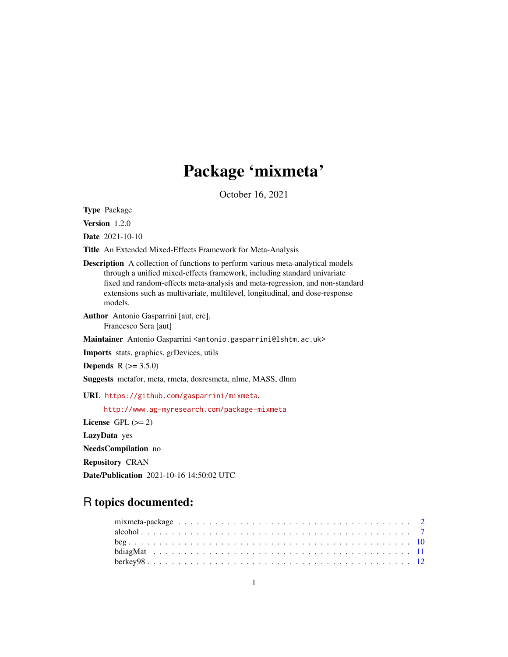# Package 'mixmeta'

October 16, 2021

<span id="page-0-0"></span>Type Package

Version 1.2.0

Date 2021-10-10

Title An Extended Mixed-Effects Framework for Meta-Analysis

Description A collection of functions to perform various meta-analytical models through a unified mixed-effects framework, including standard univariate fixed and random-effects meta-analysis and meta-regression, and non-standard extensions such as multivariate, multilevel, longitudinal, and dose-response models.

Author Antonio Gasparrini [aut, cre], Francesco Sera [aut]

Maintainer Antonio Gasparrini <antonio.gasparrini@lshtm.ac.uk>

Imports stats, graphics, grDevices, utils

**Depends** R  $(>= 3.5.0)$ 

Suggests metafor, meta, rmeta, dosresmeta, nlme, MASS, dlnm

URL <https://github.com/gasparrini/mixmeta>,

<http://www.ag-myresearch.com/package-mixmeta>

License GPL  $(>= 2)$ 

LazyData yes

NeedsCompilation no

Repository CRAN

Date/Publication 2021-10-16 14:50:02 UTC

## R topics documented: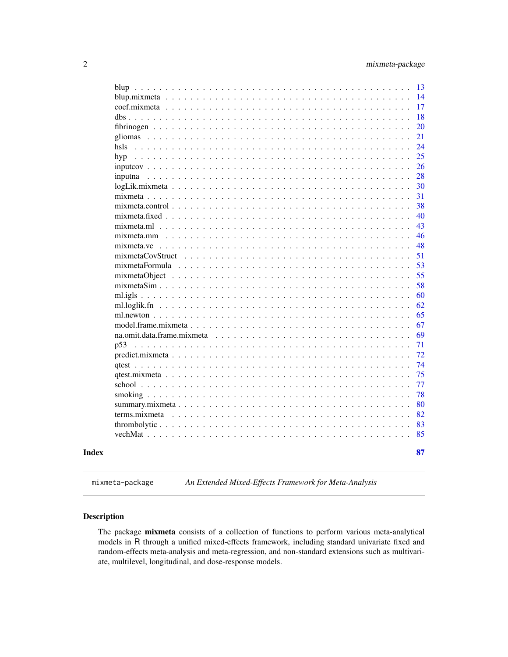<span id="page-1-0"></span>

| hsls<br>hyp<br>inputna<br>$mix$ mixmeta.control $\ldots$<br>mixmeta.fixed<br>mixmeta.m1<br>$mixmeta.mm \dots$<br>mixmeta.vc<br>$\sim$ $\sim$ $\sim$ $\sim$ $\sim$ $\sim$<br>mixmetaCovStruct<br>.<br><b>Contract</b><br>$\sim$<br>$mix$ mixmeta Formula $\ldots$ , $\ldots$<br>$\mathbb{R}^2$<br>na.omit.data.frame.mixmeta<br>p53<br>. |  |  |  |  |  |  |  |  |  |  |  |  | 13 |
|-----------------------------------------------------------------------------------------------------------------------------------------------------------------------------------------------------------------------------------------------------------------------------------------------------------------------------------------|--|--|--|--|--|--|--|--|--|--|--|--|----|
|                                                                                                                                                                                                                                                                                                                                         |  |  |  |  |  |  |  |  |  |  |  |  | 14 |
|                                                                                                                                                                                                                                                                                                                                         |  |  |  |  |  |  |  |  |  |  |  |  | 17 |
|                                                                                                                                                                                                                                                                                                                                         |  |  |  |  |  |  |  |  |  |  |  |  | 18 |
|                                                                                                                                                                                                                                                                                                                                         |  |  |  |  |  |  |  |  |  |  |  |  | 20 |
|                                                                                                                                                                                                                                                                                                                                         |  |  |  |  |  |  |  |  |  |  |  |  | 21 |
|                                                                                                                                                                                                                                                                                                                                         |  |  |  |  |  |  |  |  |  |  |  |  | 24 |
|                                                                                                                                                                                                                                                                                                                                         |  |  |  |  |  |  |  |  |  |  |  |  | 25 |
|                                                                                                                                                                                                                                                                                                                                         |  |  |  |  |  |  |  |  |  |  |  |  | 26 |
|                                                                                                                                                                                                                                                                                                                                         |  |  |  |  |  |  |  |  |  |  |  |  | 28 |
|                                                                                                                                                                                                                                                                                                                                         |  |  |  |  |  |  |  |  |  |  |  |  | 30 |
|                                                                                                                                                                                                                                                                                                                                         |  |  |  |  |  |  |  |  |  |  |  |  | 31 |
|                                                                                                                                                                                                                                                                                                                                         |  |  |  |  |  |  |  |  |  |  |  |  | 38 |
|                                                                                                                                                                                                                                                                                                                                         |  |  |  |  |  |  |  |  |  |  |  |  | 40 |
|                                                                                                                                                                                                                                                                                                                                         |  |  |  |  |  |  |  |  |  |  |  |  | 43 |
|                                                                                                                                                                                                                                                                                                                                         |  |  |  |  |  |  |  |  |  |  |  |  | 46 |
|                                                                                                                                                                                                                                                                                                                                         |  |  |  |  |  |  |  |  |  |  |  |  | 48 |
|                                                                                                                                                                                                                                                                                                                                         |  |  |  |  |  |  |  |  |  |  |  |  | 51 |
|                                                                                                                                                                                                                                                                                                                                         |  |  |  |  |  |  |  |  |  |  |  |  | 53 |
|                                                                                                                                                                                                                                                                                                                                         |  |  |  |  |  |  |  |  |  |  |  |  | 55 |
|                                                                                                                                                                                                                                                                                                                                         |  |  |  |  |  |  |  |  |  |  |  |  | 58 |
|                                                                                                                                                                                                                                                                                                                                         |  |  |  |  |  |  |  |  |  |  |  |  | 60 |
|                                                                                                                                                                                                                                                                                                                                         |  |  |  |  |  |  |  |  |  |  |  |  | 62 |
|                                                                                                                                                                                                                                                                                                                                         |  |  |  |  |  |  |  |  |  |  |  |  | 65 |
|                                                                                                                                                                                                                                                                                                                                         |  |  |  |  |  |  |  |  |  |  |  |  | 67 |
|                                                                                                                                                                                                                                                                                                                                         |  |  |  |  |  |  |  |  |  |  |  |  | 69 |
|                                                                                                                                                                                                                                                                                                                                         |  |  |  |  |  |  |  |  |  |  |  |  | 71 |
|                                                                                                                                                                                                                                                                                                                                         |  |  |  |  |  |  |  |  |  |  |  |  | 72 |
|                                                                                                                                                                                                                                                                                                                                         |  |  |  |  |  |  |  |  |  |  |  |  | 74 |
|                                                                                                                                                                                                                                                                                                                                         |  |  |  |  |  |  |  |  |  |  |  |  | 75 |
|                                                                                                                                                                                                                                                                                                                                         |  |  |  |  |  |  |  |  |  |  |  |  | 77 |
|                                                                                                                                                                                                                                                                                                                                         |  |  |  |  |  |  |  |  |  |  |  |  | 78 |
|                                                                                                                                                                                                                                                                                                                                         |  |  |  |  |  |  |  |  |  |  |  |  | 80 |
|                                                                                                                                                                                                                                                                                                                                         |  |  |  |  |  |  |  |  |  |  |  |  | 82 |
|                                                                                                                                                                                                                                                                                                                                         |  |  |  |  |  |  |  |  |  |  |  |  | 83 |
|                                                                                                                                                                                                                                                                                                                                         |  |  |  |  |  |  |  |  |  |  |  |  | 85 |
|                                                                                                                                                                                                                                                                                                                                         |  |  |  |  |  |  |  |  |  |  |  |  | 87 |

<span id="page-1-1"></span>mixmeta-package *An Extended Mixed-Effects Framework for Meta-Analysis*

## Description

The package mixmeta consists of a collection of functions to perform various meta-analytical models in R through a unified mixed-effects framework, including standard univariate fixed and random-effects meta-analysis and meta-regression, and non-standard extensions such as multivariate, multilevel, longitudinal, and dose-response models.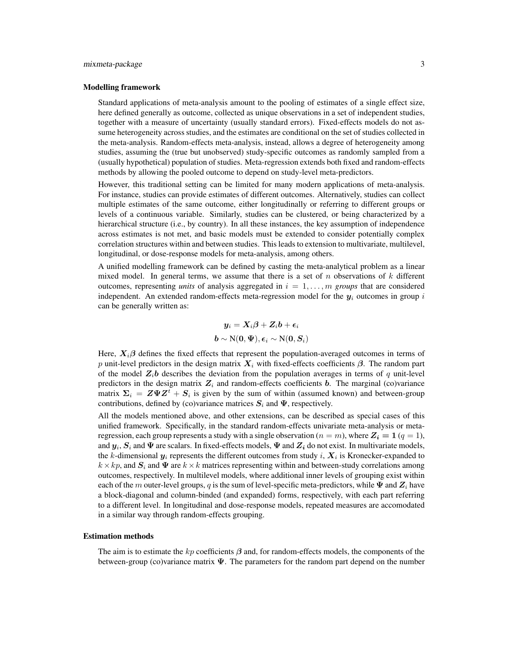## mixmeta-package 3

## Modelling framework

Standard applications of meta-analysis amount to the pooling of estimates of a single effect size, here defined generally as outcome, collected as unique observations in a set of independent studies, together with a measure of uncertainty (usually standard errors). Fixed-effects models do not assume heterogeneity across studies, and the estimates are conditional on the set of studies collected in the meta-analysis. Random-effects meta-analysis, instead, allows a degree of heterogeneity among studies, assuming the (true but unobserved) study-specific outcomes as randomly sampled from a (usually hypothetical) population of studies. Meta-regression extends both fixed and random-effects methods by allowing the pooled outcome to depend on study-level meta-predictors.

However, this traditional setting can be limited for many modern applications of meta-analysis. For instance, studies can provide estimates of different outcomes. Alternatively, studies can collect multiple estimates of the same outcome, either longitudinally or referring to different groups or levels of a continuous variable. Similarly, studies can be clustered, or being characterized by a hierarchical structure (i.e., by country). In all these instances, the key assumption of independence across estimates is not met, and basic models must be extended to consider potentially complex correlation structures within and between studies. This leads to extension to multivariate, multilevel, longitudinal, or dose-response models for meta-analysis, among others.

A unified modelling framework can be defined by casting the meta-analytical problem as a linear mixed model. In general terms, we assume that there is a set of n observations of k different outcomes, representing *units* of analysis aggregated in  $i = 1, \ldots, m$  *groups* that are considered independent. An extended random-effects meta-regression model for the  $y_i$  outcomes in group i can be generally written as:

$$
\begin{aligned} \boldsymbol{y}_i = \boldsymbol{X}_i\boldsymbol{\beta} + \boldsymbol{Z}_i\boldsymbol{b} + \boldsymbol{\epsilon}_i \\ \boldsymbol{b} &\sim \text{N}(\boldsymbol{0}, \boldsymbol{\Psi}), \boldsymbol{\epsilon}_i \sim \text{N}(\boldsymbol{0}, \boldsymbol{S}_i) \end{aligned}
$$

Here,  $X_i\beta$  defines the fixed effects that represent the population-averaged outcomes in terms of p unit-level predictors in the design matrix  $X_i$  with fixed-effects coefficients  $\beta$ . The random part of the model  $Z_i$ b describes the deviation from the population averages in terms of q unit-level predictors in the design matrix  $Z_i$  and random-effects coefficients b. The marginal (co)variance matrix  $\Sigma_i = Z \Psi Z^t + S_i$  is given by the sum of within (assumed known) and between-group contributions, defined by (co)variance matrices  $S_i$  and  $\Psi$ , respectively.

All the models mentioned above, and other extensions, can be described as special cases of this unified framework. Specifically, in the standard random-effects univariate meta-analysis or metaregression, each group represents a study with a single observation ( $n = m$ ), where  $Z_i = 1 (q = 1)$ , and  $y_i$ ,  $S_i$  and  $\Psi$  are scalars. In fixed-effects models,  $\Psi$  and  $Z_i$  do not exist. In multivariate models, the k-dimensional  $y_i$  represents the different outcomes from study i,  $X_i$  is Kronecker-expanded to  $k \times kp$ , and  $\mathbf{S}_i$  and  $\Psi$  are  $k \times k$  matrices representing within and between-study correlations among outcomes, respectively. In multilevel models, where additional inner levels of grouping exist within each of the m outer-level groups, q is the sum of level-specific meta-predictors, while  $\Psi$  and  $Z_i$  have a block-diagonal and column-binded (and expanded) forms, respectively, with each part referring to a different level. In longitudinal and dose-response models, repeated measures are accomodated in a similar way through random-effects grouping.

#### Estimation methods

The aim is to estimate the kp coefficients  $\beta$  and, for random-effects models, the components of the between-group (co)variance matrix  $\Psi$ . The parameters for the random part depend on the number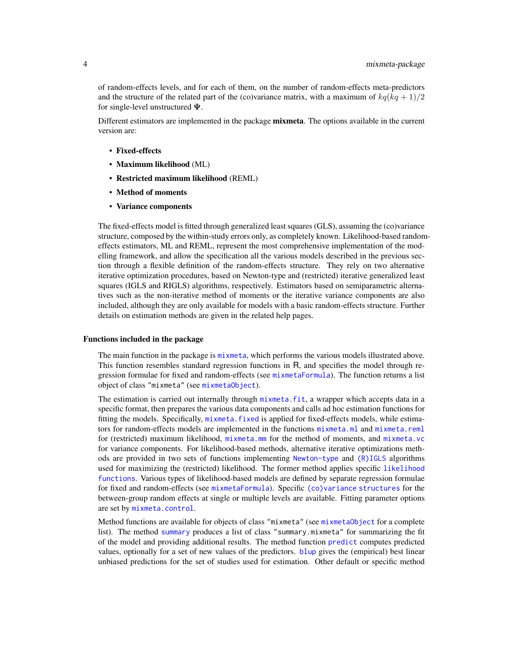of random-effects levels, and for each of them, on the number of random-effects meta-predictors and the structure of the related part of the (co)variance matrix, with a maximum of  $kq(kq + 1)/2$ for single-level unstructured  $\Psi$ .

Different estimators are implemented in the package **mixmeta**. The options available in the current version are:

- Fixed-effects
- Maximum likelihood (ML)
- Restricted maximum likelihood (REML)
- Method of moments
- Variance components

The fixed-effects model is fitted through generalized least squares (GLS), assuming the (co)variance structure, composed by the within-study errors only, as completely known. Likelihood-based randomeffects estimators, ML and REML, represent the most comprehensive implementation of the modelling framework, and allow the specification all the various models described in the previous section through a flexible definition of the random-effects structure. They rely on two alternative iterative optimization procedures, based on Newton-type and (restricted) iterative generalized least squares (IGLS and RIGLS) algorithms, respectively. Estimators based on semiparametric alternatives such as the non-iterative method of moments or the iterative variance components are also included, although they are only available for models with a basic random-effects structure. Further details on estimation methods are given in the related help pages.

## Functions included in the package

The main function in the package is [mixmeta](#page-30-1), which performs the various models illustrated above. This function resembles standard regression functions in R, and specifies the model through regression formulae for fixed and random-effects (see [mixmetaFormula](#page-52-1)). The function returns a list object of class "mixmeta" (see [mixmetaObject](#page-54-1)).

The estimation is carried out internally through mixmeta. fit, a wrapper which accepts data in a specific format, then prepares the various data components and calls ad hoc estimation functions for fitting the models. Specifically, [mixmeta.fixed](#page-39-1) is applied for fixed-effects models, while estimators for random-effects models are implemented in the functions [mixmeta.ml](#page-42-1) and [mixmeta.reml](#page-42-2) for (restricted) maximum likelihood, [mixmeta.mm](#page-45-1) for the method of moments, and [mixmeta.vc](#page-47-1) for variance components. For likelihood-based methods, alternative iterative optimizations methods are provided in two sets of functions implementing [Newton-type](#page-64-1) and [\(R\)IGLS](#page-59-1) algorithms used for maximizing the (restricted) likelihood. The former method applies specific [likelihood](#page-61-1) [functions](#page-61-1). Various types of likelihood-based models are defined by separate regression formulae for fixed and random-effects (see [mixmetaFormula](#page-52-1)). Specific [\(co\)variance structures](#page-50-1) for the between-group random effects at single or multiple levels are available. Fitting parameter options are set by [mixmeta.control](#page-37-1).

Method functions are available for objects of class "mixmeta" (see [mixmetaObject](#page-54-1) for a complete list). The method [summary](#page-79-1) produces a list of class "summary.mixmeta" for summarizing the fit of the model and providing additional results. The method function [predict](#page-71-1) computes predicted values, optionally for a set of new values of the predictors. [blup](#page-13-1) gives the (empirical) best linear unbiased predictions for the set of studies used for estimation. Other default or specific method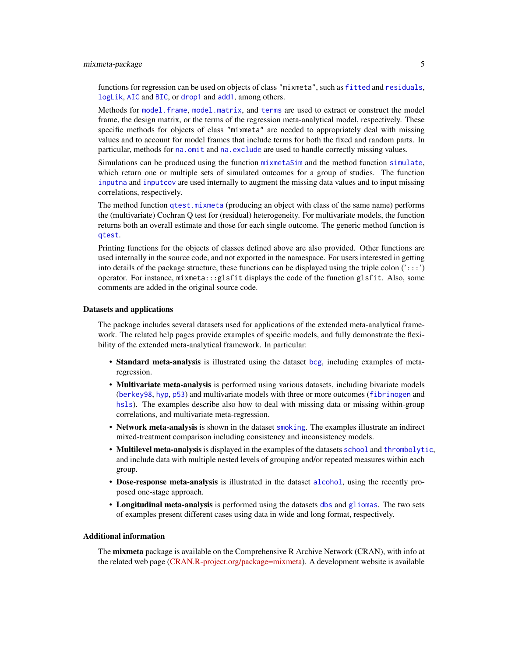## mixmeta-package 5

functions for regression can be used on objects of class "mixmeta", such as [fitted](#page-0-0) and [residuals](#page-0-0), [logLik](#page-29-1), [AIC](#page-0-0) and [BIC](#page-0-0), or [drop1](#page-0-0) and [add1](#page-0-0), among others.

Methods for [model.frame](#page-66-1), [model.matrix](#page-66-2), and [terms](#page-81-1) are used to extract or construct the model frame, the design matrix, or the terms of the regression meta-analytical model, respectively. These specific methods for objects of class "mixmeta" are needed to appropriately deal with missing values and to account for model frames that include terms for both the fixed and random parts. In particular, methods for [na.omit](#page-68-1) and [na.exclude](#page-68-2) are used to handle correctly missing values.

Simulations can be produced using the function [mixmetaSim](#page-57-1) and the method function [simulate](#page-57-2), which return one or multiple sets of simulated outcomes for a group of studies. The function [inputna](#page-27-1) and [inputcov](#page-25-1) are used internally to augment the missing data values and to input missing correlations, respectively.

The method function [qtest.mixmeta](#page-74-1) (producing an object with class of the same name) performs the (multivariate) Cochran Q test for (residual) heterogeneity. For multivariate models, the function returns both an overall estimate and those for each single outcome. The generic method function is [qtest](#page-73-1).

Printing functions for the objects of classes defined above are also provided. Other functions are used internally in the source code, and not exported in the namespace. For users interested in getting into details of the package structure, these functions can be displayed using the triple colon  $(':::)$ operator. For instance, mixmeta:::glsfit displays the code of the function glsfit. Also, some comments are added in the original source code.

## Datasets and applications

The package includes several datasets used for applications of the extended meta-analytical framework. The related help pages provide examples of specific models, and fully demonstrate the flexibility of the extended meta-analytical framework. In particular:

- Standard meta-analysis is illustrated using the dataset [bcg](#page-9-1), including examples of metaregression.
- Multivariate meta-analysis is performed using various datasets, including bivariate models ([berkey98](#page-11-1), [hyp](#page-24-1), [p53](#page-70-1)) and multivariate models with three or more outcomes ([fibrinogen](#page-19-1) and [hsls](#page-23-1)). The examples describe also how to deal with missing data or missing within-group correlations, and multivariate meta-regression.
- Network meta-analysis is shown in the dataset [smoking](#page-77-1). The examples illustrate an indirect mixed-treatment comparison including consistency and inconsistency models.
- Multilevel meta-analysisis displayed in the examples of the datasets [school](#page-76-1) and [thrombolytic](#page-82-1), and include data with multiple nested levels of grouping and/or repeated measures within each group.
- Dose-response meta-analysis is illustrated in the dataset [alcohol](#page-6-1), using the recently proposed one-stage approach.
- Longitudinal meta-analysis is performed using the datasets [dbs](#page-17-1) and [gliomas](#page-20-1). The two sets of examples present different cases using data in wide and long format, respectively.

## Additional information

The **mixmeta** package is available on the Comprehensive R Archive Network (CRAN), with info at the related web page [\(CRAN.R-project.org/package=mixmeta\)](https://CRAN.R-project.org/package=mixmeta). A development website is available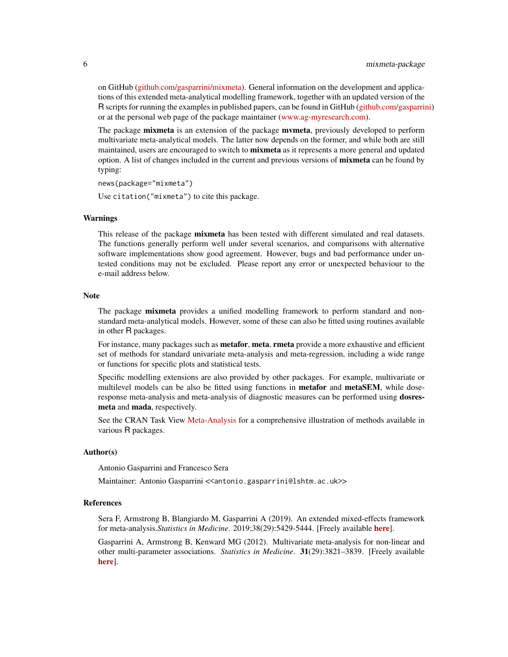on GitHub [\(github.com/gasparrini/mixmeta\)](https://github.com/gasparrini/mixmeta). General information on the development and applications of this extended meta-analytical modelling framework, together with an updated version of the R scripts for running the examples in published papers, can be found in GitHub [\(github.com/gasparrini\)](https://github.com/gasparrini) or at the personal web page of the package maintainer [\(www.ag-myresearch.com\)](http://www.ag-myresearch.com).

The package **mixmeta** is an extension of the package **mymeta**, previously developed to perform multivariate meta-analytical models. The latter now depends on the former, and while both are still maintained, users are encouraged to switch to **mixmeta** as it represents a more general and updated option. A list of changes included in the current and previous versions of **mixmeta** can be found by typing:

news(package="mixmeta")

Use citation("mixmeta") to cite this package.

#### Warnings

This release of the package mixmeta has been tested with different simulated and real datasets. The functions generally perform well under several scenarios, and comparisons with alternative software implementations show good agreement. However, bugs and bad performance under untested conditions may not be excluded. Please report any error or unexpected behaviour to the e-mail address below.

## **Note**

The package **mixmeta** provides a unified modelling framework to perform standard and nonstandard meta-analytical models. However, some of these can also be fitted using routines available in other R packages.

For instance, many packages such as **metafor, meta, rmeta** provide a more exhaustive and efficient set of methods for standard univariate meta-analysis and meta-regression, including a wide range or functions for specific plots and statistical tests.

Specific modelling extensions are also provided by other packages. For example, multivariate or multilevel models can be also be fitted using functions in **metafor** and **metaSEM**, while doseresponse meta-analysis and meta-analysis of diagnostic measures can be performed using dosresmeta and mada, respectively.

See the CRAN Task View [Meta-Analysis](https://cran.r-project.org/view=MetaAnalysis) for a comprehensive illustration of methods available in various R packages.

## Author(s)

Antonio Gasparrini and Francesco Sera

Maintainer: Antonio Gasparrini <<antonio.gasparrini@lshtm.ac.uk>>

#### References

Sera F, Armstrong B, Blangiardo M, Gasparrini A (2019). An extended mixed-effects framework for meta-analysis.*Statistics in Medicine*. 2019;38(29):5429-5444. [Freely available [here](http://www.ag-myresearch.com/2019_sera_statmed.html)].

Gasparrini A, Armstrong B, Kenward MG (2012). Multivariate meta-analysis for non-linear and other multi-parameter associations. *Statistics in Medicine*. 31(29):3821–3839. [Freely available [here](http://www.ag-myresearch.com/2012_gasparrini_statmed.html)].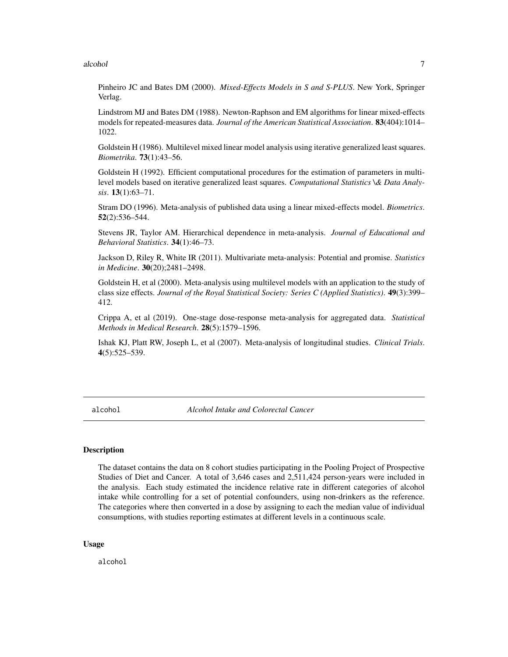## <span id="page-6-0"></span>alcohol 7 and 7 and 7 and 7 and 7 and 7 and 7 and 7 and 7 and 7 and 7 and 7 and 7 and 7 and 7 and 7 and 7 and 7

Pinheiro JC and Bates DM (2000). *Mixed-Effects Models in S and S-PLUS*. New York, Springer Verlag.

Lindstrom MJ and Bates DM (1988). Newton-Raphson and EM algorithms for linear mixed-effects models for repeated-measures data. *Journal of the American Statistical Association*. 83(404):1014– 1022.

Goldstein H (1986). Multilevel mixed linear model analysis using iterative generalized least squares. *Biometrika*. 73(1):43–56.

Goldstein H (1992). Efficient computational procedures for the estimation of parameters in multilevel models based on iterative generalized least squares. *Computational Statistics \& Data Analysis*. 13(1):63–71.

Stram DO (1996). Meta-analysis of published data using a linear mixed-effects model. *Biometrics*. 52(2):536–544.

Stevens JR, Taylor AM. Hierarchical dependence in meta-analysis. *Journal of Educational and Behavioral Statistics*. 34(1):46–73.

Jackson D, Riley R, White IR (2011). Multivariate meta-analysis: Potential and promise. *Statistics in Medicine*. 30(20);2481–2498.

Goldstein H, et al (2000). Meta-analysis using multilevel models with an application to the study of class size effects. *Journal of the Royal Statistical Society: Series C (Applied Statistics)*. 49(3):399– 412.

Crippa A, et al (2019). One-stage dose-response meta-analysis for aggregated data. *Statistical Methods in Medical Research*. 28(5):1579–1596.

Ishak KJ, Platt RW, Joseph L, et al (2007). Meta-analysis of longitudinal studies. *Clinical Trials*. 4(5):525–539.

<span id="page-6-1"></span>alcohol *Alcohol Intake and Colorectal Cancer*

## Description

The dataset contains the data on 8 cohort studies participating in the Pooling Project of Prospective Studies of Diet and Cancer. A total of 3,646 cases and 2,511,424 person-years were included in the analysis. Each study estimated the incidence relative rate in different categories of alcohol intake while controlling for a set of potential confounders, using non-drinkers as the reference. The categories where then converted in a dose by assigning to each the median value of individual consumptions, with studies reporting estimates at different levels in a continuous scale.

#### Usage

alcohol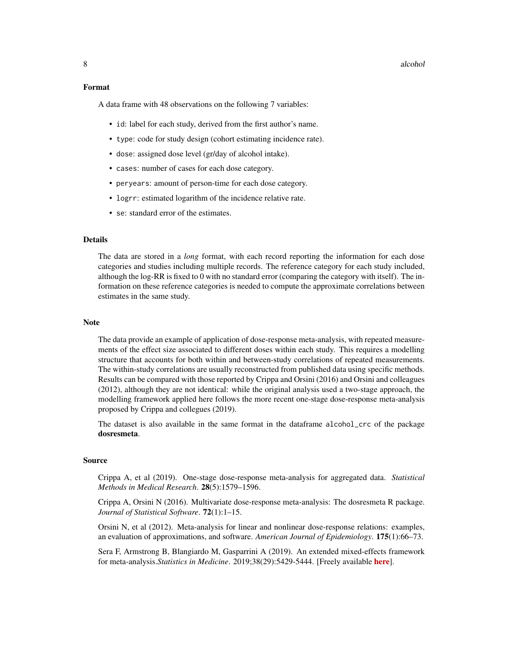## 8 alcohol and the state of the state of the state of the state of the state of the state of the state of the state of the state of the state of the state of the state of the state of the state of the state of the state of

## Format

A data frame with 48 observations on the following 7 variables:

- id: label for each study, derived from the first author's name.
- type: code for study design (cohort estimating incidence rate).
- dose: assigned dose level (gr/day of alcohol intake).
- cases: number of cases for each dose category.
- peryears: amount of person-time for each dose category.
- logrr: estimated logarithm of the incidence relative rate.
- se: standard error of the estimates.

## **Details**

The data are stored in a *long* format, with each record reporting the information for each dose categories and studies including multiple records. The reference category for each study included, although the log-RR is fixed to 0 with no standard error (comparing the category with itself). The information on these reference categories is needed to compute the approximate correlations between estimates in the same study.

## **Note**

The data provide an example of application of dose-response meta-analysis, with repeated measurements of the effect size associated to different doses within each study. This requires a modelling structure that accounts for both within and between-study correlations of repeated measurements. The within-study correlations are usually reconstructed from published data using specific methods. Results can be compared with those reported by Crippa and Orsini (2016) and Orsini and colleagues (2012), although they are not identical: while the original analysis used a two-stage approach, the modelling framework applied here follows the more recent one-stage dose-response meta-analysis proposed by Crippa and collegues (2019).

The dataset is also available in the same format in the dataframe alcohol\_crc of the package dosresmeta.

## Source

Crippa A, et al (2019). One-stage dose-response meta-analysis for aggregated data. *Statistical Methods in Medical Research*. 28(5):1579–1596.

Crippa A, Orsini N (2016). Multivariate dose-response meta-analysis: The dosresmeta R package. *Journal of Statistical Software*. 72(1):1–15.

Orsini N, et al (2012). Meta-analysis for linear and nonlinear dose-response relations: examples, an evaluation of approximations, and software. *American Journal of Epidemiology*. 175(1):66–73.

Sera F, Armstrong B, Blangiardo M, Gasparrini A (2019). An extended mixed-effects framework for meta-analysis.*Statistics in Medicine*. 2019;38(29):5429-5444. [Freely available [here](http://www.ag-myresearch.com/2019_sera_statmed.html)].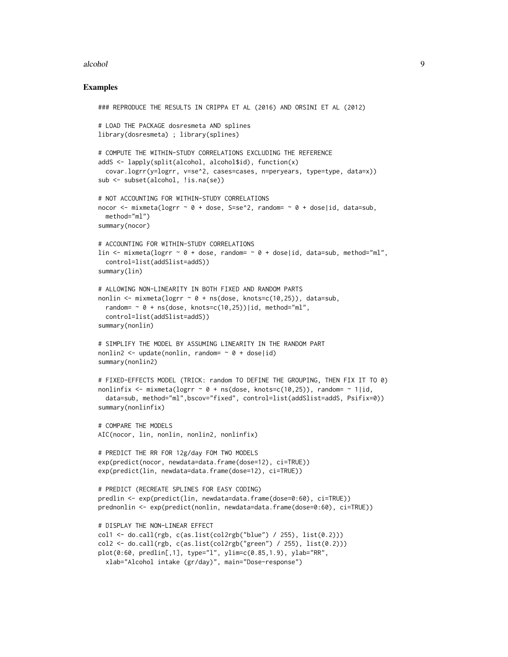## alcohol 99

#### Examples

```
### REPRODUCE THE RESULTS IN CRIPPA ET AL (2016) AND ORSINI ET AL (2012)
# LOAD THE PACKAGE dosresmeta AND splines
library(dosresmeta) ; library(splines)
# COMPUTE THE WITHIN-STUDY CORRELATIONS EXCLUDING THE REFERENCE
addS \leq lapply(split(alcohol, alcohol$id), function(x)
  covar.logrr(y=logrr, v=se^2, cases=cases, n=peryears, type=type, data=x))
sub <- subset(alcohol, !is.na(se))
# NOT ACCOUNTING FOR WITHIN-STUDY CORRELATIONS
nocor \le mixmeta(logrr \sim 0 + dose, S=se^2, random= \sim 0 + dose|id, data=sub,
 method="ml")
summary(nocor)
# ACCOUNTING FOR WITHIN-STUDY CORRELATIONS
lin \le mixmeta(logrr \sim 0 + dose, random= \sim 0 + dose|id, data=sub, method="ml",
  control=list(addSlist=addS))
summary(lin)
# ALLOWING NON-LINEARITY IN BOTH FIXED AND RANDOM PARTS
nonlin <- mixmeta(logrr \sim 0 + ns(dose, knots=c(10,25)), data=sub,
  random= \sim 0 + ns(dose, knots=c(10,25))|id, method="ml",
  control=list(addSlist=addS))
summary(nonlin)
# SIMPLIFY THE MODEL BY ASSUMING LINEARITY IN THE RANDOM PART
nonlin2 <- update(nonlin, random= \sim 0 + dose|id)
summary(nonlin2)
# FIXED-EFFECTS MODEL (TRICK: random TO DEFINE THE GROUPING, THEN FIX IT TO 0)
nonlinfix \leq mixmeta(logrr \sim 0 + ns(dose, knots=c(10,25)), random= \sim 1|id,
  data=sub, method="ml",bscov="fixed", control=list(addSlist=addS, Psifix=0))
summary(nonlinfix)
# COMPARE THE MODELS
AIC(nocor, lin, nonlin, nonlin2, nonlinfix)
# PREDICT THE RR FOR 12g/day FOM TWO MODELS
exp(predict(nocor, newdata=data.frame(dose=12), ci=TRUE))
exp(predict(lin, newdata=data.frame(dose=12), ci=TRUE))
# PREDICT (RECREATE SPLINES FOR EASY CODING)
predlin <- exp(predict(lin, newdata=data.frame(dose=0:60), ci=TRUE))
prednonlin <- exp(predict(nonlin, newdata=data.frame(dose=0:60), ci=TRUE))
# DISPLAY THE NON-LINEAR EFFECT
col1 \leftarrow do.call(rgb, c(as.list(col2rgb("blue") / 255), list(0.2)))
col2 \leftarrow do-call(rgb, c(as.list(col2rgb("green") / 255), list(0.2)))plot(0:60, predlin[,1], type="l", ylim=c(0.85,1.9), ylab="RR",
  xlab="Alcohol intake (gr/day)", main="Dose-response")
```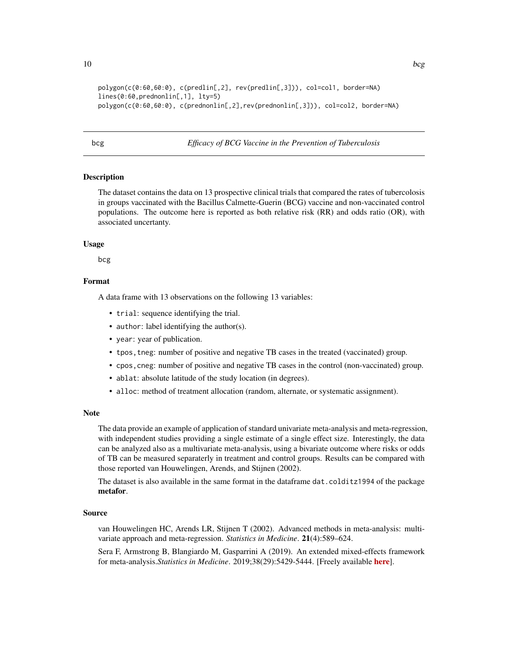```
polygon(c(0:60,60:0), c(predlin[,2], rev(predlin[,3])), col=col1, border=NA)
lines(0:60,prednonlin[,1], lty=5)
polygon(c(0:60,60:0), c(prednonlin[,2],rev(prednonlin[,3])), col=col2, border=NA)
```
<span id="page-9-1"></span>bcg *Efficacy of BCG Vaccine in the Prevention of Tuberculosis*

## Description

The dataset contains the data on 13 prospective clinical trials that compared the rates of tubercolosis in groups vaccinated with the Bacillus Calmette-Guerin (BCG) vaccine and non-vaccinated control populations. The outcome here is reported as both relative risk (RR) and odds ratio (OR), with associated uncertanty.

#### Usage

bcg

## Format

A data frame with 13 observations on the following 13 variables:

- trial: sequence identifying the trial.
- author: label identifying the author(s).
- year: year of publication.
- tpos,tneg: number of positive and negative TB cases in the treated (vaccinated) group.
- cpos,cneg: number of positive and negative TB cases in the control (non-vaccinated) group.
- ablat: absolute latitude of the study location (in degrees).
- alloc: method of treatment allocation (random, alternate, or systematic assignment).

#### Note

The data provide an example of application of standard univariate meta-analysis and meta-regression, with independent studies providing a single estimate of a single effect size. Interestingly, the data can be analyzed also as a multivariate meta-analysis, using a bivariate outcome where risks or odds of TB can be measured separaterly in treatment and control groups. Results can be compared with those reported van Houwelingen, Arends, and Stijnen (2002).

The dataset is also available in the same format in the dataframe dat.colditz1994 of the package metafor.

## Source

van Houwelingen HC, Arends LR, Stijnen T (2002). Advanced methods in meta-analysis: multivariate approach and meta-regression. *Statistics in Medicine*. 21(4):589–624.

Sera F, Armstrong B, Blangiardo M, Gasparrini A (2019). An extended mixed-effects framework for meta-analysis.*Statistics in Medicine*. 2019;38(29):5429-5444. [Freely available [here](http://www.ag-myresearch.com/2019_sera_statmed.html)].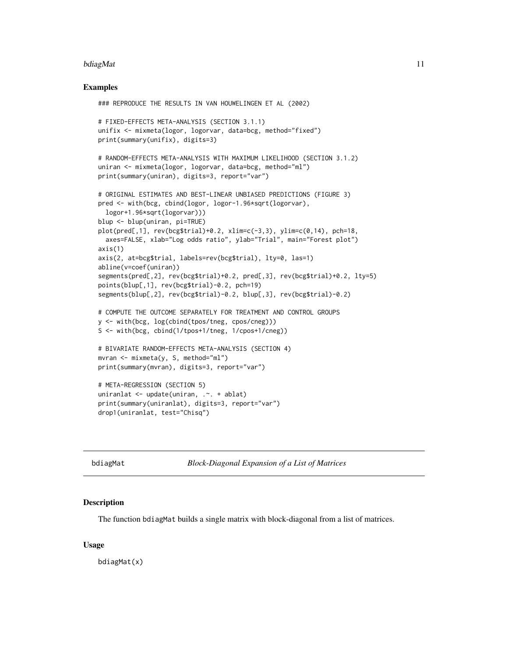## <span id="page-10-0"></span>bdiagMat 11

## Examples

```
### REPRODUCE THE RESULTS IN VAN HOUWELINGEN ET AL (2002)
# FIXED-EFFECTS META-ANALYSIS (SECTION 3.1.1)
unifix <- mixmeta(logor, logorvar, data=bcg, method="fixed")
print(summary(unifix), digits=3)
# RANDOM-EFFECTS META-ANALYSIS WITH MAXIMUM LIKELIHOOD (SECTION 3.1.2)
uniran <- mixmeta(logor, logorvar, data=bcg, method="ml")
print(summary(uniran), digits=3, report="var")
# ORIGINAL ESTIMATES AND BEST-LINEAR UNBIASED PREDICTIONS (FIGURE 3)
pred <- with(bcg, cbind(logor, logor-1.96*sqrt(logorvar),
  logor+1.96*sqrt(logorvar)))
blup <- blup(uniran, pi=TRUE)
plot(pred[, 1], rev(bcg$trial)+0.2, xlim=c(-3,3), ylim=c(0,14), pch=18,axes=FALSE, xlab="Log odds ratio", ylab="Trial", main="Forest plot")
axis(1)
axis(2, at=bcg$trial, labels=rev(bcg$trial), lty=0, las=1)
abline(v=coef(uniran))
segments(pred[,2], rev(bcg$trial)+0.2, pred[,3], rev(bcg$trial)+0.2, lty=5)
points(blup[,1], rev(bcg$trial)-0.2, pch=19)
segments(blup[,2], rev(bcg$trial)-0.2, blup[,3], rev(bcg$trial)-0.2)
# COMPUTE THE OUTCOME SEPARATELY FOR TREATMENT AND CONTROL GROUPS
y <- with(bcg, log(cbind(tpos/tneg, cpos/cneg)))
S <- with(bcg, cbind(1/tpos+1/tneg, 1/cpos+1/cneg))
# BIVARIATE RANDOM-EFFECTS META-ANALYSIS (SECTION 4)
mvran <- mixmeta(y, S, method="ml")
print(summary(mvran), digits=3, report="var")
# META-REGRESSION (SECTION 5)
uniranlat <- update(uniran, .~. + ablat)
print(summary(uniranlat), digits=3, report="var")
drop1(uniranlat, test="Chisq")
```
bdiagMat *Block-Diagonal Expansion of a List of Matrices*

## **Description**

The function bdiagMat builds a single matrix with block-diagonal from a list of matrices.

#### Usage

bdiagMat(x)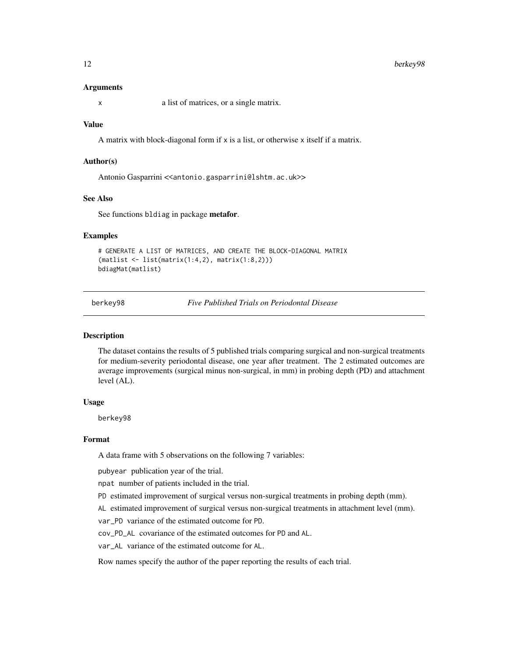## <span id="page-11-0"></span>12 berkey98

## Arguments

x a list of matrices, or a single matrix.

## Value

A matrix with block-diagonal form if x is a list, or otherwise x itself if a matrix.

## Author(s)

Antonio Gasparrini << antonio.gasparrini@lshtm.ac.uk>>

## See Also

See functions bldiag in package metafor.

## Examples

```
# GENERATE A LIST OF MATRICES, AND CREATE THE BLOCK-DIAGONAL MATRIX
(matlist <- list(matrix(1:4,2), matrix(1:8,2)))
bdiagMat(matlist)
```
<span id="page-11-1"></span>berkey98 *Five Published Trials on Periodontal Disease*

## Description

The dataset contains the results of 5 published trials comparing surgical and non-surgical treatments for medium-severity periodontal disease, one year after treatment. The 2 estimated outcomes are average improvements (surgical minus non-surgical, in mm) in probing depth (PD) and attachment level (AL).

## Usage

berkey98

#### Format

A data frame with 5 observations on the following 7 variables:

pubyear publication year of the trial.

npat number of patients included in the trial.

- PD estimated improvement of surgical versus non-surgical treatments in probing depth (mm).
- AL estimated improvement of surgical versus non-surgical treatments in attachment level (mm).

var\_PD variance of the estimated outcome for PD.

cov\_PD\_AL covariance of the estimated outcomes for PD and AL.

var\_AL variance of the estimated outcome for AL.

Row names specify the author of the paper reporting the results of each trial.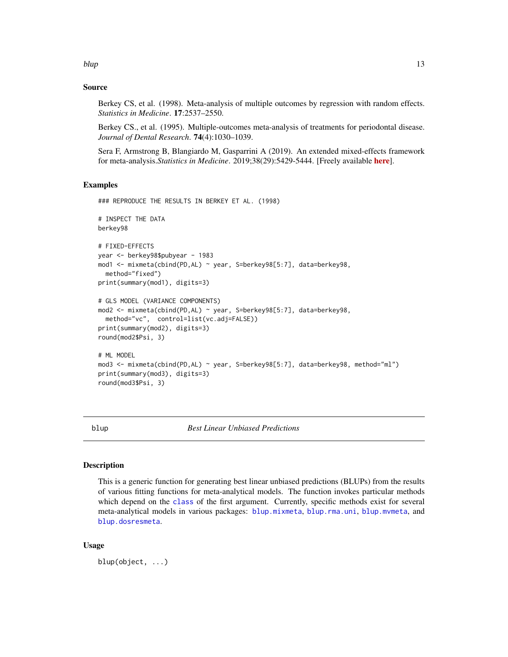<span id="page-12-0"></span>blup the contract of the contract of the contract of the contract of the contract of the contract of the contract of the contract of the contract of the contract of the contract of the contract of the contract of the contr

## Source

Berkey CS, et al. (1998). Meta-analysis of multiple outcomes by regression with random effects. *Statistics in Medicine*. 17:2537–2550.

Berkey CS., et al. (1995). Multiple-outcomes meta-analysis of treatments for periodontal disease. *Journal of Dental Research*. 74(4):1030–1039.

Sera F, Armstrong B, Blangiardo M, Gasparrini A (2019). An extended mixed-effects framework for meta-analysis.*Statistics in Medicine*. 2019;38(29):5429-5444. [Freely available [here](http://www.ag-myresearch.com/2019_sera_statmed.html)].

## Examples

```
### REPRODUCE THE RESULTS IN BERKEY ET AL. (1998)
# INSPECT THE DATA
berkey98
# FIXED-EFFECTS
year <- berkey98$pubyear - 1983
mod1 <- mixmeta(cbind(PD,AL) ~ year, S=berkey98[5:7], data=berkey98,
 method="fixed")
print(summary(mod1), digits=3)
# GLS MODEL (VARIANCE COMPONENTS)
mod2 <- mixmeta(cbind(PD,AL) ~ year, S=berkey98[5:7], data=berkey98,
 method="vc", control=list(vc.adj=FALSE))
print(summary(mod2), digits=3)
round(mod2$Psi, 3)
# ML MODEL
mod3 <- mixmeta(cbind(PD,AL) ~ year, S=berkey98[5:7], data=berkey98, method="ml")
print(summary(mod3), digits=3)
round(mod3$Psi, 3)
```
blup *Best Linear Unbiased Predictions*

## Description

This is a generic function for generating best linear unbiased predictions (BLUPs) from the results of various fitting functions for meta-analytical models. The function invokes particular methods which depend on the [class](#page-0-0) of the first argument. Currently, specific methods exist for several meta-analytical models in various packages: [blup.mixmeta](#page-13-1), [blup.rma.uni](#page-0-0), [blup.mvmeta](#page-0-0), and [blup.dosresmeta](#page-0-0).

## Usage

blup(object, ...)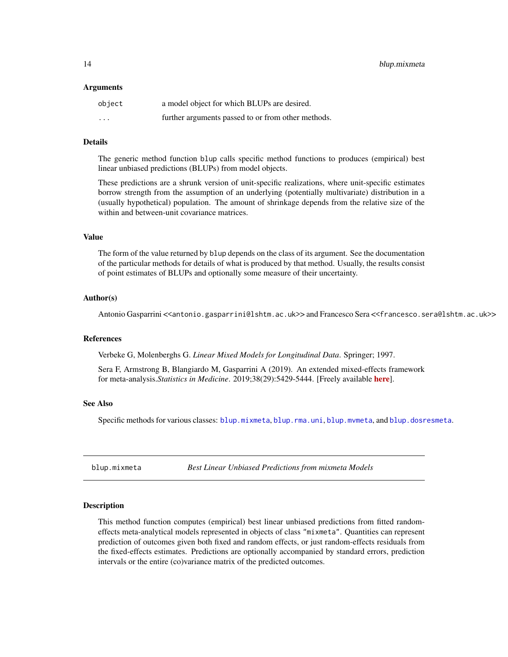<span id="page-13-0"></span>14 blup.mixmeta

## Arguments

| object   | a model object for which BLUPs are desired.        |
|----------|----------------------------------------------------|
| $\cdots$ | further arguments passed to or from other methods. |

## Details

The generic method function blup calls specific method functions to produces (empirical) best linear unbiased predictions (BLUPs) from model objects.

These predictions are a shrunk version of unit-specific realizations, where unit-specific estimates borrow strength from the assumption of an underlying (potentially multivariate) distribution in a (usually hypothetical) population. The amount of shrinkage depends from the relative size of the within and between-unit covariance matrices.

## Value

The form of the value returned by blup depends on the class of its argument. See the documentation of the particular methods for details of what is produced by that method. Usually, the results consist of point estimates of BLUPs and optionally some measure of their uncertainty.

## Author(s)

Antonio Gasparrini <<antonio.gasparrini@lshtm.ac.uk>> and Francesco Sera <<francesco.sera@lshtm.ac.uk>>

## References

Verbeke G, Molenberghs G. *Linear Mixed Models for Longitudinal Data*. Springer; 1997.

Sera F, Armstrong B, Blangiardo M, Gasparrini A (2019). An extended mixed-effects framework for meta-analysis.*Statistics in Medicine*. 2019;38(29):5429-5444. [Freely available [here](http://www.ag-myresearch.com/2019_sera_statmed.html)].

## See Also

Specific methods for various classes: [blup.mixmeta](#page-13-1), [blup.rma.uni](#page-0-0), [blup.mvmeta](#page-0-0), and [blup.dosresmeta](#page-0-0).

<span id="page-13-1"></span>blup.mixmeta *Best Linear Unbiased Predictions from mixmeta Models*

## Description

This method function computes (empirical) best linear unbiased predictions from fitted randomeffects meta-analytical models represented in objects of class "mixmeta". Quantities can represent prediction of outcomes given both fixed and random effects, or just random-effects residuals from the fixed-effects estimates. Predictions are optionally accompanied by standard errors, prediction intervals or the entire (co)variance matrix of the predicted outcomes.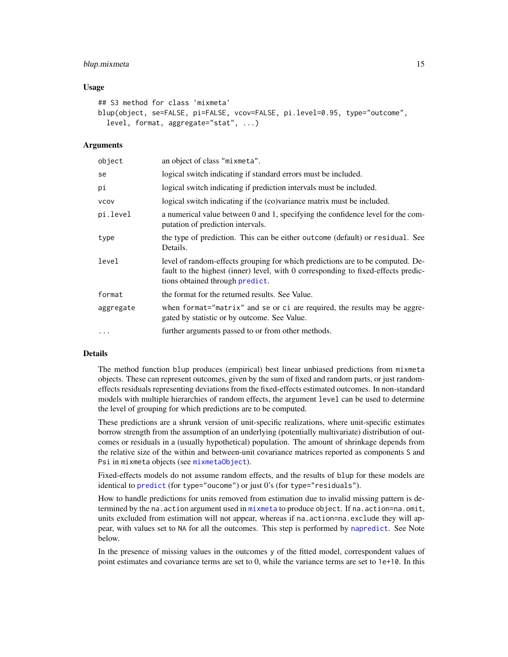## blup.mixmeta 15

## Usage

```
## S3 method for class 'mixmeta'
blup(object, se=FALSE, pi=FALSE, vcov=FALSE, pi.level=0.95, type="outcome",
  level, format, aggregate="stat", ...)
```
## Arguments

| object      | an object of class "mixmeta".                                                                                                                                                                          |
|-------------|--------------------------------------------------------------------------------------------------------------------------------------------------------------------------------------------------------|
| se          | logical switch indicating if standard errors must be included.                                                                                                                                         |
| рi          | logical switch indicating if prediction intervals must be included.                                                                                                                                    |
| <b>VCOV</b> | logical switch indicating if the (co)variance matrix must be included.                                                                                                                                 |
| pi.level    | a numerical value between 0 and 1, specifying the confidence level for the com-<br>putation of prediction intervals.                                                                                   |
| type        | the type of prediction. This can be either outcome (default) or residual. See<br>Details.                                                                                                              |
| level       | level of random-effects grouping for which predictions are to be computed. De-<br>fault to the highest (inner) level, with 0 corresponding to fixed-effects predic-<br>tions obtained through predict. |
| format      | the format for the returned results. See Value.                                                                                                                                                        |
| aggregate   | when format="matrix" and se or ci are required, the results may be aggre-<br>gated by statistic or by outcome. See Value.                                                                              |
| $\cdots$    | further arguments passed to or from other methods.                                                                                                                                                     |

## Details

The method function blup produces (empirical) best linear unbiased predictions from mixmeta objects. These can represent outcomes, given by the sum of fixed and random parts, or just randomeffects residuals representing deviations from the fixed-effects estimated outcomes. In non-standard models with multiple hierarchies of random effects, the argument level can be used to determine the level of grouping for which predictions are to be computed.

These predictions are a shrunk version of unit-specific realizations, where unit-specific estimates borrow strength from the assumption of an underlying (potentially multivariate) distribution of outcomes or residuals in a (usually hypothetical) population. The amount of shrinkage depends from the relative size of the within and between-unit covariance matrices reported as components S and Psi in mixmeta objects (see [mixmetaObject](#page-54-1)).

Fixed-effects models do not assume random effects, and the results of blup for these models are identical to [predict](#page-71-1) (for type="oucome") or just 0's (for type="residuals").

How to handle predictions for units removed from estimation due to invalid missing pattern is determined by the na.action argument used in [mixmeta](#page-30-1) to produce object. If na.action=na.omit, units excluded from estimation will not appear, whereas if na.action=na.exclude they will appear, with values set to NA for all the outcomes. This step is performed by [napredict](#page-0-0). See Note below.

In the presence of missing values in the outcomes y of the fitted model, correspondent values of point estimates and covariance terms are set to 0, while the variance terms are set to 1e+10. In this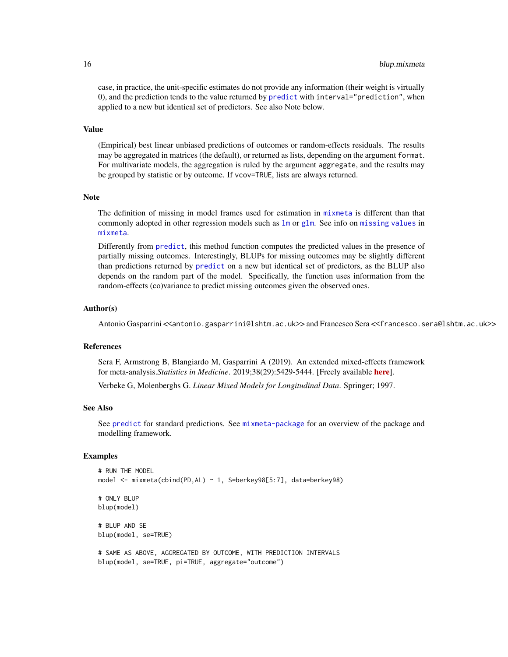case, in practice, the unit-specific estimates do not provide any information (their weight is virtually 0), and the prediction tends to the value returned by [predict](#page-71-1) with interval="prediction", when applied to a new but identical set of predictors. See also Note below.

## Value

(Empirical) best linear unbiased predictions of outcomes or random-effects residuals. The results may be aggregated in matrices (the default), or returned as lists, depending on the argument format. For multivariate models, the aggregation is ruled by the argument aggregate, and the results may be grouped by statistic or by outcome. If vcov=TRUE, lists are always returned.

## Note

The definition of missing in model frames used for estimation in [mixmeta](#page-30-1) is different than that commonly adopted in other regression models such as  $\text{lm}$  $\text{lm}$  $\text{lm}$  or [glm](#page-0-0). See info on [missing values](#page-68-1) in [mixmeta](#page-30-1).

Differently from [predict](#page-71-1), this method function computes the predicted values in the presence of partially missing outcomes. Interestingly, BLUPs for missing outcomes may be slightly different than predictions returned by [predict](#page-71-1) on a new but identical set of predictors, as the BLUP also depends on the random part of the model. Specifically, the function uses information from the random-effects (co)variance to predict missing outcomes given the observed ones.

#### Author(s)

Antonio Gasparrini <<antonio.gasparrini@lshtm.ac.uk>> and Francesco Sera <<francesco.sera@lshtm.ac.uk>>

## References

Sera F, Armstrong B, Blangiardo M, Gasparrini A (2019). An extended mixed-effects framework for meta-analysis.*Statistics in Medicine*. 2019;38(29):5429-5444. [Freely available [here](http://www.ag-myresearch.com/2019_sera_statmed.html)].

Verbeke G, Molenberghs G. *Linear Mixed Models for Longitudinal Data*. Springer; 1997.

## See Also

See [predict](#page-71-1) for standard predictions. See [mixmeta-package](#page-1-1) for an overview of the package and modelling framework.

## Examples

```
# RUN THE MODEL
model <- mixmeta(cbind(PD,AL) ~ 1, S=berkey98[5:7], data=berkey98)
# ONLY BLUP
blup(model)
# BLUP AND SE
blup(model, se=TRUE)
# SAME AS ABOVE, AGGREGATED BY OUTCOME, WITH PREDICTION INTERVALS
```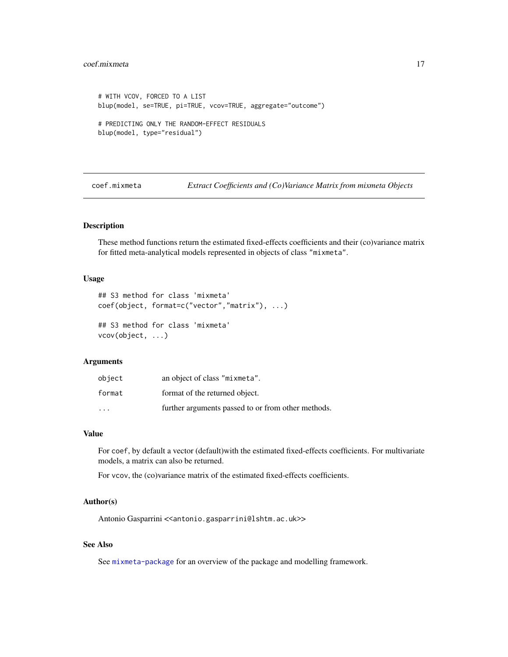## <span id="page-16-0"></span>coef.mixmeta 17

```
# WITH VCOV, FORCED TO A LIST
blup(model, se=TRUE, pi=TRUE, vcov=TRUE, aggregate="outcome")
# PREDICTING ONLY THE RANDOM-EFFECT RESIDUALS
blup(model, type="residual")
```
coef.mixmeta *Extract Coefficients and (Co)Variance Matrix from mixmeta Objects*

## Description

These method functions return the estimated fixed-effects coefficients and their (co)variance matrix for fitted meta-analytical models represented in objects of class "mixmeta".

## Usage

```
## S3 method for class 'mixmeta'
coef(object, format=c("vector","matrix"), ...)
## S3 method for class 'mixmeta'
vcov(object, ...)
```
## Arguments

| object                  | an object of class "mixmeta".                      |
|-------------------------|----------------------------------------------------|
| format                  | format of the returned object.                     |
| $\cdot$ $\cdot$ $\cdot$ | further arguments passed to or from other methods. |

## Value

For coef, by default a vector (default)with the estimated fixed-effects coefficients. For multivariate models, a matrix can also be returned.

For vcov, the (co)variance matrix of the estimated fixed-effects coefficients.

## Author(s)

Antonio Gasparrini << antonio.gasparrini@lshtm.ac.uk>>

## See Also

See [mixmeta-package](#page-1-1) for an overview of the package and modelling framework.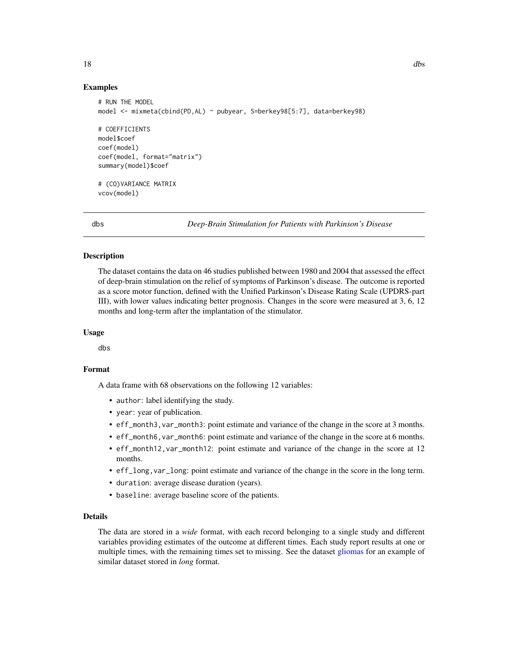## Examples

```
# RUN THE MODEL
model <- mixmeta(cbind(PD,AL) ~ pubyear, S=berkey98[5:7], data=berkey98)
# COEFFICIENTS
model$coef
coef(model)
coef(model, format="matrix")
summary(model)$coef
# (CO)VARIANCE MATRIX
vcov(model)
```
<span id="page-17-1"></span>dbs *Deep-Brain Stimulation for Patients with Parkinson's Disease*

## Description

The dataset contains the data on 46 studies published between 1980 and 2004 that assessed the effect of deep-brain stimulation on the relief of symptoms of Parkinson's disease. The outcome is reported as a score motor function, defined with the Unified Parkinson's Disease Rating Scale (UPDRS-part III), with lower values indicating better prognosis. Changes in the score were measured at 3, 6, 12 months and long-term after the implantation of the stimulator.

## Usage

dbs

## Format

A data frame with 68 observations on the following 12 variables:

- author: label identifying the study.
- year: year of publication.
- eff\_month3,var\_month3: point estimate and variance of the change in the score at 3 months.
- eff\_month6,var\_month6: point estimate and variance of the change in the score at 6 months.
- eff\_month12,var\_month12: point estimate and variance of the change in the score at 12 months.
- eff\_long,var\_long: point estimate and variance of the change in the score in the long term.
- duration: average disease duration (years).
- baseline: average baseline score of the patients.

## Details

The data are stored in a *wide* format, with each record belonging to a single study and different variables providing estimates of the outcome at different times. Each study report results at one or multiple times, with the remaining times set to missing. See the dataset [gliomas](#page-20-1) for an example of similar dataset stored in *long* format.

<span id="page-17-0"></span>18 dbs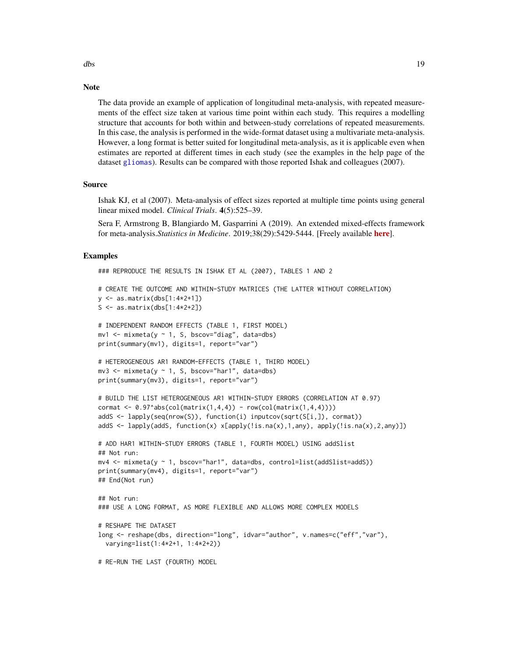## **Note**

The data provide an example of application of longitudinal meta-analysis, with repeated measurements of the effect size taken at various time point within each study. This requires a modelling structure that accounts for both within and between-study correlations of repeated measurements. In this case, the analysis is performed in the wide-format dataset using a multivariate meta-analysis. However, a long format is better suited for longitudinal meta-analysis, as it is applicable even when estimates are reported at different times in each study (see the examples in the help page of the dataset [gliomas](#page-20-1)). Results can be compared with those reported Ishak and colleagues (2007).

## Source

Ishak KJ, et al (2007). Meta-analysis of effect sizes reported at multiple time points using general linear mixed model. *Clinical Trials*. 4(5):525–39.

Sera F, Armstrong B, Blangiardo M, Gasparrini A (2019). An extended mixed-effects framework for meta-analysis.*Statistics in Medicine*. 2019;38(29):5429-5444. [Freely available [here](http://www.ag-myresearch.com/2019_sera_statmed.html)].

## Examples

```
### REPRODUCE THE RESULTS IN ISHAK ET AL (2007), TABLES 1 AND 2
# CREATE THE OUTCOME AND WITHIN-STUDY MATRICES (THE LATTER WITHOUT CORRELATION)
y \le - as.matrix(dbs[1:4*2+1])
S <- as.matrix(dbs[1:4*2+2])
# INDEPENDENT RANDOM EFFECTS (TABLE 1, FIRST MODEL)
mv1 <- mixmeta(y ~ 1, S, bscov="diag", data=dbs)
print(summary(mv1), digits=1, report="var")
# HETEROGENEOUS AR1 RANDOM-EFFECTS (TABLE 1, THIRD MODEL)
mv3 < - mixmeta(y \sim 1, S, bscov="har1", data=dbs)
print(summary(mv3), digits=1, report="var")
# BUILD THE LIST HETEROGENEOUS AR1 WITHIN-STUDY ERRORS (CORRELATION AT 0.97)
cormat \leq 0.97^\circabs(col(matrix(1,4,4)) - row(col(matrix(1,4,4))))
addS <- lapply(seq(nrow(S)), function(i) inputcov(sqrt(S[i,]), cormat))
addS <- lapply(addS, function(x) x[apply(!is.na(x),1,any), apply(!is.na(x),2,any)])
# ADD HAR1 WITHIN-STUDY ERRORS (TABLE 1, FOURTH MODEL) USING addSlist
## Not run:
mv4 \leq mixmeta(y \sim 1, bscov="hardT', data=dbs, control=list(addSlist=addS))print(summary(mv4), digits=1, report="var")
## End(Not run)
## Not run:
### USE A LONG FORMAT, AS MORE FLEXIBLE AND ALLOWS MORE COMPLEX MODELS
# RESHAPE THE DATASET
long <- reshape(dbs, direction="long", idvar="author", v.names=c("eff","var"),
  varying=list(1:4*2+1, 1:4*2+2))
# RE-RUN THE LAST (FOURTH) MODEL
```
dbs 19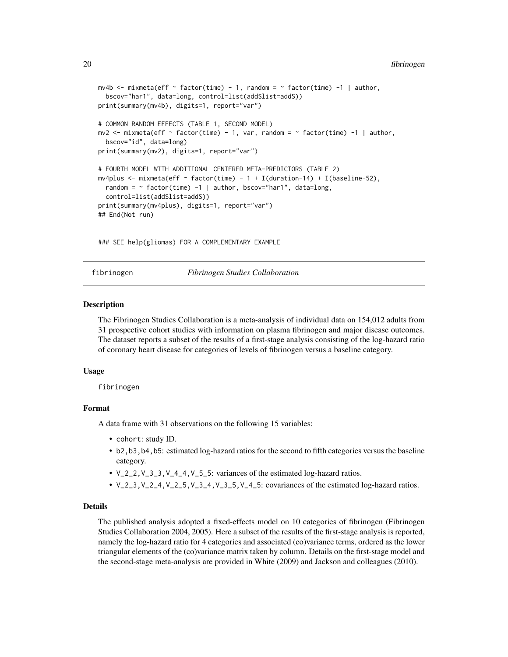```
mv4b <- mixmeta(eff \sim factor(time) - 1, random = \sim factor(time) -1 | author,
  bscov="har1", data=long, control=list(addSlist=addS))
print(summary(mv4b), digits=1, report="var")
# COMMON RANDOM EFFECTS (TABLE 1, SECOND MODEL)
mv2 <- mixmeta(eff \sim factor(time) - 1, var, random = \sim factor(time) -1 | author,
  bscov="id", data=long)
print(summary(mv2), digits=1, report="var")
# FOURTH MODEL WITH ADDITIONAL CENTERED META-PREDICTORS (TABLE 2)
mv4plus <- mixmeta(eff \sim factor(time) - 1 + I(duration-14) + I(baseline-52),
  random = \sim factor(time) -1 | author, bscov="har1", data=long,
  control=list(addSlist=addS))
print(summary(mv4plus), digits=1, report="var")
## End(Not run)
```
### SEE help(gliomas) FOR A COMPLEMENTARY EXAMPLE

<span id="page-19-1"></span>fibrinogen *Fibrinogen Studies Collaboration*

## Description

The Fibrinogen Studies Collaboration is a meta-analysis of individual data on 154,012 adults from 31 prospective cohort studies with information on plasma fibrinogen and major disease outcomes. The dataset reports a subset of the results of a first-stage analysis consisting of the log-hazard ratio of coronary heart disease for categories of levels of fibrinogen versus a baseline category.

## Usage

fibrinogen

## Format

A data frame with 31 observations on the following 15 variables:

- cohort: study ID.
- b2,b3,b4,b5: estimated log-hazard ratios for the second to fifth categories versus the baseline category.
- V\_2\_2,V\_3\_3,V\_4\_4,V\_5\_5: variances of the estimated log-hazard ratios.
- $V_2$  2,3,  $V_2$  2,4,  $V_2$  2,5,  $V_3$  3,4,  $V_3$  3,5,  $V_4$  4,5: covariances of the estimated log-hazard ratios.

## Details

The published analysis adopted a fixed-effects model on 10 categories of fibrinogen (Fibrinogen Studies Collaboration 2004, 2005). Here a subset of the results of the first-stage analysis is reported, namely the log-hazard ratio for 4 categories and associated (co)variance terms, ordered as the lower triangular elements of the (co)variance matrix taken by column. Details on the first-stage model and the second-stage meta-analysis are provided in White (2009) and Jackson and colleagues (2010).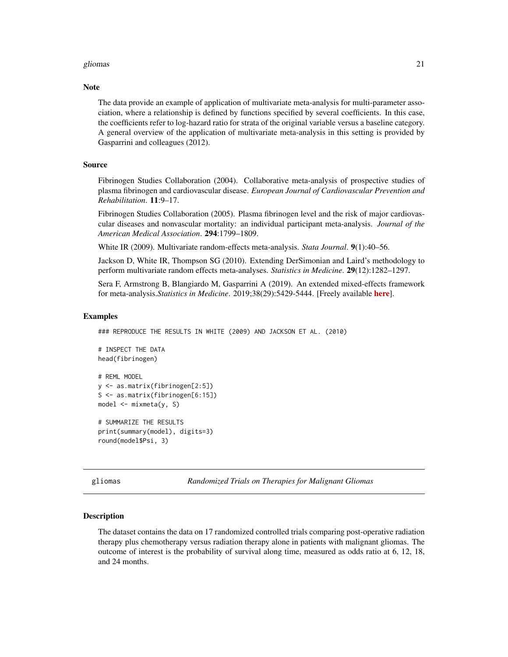## <span id="page-20-0"></span>gliomas 21

#### **Note**

The data provide an example of application of multivariate meta-analysis for multi-parameter association, where a relationship is defined by functions specified by several coefficients. In this case, the coefficients refer to log-hazard ratio for strata of the original variable versus a baseline category. A general overview of the application of multivariate meta-analysis in this setting is provided by Gasparrini and colleagues (2012).

## Source

Fibrinogen Studies Collaboration (2004). Collaborative meta-analysis of prospective studies of plasma fibrinogen and cardiovascular disease. *European Journal of Cardiovascular Prevention and Rehabilitation*. 11:9–17.

Fibrinogen Studies Collaboration (2005). Plasma fibrinogen level and the risk of major cardiovascular diseases and nonvascular mortality: an individual participant meta-analysis. *Journal of the American Medical Association*. 294:1799–1809.

White IR (2009). Multivariate random-effects meta-analysis. *Stata Journal*. 9(1):40–56.

Jackson D, White IR, Thompson SG (2010). Extending DerSimonian and Laird's methodology to perform multivariate random effects meta-analyses. *Statistics in Medicine*. 29(12):1282–1297.

Sera F, Armstrong B, Blangiardo M, Gasparrini A (2019). An extended mixed-effects framework for meta-analysis.*Statistics in Medicine*. 2019;38(29):5429-5444. [Freely available [here](http://www.ag-myresearch.com/2019_sera_statmed.html)].

#### Examples

```
### REPRODUCE THE RESULTS IN WHITE (2009) AND JACKSON ET AL. (2010)
# INSPECT THE DATA
head(fibrinogen)
# REML MODEL
y <- as.matrix(fibrinogen[2:5])
S <- as.matrix(fibrinogen[6:15])
model <- mixmeta(y, S)
# SUMMARIZE THE RESULTS
print(summary(model), digits=3)
round(model$Psi, 3)
```
<span id="page-20-1"></span>gliomas *Randomized Trials on Therapies for Malignant Gliomas*

## Description

The dataset contains the data on 17 randomized controlled trials comparing post-operative radiation therapy plus chemotherapy versus radiation therapy alone in patients with malignant gliomas. The outcome of interest is the probability of survival along time, measured as odds ratio at 6, 12, 18, and 24 months.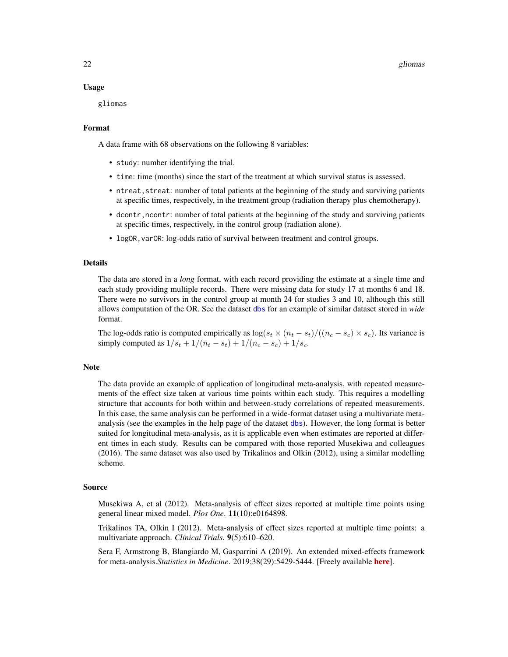22 gliomas est est est en la construction de la construction de la construction de la construction de la construction de la construction de la construction de la construction de la construction de la construction de la con

## Usage

gliomas

## Format

A data frame with 68 observations on the following 8 variables:

- study: number identifying the trial.
- time: time (months) since the start of the treatment at which survival status is assessed.
- ntreat, streat: number of total patients at the beginning of the study and surviving patients at specific times, respectively, in the treatment group (radiation therapy plus chemotherapy).
- dcontr, ncontr: number of total patients at the beginning of the study and surviving patients at specific times, respectively, in the control group (radiation alone).
- logOR, varOR: log-odds ratio of survival between treatment and control groups.

## Details

The data are stored in a *long* format, with each record providing the estimate at a single time and each study providing multiple records. There were missing data for study 17 at months 6 and 18. There were no survivors in the control group at month 24 for studies 3 and 10, although this still allows computation of the OR. See the dataset [dbs](#page-17-1) for an example of similar dataset stored in *wide* format.

The log-odds ratio is computed empirically as  $\log(s_t \times (n_t - s_t) / ((n_c - s_c) \times s_c)$ . Its variance is simply computed as  $1/s_t + 1/(n_t - s_t) + 1/(n_c - s_c) + 1/s_c$ .

#### Note

The data provide an example of application of longitudinal meta-analysis, with repeated measurements of the effect size taken at various time points within each study. This requires a modelling structure that accounts for both within and between-study correlations of repeated measurements. In this case, the same analysis can be performed in a wide-format dataset using a multivariate metaanalysis (see the examples in the help page of the dataset [dbs](#page-17-1)). However, the long format is better suited for longitudinal meta-analysis, as it is applicable even when estimates are reported at different times in each study. Results can be compared with those reported Musekiwa and colleagues (2016). The same dataset was also used by Trikalinos and Olkin (2012), using a similar modelling scheme.

## Source

Musekiwa A, et al (2012). Meta-analysis of effect sizes reported at multiple time points using general linear mixed model. *Plos One*. 11(10):e0164898.

Trikalinos TA, Olkin I (2012). Meta-analysis of effect sizes reported at multiple time points: a multivariate approach. *Clinical Trials*. 9(5):610–620.

Sera F, Armstrong B, Blangiardo M, Gasparrini A (2019). An extended mixed-effects framework for meta-analysis.*Statistics in Medicine*. 2019;38(29):5429-5444. [Freely available [here](http://www.ag-myresearch.com/2019_sera_statmed.html)].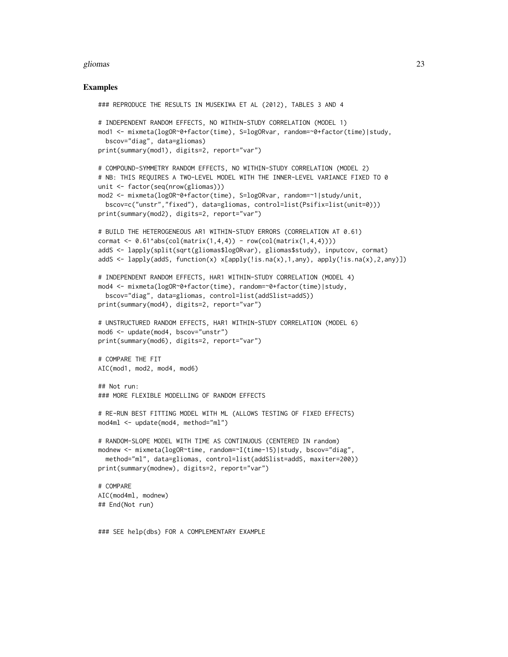## gliomas 23

## Examples

```
### REPRODUCE THE RESULTS IN MUSEKIWA ET AL (2012), TABLES 3 AND 4
# INDEPENDENT RANDOM EFFECTS, NO WITHIN-STUDY CORRELATION (MODEL 1)
mod1 <- mixmeta(logOR~0+factor(time), S=logORvar, random=~0+factor(time)|study,
  bscov="diag", data=gliomas)
print(summary(mod1), digits=2, report="var")
# COMPOUND-SYMMETRY RANDOM EFFECTS, NO WITHIN-STUDY CORRELATION (MODEL 2)
# NB: THIS REQUIRES A TWO-LEVEL MODEL WITH THE INNER-LEVEL VARIANCE FIXED TO 0
unit <- factor(seq(nrow(gliomas)))
mod2 <- mixmeta(logOR~0+factor(time), S=logORvar, random=~1|study/unit,
  bscov=c("unstr","fixed"), data=gliomas, control=list(Psifix=list(unit=0)))
print(summary(mod2), digits=2, report="var")
# BUILD THE HETEROGENEOUS AR1 WITHIN-STUDY ERRORS (CORRELATION AT 0.61)
cormat \leq 0.61^\circabs(col(matrix(1,4,4)) - row(col(matrix(1,4,4))))
addS <- lapply(split(sqrt(gliomas$logORvar), gliomas$study), inputcov, cormat)
addS <- lapply(addS, function(x) x[apply(!is.na(x),1,any), apply(!is.na(x),2,any)])
# INDEPENDENT RANDOM EFFECTS, HAR1 WITHIN-STUDY CORRELATION (MODEL 4)
mod4 <- mixmeta(logOR~0+factor(time), random=~0+factor(time)|study,
  bscov="diag", data=gliomas, control=list(addSlist=addS))
print(summary(mod4), digits=2, report="var")
# UNSTRUCTURED RANDOM EFFECTS, HAR1 WITHIN-STUDY CORRELATION (MODEL 6)
mod6 <- update(mod4, bscov="unstr")
print(summary(mod6), digits=2, report="var")
# COMPARE THE FIT
AIC(mod1, mod2, mod4, mod6)
## Not run:
### MORE FLEXIBLE MODELLING OF RANDOM EFFECTS
# RE-RUN BEST FITTING MODEL WITH ML (ALLOWS TESTING OF FIXED EFFECTS)
mod4ml <- update(mod4, method="ml")
# RANDOM-SLOPE MODEL WITH TIME AS CONTINUOUS (CENTERED IN random)
modnew <- mixmeta(logOR~time, random=~I(time-15)|study, bscov="diag",
  method="ml", data=gliomas, control=list(addSlist=addS, maxiter=200))
print(summary(modnew), digits=2, report="var")
# COMPARE
AIC(mod4ml, modnew)
## End(Not run)
```
### SEE help(dbs) FOR A COMPLEMENTARY EXAMPLE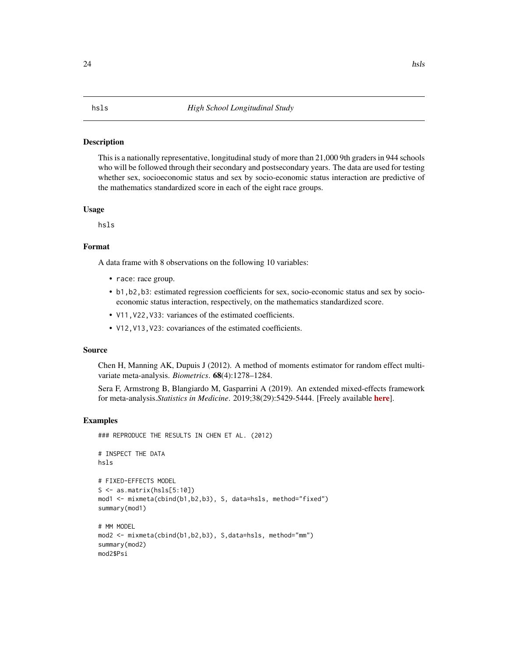## <span id="page-23-1"></span><span id="page-23-0"></span>**Description**

This is a nationally representative, longitudinal study of more than 21,000 9th graders in 944 schools who will be followed through their secondary and postsecondary years. The data are used for testing whether sex, socioeconomic status and sex by socio-economic status interaction are predictive of the mathematics standardized score in each of the eight race groups.

## Usage

hsls

## Format

A data frame with 8 observations on the following 10 variables:

- race: race group.
- b1,b2,b3: estimated regression coefficients for sex, socio-economic status and sex by socioeconomic status interaction, respectively, on the mathematics standardized score.
- V11,V22,V33: variances of the estimated coefficients.
- V12,V13,V23: covariances of the estimated coefficients.

## Source

Chen H, Manning AK, Dupuis J (2012). A method of moments estimator for random effect multivariate meta-analysis. *Biometrics*. 68(4):1278–1284.

Sera F, Armstrong B, Blangiardo M, Gasparrini A (2019). An extended mixed-effects framework for meta-analysis.*Statistics in Medicine*. 2019;38(29):5429-5444. [Freely available [here](http://www.ag-myresearch.com/2019_sera_statmed.html)].

## Examples

```
### REPRODUCE THE RESULTS IN CHEN ET AL. (2012)
# INSPECT THE DATA
hsls
# FIXED-EFFECTS MODEL
S \leftarrow as_matrix(hsls[5:10])mod1 <- mixmeta(cbind(b1,b2,b3), S, data=hsls, method="fixed")
summary(mod1)
# MM MODEL
mod2 <- mixmeta(cbind(b1,b2,b3), S,data=hsls, method="mm")
summary(mod2)
mod2$Psi
```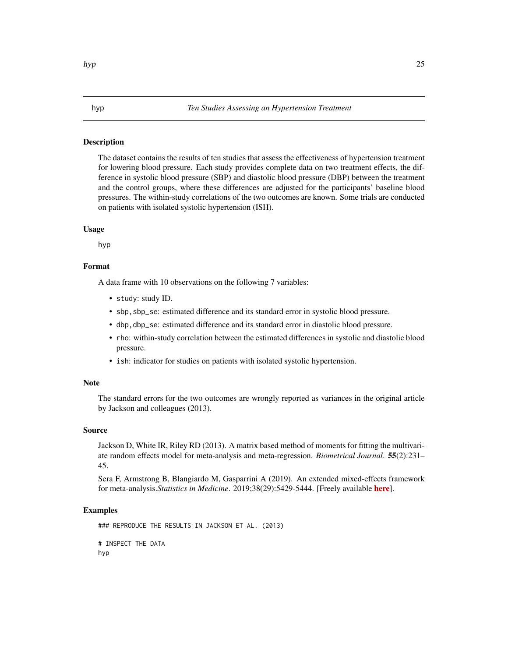## <span id="page-24-1"></span><span id="page-24-0"></span>**Description**

The dataset contains the results of ten studies that assess the effectiveness of hypertension treatment for lowering blood pressure. Each study provides complete data on two treatment effects, the difference in systolic blood pressure (SBP) and diastolic blood pressure (DBP) between the treatment and the control groups, where these differences are adjusted for the participants' baseline blood pressures. The within-study correlations of the two outcomes are known. Some trials are conducted on patients with isolated systolic hypertension (ISH).

## Usage

hyp

## Format

A data frame with 10 observations on the following 7 variables:

- study: study ID.
- sbp,sbp\_se: estimated difference and its standard error in systolic blood pressure.
- dbp,dbp\_se: estimated difference and its standard error in diastolic blood pressure.
- rho: within-study correlation between the estimated differences in systolic and diastolic blood pressure.
- ish: indicator for studies on patients with isolated systolic hypertension.

## **Note**

The standard errors for the two outcomes are wrongly reported as variances in the original article by Jackson and colleagues (2013).

## Source

Jackson D, White IR, Riley RD (2013). A matrix based method of moments for fitting the multivariate random effects model for meta-analysis and meta-regression. *Biometrical Journal*. 55(2):231– 45.

Sera F, Armstrong B, Blangiardo M, Gasparrini A (2019). An extended mixed-effects framework for meta-analysis.*Statistics in Medicine*. 2019;38(29):5429-5444. [Freely available [here](http://www.ag-myresearch.com/2019_sera_statmed.html)].

## Examples

### REPRODUCE THE RESULTS IN JACKSON ET AL. (2013) # INSPECT THE DATA hyp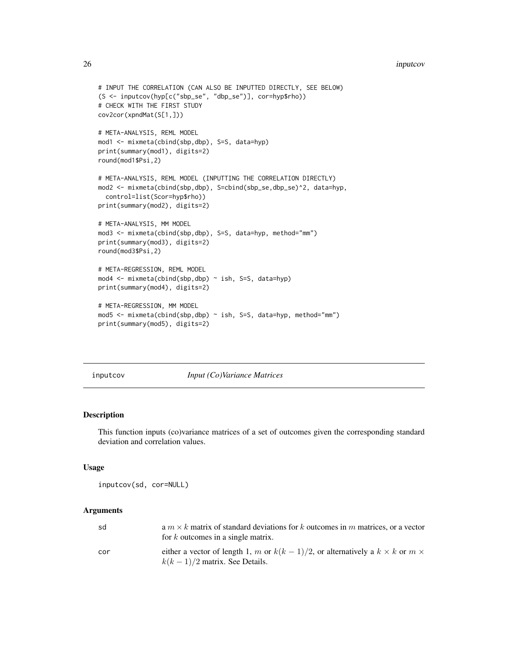## <span id="page-25-0"></span>26 inputcov and the contract of the contract of the contract of the contract of the contract of the contract of the contract of the contract of the contract of the contract of the contract of the contract of the contract o

```
# INPUT THE CORRELATION (CAN ALSO BE INPUTTED DIRECTLY, SEE BELOW)
(S <- inputcov(hyp[c("sbp_se", "dbp_se")], cor=hyp$rho))
# CHECK WITH THE FIRST STUDY
cov2cor(xpndMat(S[1,]))
# META-ANALYSIS, REML MODEL
mod1 <- mixmeta(cbind(sbp,dbp), S=S, data=hyp)
print(summary(mod1), digits=2)
round(mod1$Psi,2)
# META-ANALYSIS, REML MODEL (INPUTTING THE CORRELATION DIRECTLY)
mod2 <- mixmeta(cbind(sbp,dbp), S=cbind(sbp_se,dbp_se)^2, data=hyp,
  control=list(Scor=hyp$rho))
print(summary(mod2), digits=2)
# META-ANALYSIS, MM MODEL
mod3 <- mixmeta(cbind(sbp,dbp), S=S, data=hyp, method="mm")
print(summary(mod3), digits=2)
round(mod3$Psi,2)
# META-REGRESSION, REML MODEL
mod4 <- mixmeta(cbind(sbp,dbp) ~ ish, S=S, data=hyp)
print(summary(mod4), digits=2)
# META-REGRESSION, MM MODEL
mod5 <- mixmeta(cbind(sbp,dbp) ~ ish, S=S, data=hyp, method="mm")
print(summary(mod5), digits=2)
```
<span id="page-25-1"></span>inputcov *Input (Co)Variance Matrices*

## Description

This function inputs (co)variance matrices of a set of outcomes given the corresponding standard deviation and correlation values.

## Usage

```
inputcov(sd, cor=NULL)
```
## Arguments

| sd  | a $m \times k$ matrix of standard deviations for k outcomes in m matrices, or a vector<br>for $k$ outcomes in a single matrix.  |
|-----|---------------------------------------------------------------------------------------------------------------------------------|
| cor | either a vector of length 1, m or $k(k-1)/2$ , or alternatively a $k \times k$ or $m \times$<br>$k(k-1)/2$ matrix. See Details. |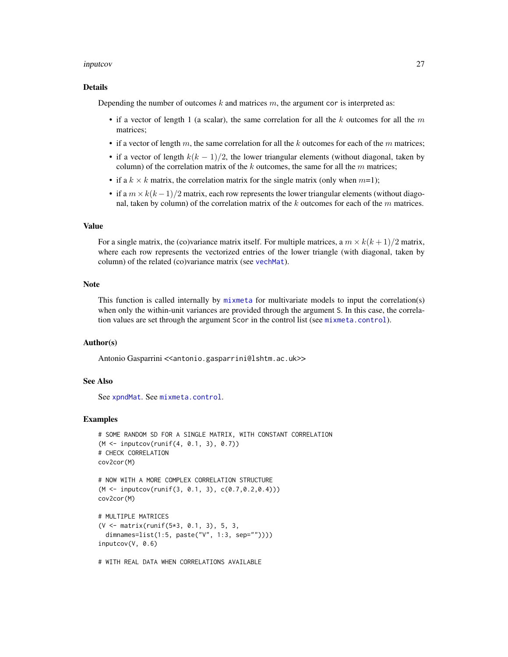## inputcov 27

## Details

Depending the number of outcomes  $k$  and matrices  $m$ , the argument cor is interpreted as:

- if a vector of length 1 (a scalar), the same correlation for all the k outcomes for all the  $m$ matrices;
- if a vector of length m, the same correlation for all the k outcomes for each of the m matrices;
- if a vector of length  $k(k-1)/2$ , the lower triangular elements (without diagonal, taken by column) of the correlation matrix of the  $k$  outcomes, the same for all the  $m$  matrices;
- if a  $k \times k$  matrix, the correlation matrix for the single matrix (only when  $m=1$ );
- if a  $m \times k(k-1)/2$  matrix, each row represents the lower triangular elements (without diagonal, taken by column) of the correlation matrix of the  $k$  outcomes for each of the  $m$  matrices.

## Value

For a single matrix, the (co)variance matrix itself. For multiple matrices, a  $m \times k(k+1)/2$  matrix, where each row represents the vectorized entries of the lower triangle (with diagonal, taken by column) of the related (co)variance matrix (see [vechMat](#page-84-1)).

#### Note

This function is called internally by [mixmeta](#page-30-1) for multivariate models to input the correlation(s) when only the within-unit variances are provided through the argument S. In this case, the correlation values are set through the argument Scor in the control list (see [mixmeta.control](#page-37-1)).

## Author(s)

Antonio Gasparrini << antonio.gasparrini@lshtm.ac.uk>>

## See Also

See [xpndMat](#page-84-2). See [mixmeta.control](#page-37-1).

## Examples

```
# SOME RANDOM SD FOR A SINGLE MATRIX, WITH CONSTANT CORRELATION
(M <- inputcov(runif(4, 0.1, 3), 0.7))
# CHECK CORRELATION
cov2cor(M)
# NOW WITH A MORE COMPLEX CORRELATION STRUCTURE
(M <- inputcov(runif(3, 0.1, 3), c(0.7,0.2,0.4)))
cov2cor(M)
# MULTIPLE MATRICES
(V <- matrix(runif(5*3, 0.1, 3), 5, 3,
 dimnames=list(1:5, paste("V", 1:3, sep=""))))
inputcov(V, 0.6)
```
# WITH REAL DATA WHEN CORRELATIONS AVAILABLE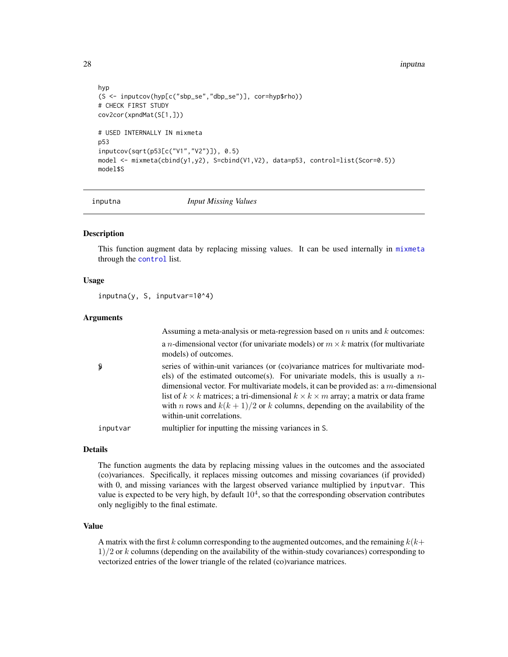<span id="page-27-0"></span>28 inputna

```
hyp
(S <- inputcov(hyp[c("sbp_se","dbp_se")], cor=hyp$rho))
# CHECK FIRST STUDY
cov2cor(xpndMat(S[1,]))
# USED INTERNALLY IN mixmeta
p53
inputcov(sqrt(p53[c("V1","V2")]), 0.5)
model <- mixmeta(cbind(y1,y2), S=cbind(V1,V2), data=p53, control=list(Scor=0.5))
model$S
```
<span id="page-27-1"></span>

inputna *Input Missing Values*

## Description

This function augment data by replacing missing values. It can be used internally in [mixmeta](#page-30-1) through the [control](#page-37-1) list.

## Usage

inputna(y, S, inputvar=10^4)

## Arguments

|          | Assuming a meta-analysis or meta-regression based on $n$ units and $k$ outcomes:                                                                                                                                                                                                                                                                                                                                                                                                                   |
|----------|----------------------------------------------------------------------------------------------------------------------------------------------------------------------------------------------------------------------------------------------------------------------------------------------------------------------------------------------------------------------------------------------------------------------------------------------------------------------------------------------------|
|          | a <i>n</i> -dimensional vector (for univariate models) or $m \times k$ matrix (for multivariate<br>models) of outcomes.                                                                                                                                                                                                                                                                                                                                                                            |
| Ş        | series of within-unit variances (or (co)variance matrices for multivariate mod-<br>els) of the estimated outcome(s). For univariate models, this is usually a $n-$<br>dimensional vector. For multivariate models, it can be provided as: a $m$ -dimensional<br>list of $k \times k$ matrices; a tri-dimensional $k \times k \times m$ array; a matrix or data frame<br>with <i>n</i> rows and $k(k + 1)/2$ or <i>k</i> columns, depending on the availability of the<br>within-unit correlations. |
| inputvar | multiplier for inputting the missing variances in S.                                                                                                                                                                                                                                                                                                                                                                                                                                               |

## Details

The function augments the data by replacing missing values in the outcomes and the associated (co)variances. Specifically, it replaces missing outcomes and missing covariances (if provided) with 0, and missing variances with the largest observed variance multiplied by inputvar. This value is expected to be very high, by default  $10<sup>4</sup>$ , so that the corresponding observation contributes only negligibly to the final estimate.

## Value

A matrix with the first k column corresponding to the augmented outcomes, and the remaining  $k(k+1)$  $1/2$  or k columns (depending on the availability of the within-study covariances) corresponding to vectorized entries of the lower triangle of the related (co)variance matrices.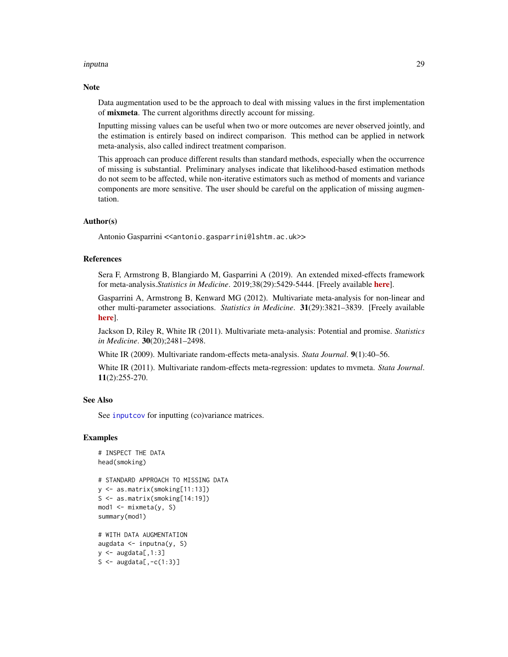## inputna 29

## **Note**

Data augmentation used to be the approach to deal with missing values in the first implementation of mixmeta. The current algorithms directly account for missing.

Inputting missing values can be useful when two or more outcomes are never observed jointly, and the estimation is entirely based on indirect comparison. This method can be applied in network meta-analysis, also called indirect treatment comparison.

This approach can produce different results than standard methods, especially when the occurrence of missing is substantial. Preliminary analyses indicate that likelihood-based estimation methods do not seem to be affected, while non-iterative estimators such as method of moments and variance components are more sensitive. The user should be careful on the application of missing augmentation.

## Author(s)

Antonio Gasparrini << antonio.gasparrini@lshtm.ac.uk>>

## References

Sera F, Armstrong B, Blangiardo M, Gasparrini A (2019). An extended mixed-effects framework for meta-analysis.*Statistics in Medicine*. 2019;38(29):5429-5444. [Freely available [here](http://www.ag-myresearch.com/2019_sera_statmed.html)].

Gasparrini A, Armstrong B, Kenward MG (2012). Multivariate meta-analysis for non-linear and other multi-parameter associations. *Statistics in Medicine*. 31(29):3821–3839. [Freely available [here](http://www.ag-myresearch.com/2012_gasparrini_statmed.html)].

Jackson D, Riley R, White IR (2011). Multivariate meta-analysis: Potential and promise. *Statistics in Medicine*. 30(20);2481–2498.

White IR (2009). Multivariate random-effects meta-analysis. *Stata Journal*. 9(1):40–56.

White IR (2011). Multivariate random-effects meta-regression: updates to mvmeta. *Stata Journal*. 11(2):255-270.

## See Also

See [inputcov](#page-25-1) for inputting (co)variance matrices.

## Examples

```
# INSPECT THE DATA
head(smoking)
# STANDARD APPROACH TO MISSING DATA
y <- as.matrix(smoking[11:13])
S <- as.matrix(smoking[14:19])
mod1 <- mixmeta(y, S)
summary(mod1)
# WITH DATA AUGMENTATION
augdata <- inputna(y, S)
y \leq - augdata[,1:3]
S <- augdata[, -c(1:3)]
```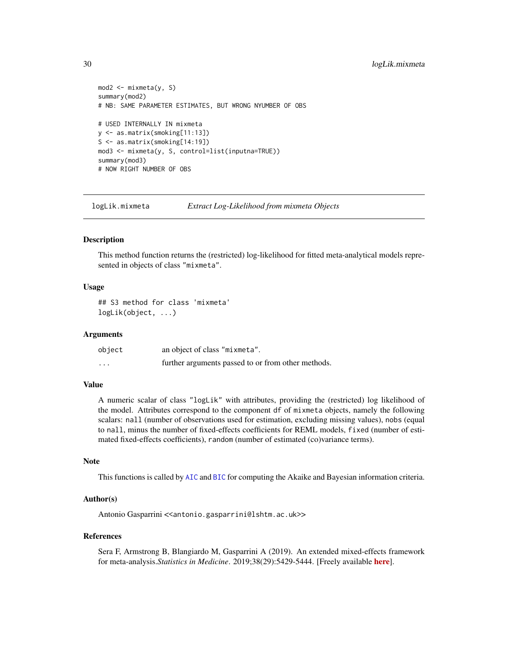```
mod2 \le - mixmeta(y, S)
summary(mod2)
# NB: SAME PARAMETER ESTIMATES, BUT WRONG NYUMBER OF OBS
# USED INTERNALLY IN mixmeta
y <- as.matrix(smoking[11:13])
S <- as.matrix(smoking[14:19])
mod3 <- mixmeta(y, S, control=list(inputna=TRUE))
summary(mod3)
# NOW RIGHT NUMBER OF OBS
```
<span id="page-29-1"></span>logLik.mixmeta *Extract Log-Likelihood from mixmeta Objects*

## Description

This method function returns the (restricted) log-likelihood for fitted meta-analytical models represented in objects of class "mixmeta".

## Usage

## S3 method for class 'mixmeta' logLik(object, ...)

## Arguments

| object  | an object of class "mixmeta".                      |
|---------|----------------------------------------------------|
| $\cdot$ | further arguments passed to or from other methods. |

## Value

A numeric scalar of class "logLik" with attributes, providing the (restricted) log likelihood of the model. Attributes correspond to the component df of mixmeta objects, namely the following scalars: nall (number of observations used for estimation, excluding missing values), nobs (equal to nall, minus the number of fixed-effects coefficients for REML models, fixed (number of estimated fixed-effects coefficients), random (number of estimated (co)variance terms).

## Note

This functions is called by [AIC](#page-0-0) and [BIC](#page-0-0) for computing the Akaike and Bayesian information criteria.

#### Author(s)

Antonio Gasparrini << antonio.gasparrini@lshtm.ac.uk>>

#### References

Sera F, Armstrong B, Blangiardo M, Gasparrini A (2019). An extended mixed-effects framework for meta-analysis.*Statistics in Medicine*. 2019;38(29):5429-5444. [Freely available [here](http://www.ag-myresearch.com/2019_sera_statmed.html)].

<span id="page-29-0"></span>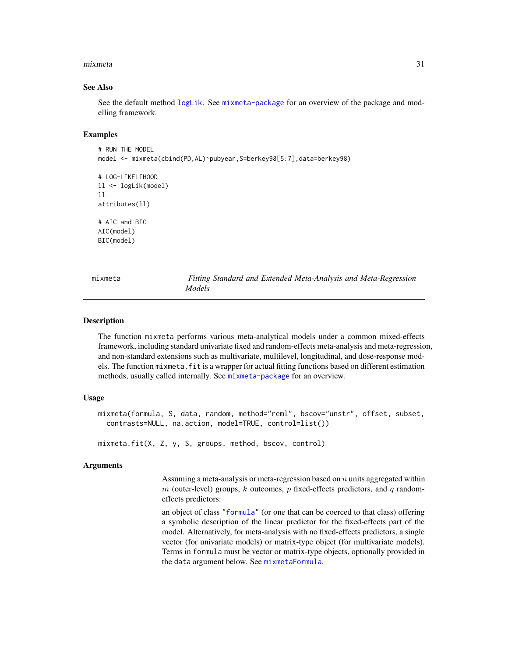## <span id="page-30-0"></span>mixmeta 31

## See Also

See the default method [logLik](#page-0-0). See [mixmeta-package](#page-1-1) for an overview of the package and modelling framework.

#### Examples

```
# RUN THE MODEL
model <- mixmeta(cbind(PD,AL)~pubyear,S=berkey98[5:7],data=berkey98)
# LOG-LIKELIHOOD
ll <- logLik(model)
ll
attributes(ll)
# AIC and BIC
AIC(model)
BIC(model)
```
<span id="page-30-1"></span>mixmeta *Fitting Standard and Extended Meta-Analysis and Meta-Regression Models*

## <span id="page-30-2"></span>Description

The function mixmeta performs various meta-analytical models under a common mixed-effects framework, including standard univariate fixed and random-effects meta-analysis and meta-regression, and non-standard extensions such as multivariate, multilevel, longitudinal, and dose-response models. The function mixmeta.fit is a wrapper for actual fitting functions based on different estimation methods, usually called internally. See [mixmeta-package](#page-1-1) for an overview.

## Usage

```
mixmeta(formula, S, data, random, method="reml", bscov="unstr", offset, subset,
 contrasts=NULL, na.action, model=TRUE, control=list())
```
mixmeta.fit(X, Z, y, S, groups, method, bscov, control)

## Arguments

Assuming a meta-analysis or meta-regression based on  $n$  units aggregated within  $m$  (outer-level) groups, k outcomes, p fixed-effects predictors, and q randomeffects predictors:

an object of class ["formula"](#page-0-0) (or one that can be coerced to that class) offering a symbolic description of the linear predictor for the fixed-effects part of the model. Alternatively, for meta-analysis with no fixed-effects predictors, a single vector (for univariate models) or matrix-type object (for multivariate models). Terms in formula must be vector or matrix-type objects, optionally provided in the data argument below. See [mixmetaFormula](#page-52-1).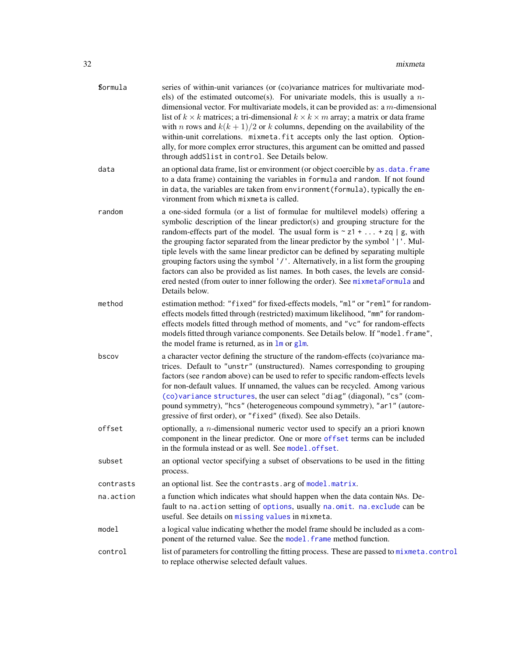| <b>formula</b> | series of within-unit variances (or (co)variance matrices for multivariate mod-<br>els) of the estimated outcome(s). For univariate models, this is usually a $n-$<br>dimensional vector. For multivariate models, it can be provided as: a $m$ -dimensional<br>list of $k \times k$ matrices; a tri-dimensional $k \times k \times m$ array; a matrix or data frame<br>with <i>n</i> rows and $k(k + 1)/2$ or <i>k</i> columns, depending on the availability of the<br>within-unit correlations. mixmeta.fit accepts only the last option. Option-<br>ally, for more complex error structures, this argument can be omitted and passed<br>through addSlist in control. See Details below.                |
|----------------|------------------------------------------------------------------------------------------------------------------------------------------------------------------------------------------------------------------------------------------------------------------------------------------------------------------------------------------------------------------------------------------------------------------------------------------------------------------------------------------------------------------------------------------------------------------------------------------------------------------------------------------------------------------------------------------------------------|
| data           | an optional data frame, list or environment (or object coercible by as . data. frame<br>to a data frame) containing the variables in formula and random. If not found<br>in data, the variables are taken from environment (formula), typically the en-<br>vironment from which mixmeta is called.                                                                                                                                                                                                                                                                                                                                                                                                         |
| random         | a one-sided formula (or a list of formulae for multilevel models) offering a<br>symbolic description of the linear predictor(s) and grouping structure for the<br>random-effects part of the model. The usual form is $\sim z1 +  + zq \mid g$ , with<br>the grouping factor separated from the linear predictor by the symbol ' '. Mul-<br>tiple levels with the same linear predictor can be defined by separating multiple<br>grouping factors using the symbol '/'. Alternatively, in a list form the grouping<br>factors can also be provided as list names. In both cases, the levels are consid-<br>ered nested (from outer to inner following the order). See mixmetaFormula and<br>Details below. |
| method         | estimation method: "fixed" for fixed-effects models, "ml" or "reml" for random-<br>effects models fitted through (restricted) maximum likelihood, "mm" for random-<br>effects models fitted through method of moments, and "vc" for random-effects<br>models fitted through variance components. See Details below. If "model.frame",<br>the model frame is returned, as in 1m or g1m.                                                                                                                                                                                                                                                                                                                     |
| bscov          | a character vector defining the structure of the random-effects (co)variance ma-<br>trices. Default to "unstr" (unstructured). Names corresponding to grouping<br>factors (see random above) can be used to refer to specific random-effects levels<br>for non-default values. If unnamed, the values can be recycled. Among various<br>(co) variance structures, the user can select "diag" (diagonal), "cs" (com-<br>pound symmetry), "hcs" (heterogeneous compound symmetry), "ar1" (autore-<br>gressive of first order), or "fixed" (fixed). See also Details.                                                                                                                                         |
| offset         | optionally, a $n$ -dimensional numeric vector used to specify an a priori known<br>component in the linear predictor. One or more offset terms can be included<br>in the formula instead or as well. See model.offset.                                                                                                                                                                                                                                                                                                                                                                                                                                                                                     |
| subset         | an optional vector specifying a subset of observations to be used in the fitting<br>process.                                                                                                                                                                                                                                                                                                                                                                                                                                                                                                                                                                                                               |
| contrasts      | an optional list. See the contrasts. arg of model. matrix.                                                                                                                                                                                                                                                                                                                                                                                                                                                                                                                                                                                                                                                 |
| na.action      | a function which indicates what should happen when the data contain NAs. De-<br>fault to na. action setting of options, usually na. omit. na. exclude can be<br>useful. See details on missing values in mixmeta.                                                                                                                                                                                                                                                                                                                                                                                                                                                                                          |
| model          | a logical value indicating whether the model frame should be included as a com-<br>ponent of the returned value. See the model. frame method function.                                                                                                                                                                                                                                                                                                                                                                                                                                                                                                                                                     |
| control        | list of parameters for controlling the fitting process. These are passed to mixmeta.control<br>to replace otherwise selected default values.                                                                                                                                                                                                                                                                                                                                                                                                                                                                                                                                                               |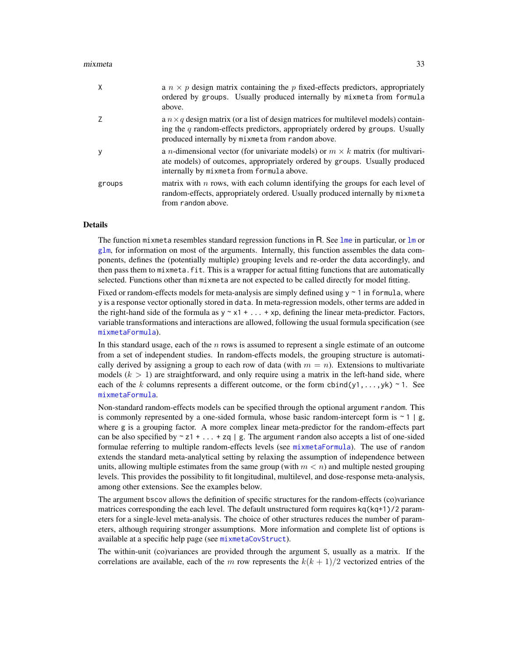## mixmeta 33

| X      | a $n \times p$ design matrix containing the p fixed-effects predictors, appropriately<br>ordered by groups. Usually produced internally by mixmeta from formula<br>above.                                                          |
|--------|------------------------------------------------------------------------------------------------------------------------------------------------------------------------------------------------------------------------------------|
|        | a $n \times q$ design matrix (or a list of design matrices for multilevel models) contain-<br>ing the $q$ random-effects predictors, appropriately ordered by groups. Usually<br>produced internally by mixmeta from random above. |
| y      | a <i>n</i> -dimensional vector (for univariate models) or $m \times k$ matrix (for multivari-<br>ate models) of outcomes, appropriately ordered by groups. Usually produced<br>internally by mixmeta from formula above.           |
| groups | matrix with $n$ rows, with each column identifying the groups for each level of<br>random-effects, appropriately ordered. Usually produced internally by mixmeta<br>from random above.                                             |

## Details

The function mixmeta resembles standard regression functions in R. See [lme](#page-0-0) in particular, or  $\text{Im}$  or  $g/m$ , for information on most of the arguments. Internally, this function assembles the data components, defines the (potentially multiple) grouping levels and re-order the data accordingly, and then pass them to mixmeta.fit. This is a wrapper for actual fitting functions that are automatically selected. Functions other than mixmeta are not expected to be called directly for model fitting.

Fixed or random-effects models for meta-analysis are simply defined using  $y \sim 1$  in formula, where y is a response vector optionally stored in data. In meta-regression models, other terms are added in the right-hand side of the formula as  $y \sim x1 + ... + xp$ , defining the linear meta-predictor. Factors, variable transformations and interactions are allowed, following the usual formula specification (see [mixmetaFormula](#page-52-1)).

In this standard usage, each of the  $n$  rows is assumed to represent a single estimate of an outcome from a set of independent studies. In random-effects models, the grouping structure is automatically derived by assigning a group to each row of data (with  $m = n$ ). Extensions to multivariate models  $(k > 1)$  are straightforward, and only require using a matrix in the left-hand side, where each of the k columns represents a different outcome, or the form cbind(y1,...,yk) ~ 1. See [mixmetaFormula](#page-52-1).

Non-standard random-effects models can be specified through the optional argument random. This is commonly represented by a one-sided formula, whose basic random-intercept form is  $\sim 1 \mid g$ , where g is a grouping factor. A more complex linear meta-predictor for the random-effects part can be also specified by  $\sim z1 + ... + zq \mid g$ . The argument random also accepts a list of one-sided formulae referring to multiple random-effects levels (see [mixmetaFormula](#page-52-1)). The use of random extends the standard meta-analytical setting by relaxing the assumption of independence between units, allowing multiple estimates from the same group (with  $m < n$ ) and multiple nested grouping levels. This provides the possibility to fit longitudinal, multilevel, and dose-response meta-analysis, among other extensions. See the examples below.

The argument bscov allows the definition of specific structures for the random-effects (co)variance matrices corresponding the each level. The default unstructured form requires kq(kq+1)/2 parameters for a single-level meta-analysis. The choice of other structures reduces the number of parameters, although requiring stronger assumptions. More information and complete list of options is available at a specific help page (see [mixmetaCovStruct](#page-50-1)).

The within-unit (co)variances are provided through the argument S, usually as a matrix. If the correlations are available, each of the m row represents the  $k(k + 1)/2$  vectorized entries of the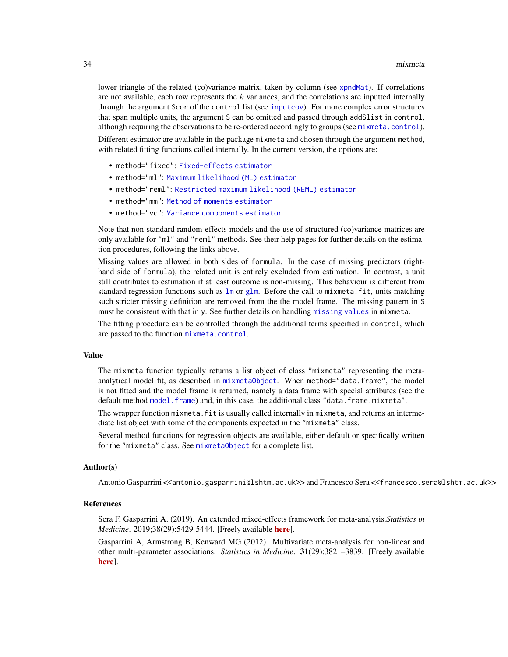lower triangle of the related (co)variance matrix, taken by column (see [xpndMat](#page-84-2)). If correlations are not available, each row represents the  $k$  variances, and the correlations are inputted internally through the argument Scor of the control list (see [inputcov](#page-25-1)). For more complex error structures that span multiple units, the argument S can be omitted and passed through addSlist in control, although requiring the observations to be re-ordered accordingly to groups (see [mixmeta.control](#page-37-1)). Different estimator are available in the package mixmeta and chosen through the argument method, with related fitting functions called internally. In the current version, the options are:

- method="fixed": [Fixed-effects estimator](#page-39-1)
- method="ml": [Maximum likelihood \(ML\) estimator](#page-42-1)
- method="reml": [Restricted maximum likelihood \(REML\) estimator](#page-42-2)
- method="mm": [Method of moments estimator](#page-45-1)
- method="vc": [Variance components estimator](#page-47-1)

Note that non-standard random-effects models and the use of structured (co)variance matrices are only available for "ml" and "reml" methods. See their help pages for further details on the estimation procedures, following the links above.

Missing values are allowed in both sides of formula. In the case of missing predictors (righthand side of formula), the related unit is entirely excluded from estimation. In contrast, a unit still contributes to estimation if at least outcome is non-missing. This behaviour is different from standard regression functions such as  $\text{lm}$  $\text{lm}$  $\text{lm}$  or [glm](#page-0-0). Before the call to mixmeta.fit, units matching such stricter missing definition are removed from the the model frame. The missing pattern in S must be consistent with that in y. See further details on handling [missing values](#page-68-1) in mixmeta.

The fitting procedure can be controlled through the additional terms specified in control, which are passed to the function [mixmeta.control](#page-37-1).

## Value

The mixmeta function typically returns a list object of class "mixmeta" representing the metaanalytical model fit, as described in [mixmetaObject](#page-54-1). When method="data.frame", the model is not fitted and the model frame is returned, namely a data frame with special attributes (see the default method [model.frame](#page-0-0)) and, in this case, the additional class "data.frame.mixmeta".

The wrapper function mixmeta. fit is usually called internally in mixmeta, and returns an intermediate list object with some of the components expected in the "mixmeta" class.

Several method functions for regression objects are available, either default or specifically written for the "mixmeta" class. See [mixmetaObject](#page-54-1) for a complete list.

## Author(s)

Antonio Gasparrini <<antonio.gasparrini@lshtm.ac.uk>> and Francesco Sera <<francesco.sera@lshtm.ac.uk>>

## References

Sera F, Gasparrini A. (2019). An extended mixed-effects framework for meta-analysis.*Statistics in Medicine*. 2019;38(29):5429-5444. [Freely available [here](http://www.ag-myresearch.com/2019_sera_statmed.html)].

Gasparrini A, Armstrong B, Kenward MG (2012). Multivariate meta-analysis for non-linear and other multi-parameter associations. *Statistics in Medicine*. 31(29):3821–3839. [Freely available [here](http://www.ag-myresearch.com/2012_gasparrini_statmed.html)].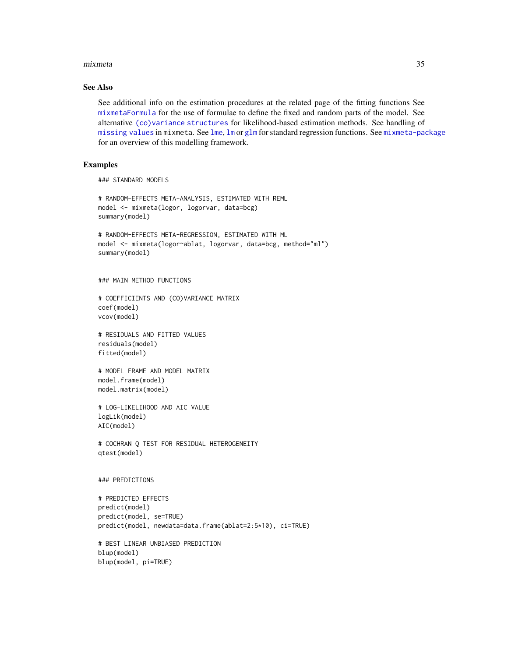## mixmeta 35

## See Also

See additional info on the estimation procedures at the related page of the fitting functions See [mixmetaFormula](#page-52-1) for the use of formulae to define the fixed and random parts of the model. See alternative [\(co\)variance structures](#page-50-1) for likelihood-based estimation methods. See handling of [missing values](#page-68-1) in mixmeta. See [lme](#page-0-0), [lm](#page-0-0) or [glm](#page-0-0) for standard regression functions. See [mixmeta-package](#page-1-1) for an overview of this modelling framework.

## Examples

```
### STANDARD MODELS
```

```
# RANDOM-EFFECTS META-ANALYSIS, ESTIMATED WITH REML
model <- mixmeta(logor, logorvar, data=bcg)
summary(model)
# RANDOM-EFFECTS META-REGRESSION, ESTIMATED WITH ML
model <- mixmeta(logor~ablat, logorvar, data=bcg, method="ml")
summary(model)
### MAIN METHOD FUNCTIONS
# COEFFICIENTS AND (CO)VARIANCE MATRIX
coef(model)
vcov(model)
# RESIDUALS AND FITTED VALUES
residuals(model)
fitted(model)
# MODEL FRAME AND MODEL MATRIX
model.frame(model)
model.matrix(model)
# LOG-LIKELIHOOD AND AIC VALUE
logLik(model)
AIC(model)
# COCHRAN Q TEST FOR RESIDUAL HETEROGENEITY
qtest(model)
### PREDICTIONS
# PREDICTED EFFECTS
predict(model)
predict(model, se=TRUE)
predict(model, newdata=data.frame(ablat=2:5*10), ci=TRUE)
# BEST LINEAR UNBIASED PREDICTION
blup(model)
blup(model, pi=TRUE)
```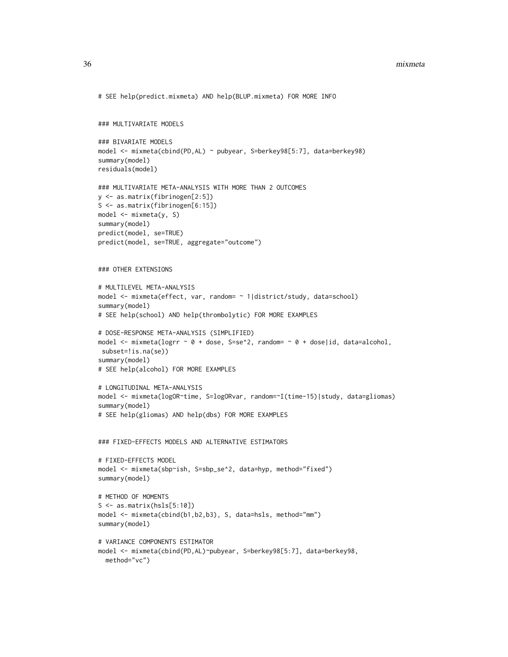## 36 mixmeta

```
# SEE help(predict.mixmeta) AND help(BLUP.mixmeta) FOR MORE INFO
### MULTIVARIATE MODELS
### BIVARIATE MODELS
model <- mixmeta(cbind(PD,AL) ~ pubyear, S=berkey98[5:7], data=berkey98)
summary(model)
residuals(model)
### MULTIVARIATE META-ANALYSIS WITH MORE THAN 2 OUTCOMES
y <- as.matrix(fibrinogen[2:5])
S <- as.matrix(fibrinogen[6:15])
model <- mixmeta(y, S)
summary(model)
predict(model, se=TRUE)
predict(model, se=TRUE, aggregate="outcome")
### OTHER EXTENSIONS
# MULTILEVEL META-ANALYSIS
model <- mixmeta(effect, var, random= ~ 1|district/study, data=school)
summary(model)
# SEE help(school) AND help(thrombolytic) FOR MORE EXAMPLES
# DOSE-RESPONSE META-ANALYSIS (SIMPLIFIED)
model <- mixmeta(logrr ~ 0 + dose, S=se^2, random= ~ 0 + dose|id, data=alcohol,
subset=!is.na(se))
summary(model)
# SEE help(alcohol) FOR MORE EXAMPLES
# LONGITUDINAL META-ANALYSIS
model <- mixmeta(logOR~time, S=logORvar, random=~I(time-15)|study, data=gliomas)
summary(model)
# SEE help(gliomas) AND help(dbs) FOR MORE EXAMPLES
### FIXED-EFFECTS MODELS AND ALTERNATIVE ESTIMATORS
# FIXED-EFFECTS MODEL
model <- mixmeta(sbp~ish, S=sbp_se^2, data=hyp, method="fixed")
summary(model)
# METHOD OF MOMENTS
S \leftarrow as_matrix(hsls[5:10])model <- mixmeta(cbind(b1,b2,b3), S, data=hsls, method="mm")
summary(model)
# VARIANCE COMPONENTS ESTIMATOR
model <- mixmeta(cbind(PD,AL)~pubyear, S=berkey98[5:7], data=berkey98,
  method="vc")
```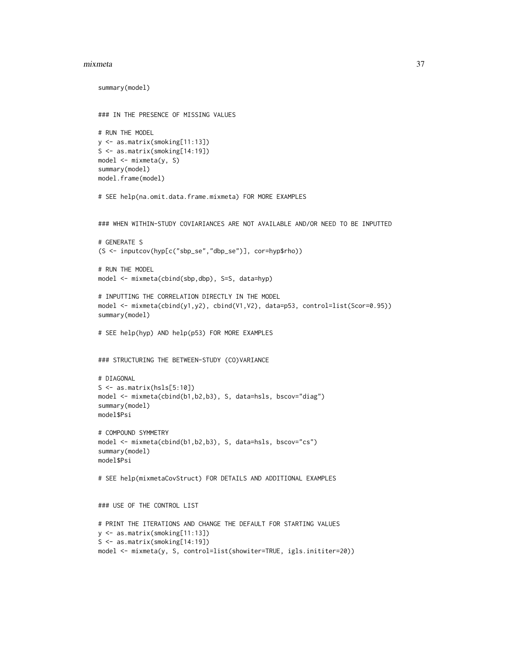#### mixmeta 37

```
summary(model)
### IN THE PRESENCE OF MISSING VALUES
# RUN THE MODEL
y <- as.matrix(smoking[11:13])
S <- as.matrix(smoking[14:19])
model <- mixmeta(y, S)
summary(model)
model.frame(model)
# SEE help(na.omit.data.frame.mixmeta) FOR MORE EXAMPLES
### WHEN WITHIN-STUDY COVIARIANCES ARE NOT AVAILABLE AND/OR NEED TO BE INPUTTED
# GENERATE S
(S <- inputcov(hyp[c("sbp_se","dbp_se")], cor=hyp$rho))
# RUN THE MODEL
model <- mixmeta(cbind(sbp,dbp), S=S, data=hyp)
# INPUTTING THE CORRELATION DIRECTLY IN THE MODEL
model <- mixmeta(cbind(y1,y2), cbind(V1,V2), data=p53, control=list(Scor=0.95))
summary(model)
# SEE help(hyp) AND help(p53) FOR MORE EXAMPLES
### STRUCTURING THE BETWEEN-STUDY (CO)VARIANCE
# DIAGONAL
S <- as.matrix(hsls[5:10])
model <- mixmeta(cbind(b1,b2,b3), S, data=hsls, bscov="diag")
summary(model)
model$Psi
# COMPOUND SYMMETRY
model <- mixmeta(cbind(b1,b2,b3), S, data=hsls, bscov="cs")
summary(model)
model$Psi
# SEE help(mixmetaCovStruct) FOR DETAILS AND ADDITIONAL EXAMPLES
### USE OF THE CONTROL LIST
# PRINT THE ITERATIONS AND CHANGE THE DEFAULT FOR STARTING VALUES
y <- as.matrix(smoking[11:13])
S <- as.matrix(smoking[14:19])
model <- mixmeta(y, S, control=list(showiter=TRUE, igls.inititer=20))
```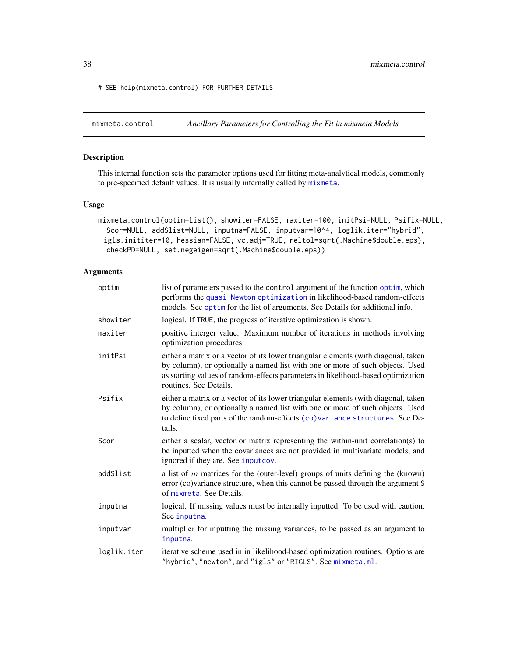# SEE help(mixmeta.control) FOR FURTHER DETAILS

<span id="page-37-0"></span>mixmeta.control *Ancillary Parameters for Controlling the Fit in mixmeta Models*

# Description

This internal function sets the parameter options used for fitting meta-analytical models, commonly to pre-specified default values. It is usually internally called by [mixmeta](#page-30-0).

# Usage

```
mixmeta.control(optim=list(), showiter=FALSE, maxiter=100, initPsi=NULL, Psifix=NULL,
  Scor=NULL, addSlist=NULL, inputna=FALSE, inputvar=10^4, loglik.iter="hybrid",
 igls.inititer=10, hessian=FALSE, vc.adj=TRUE, reltol=sqrt(.Machine$double.eps),
  checkPD=NULL, set.negeigen=sqrt(.Machine$double.eps))
```

| optim       | list of parameters passed to the control argument of the function optim, which<br>performs the quasi-Newton optimization in likelihood-based random-effects<br>models. See optim for the list of arguments. See Details for additional info.                                      |
|-------------|-----------------------------------------------------------------------------------------------------------------------------------------------------------------------------------------------------------------------------------------------------------------------------------|
| showiter    | logical. If TRUE, the progress of iterative optimization is shown.                                                                                                                                                                                                                |
| maxiter     | positive interger value. Maximum number of iterations in methods involving<br>optimization procedures.                                                                                                                                                                            |
| initPsi     | either a matrix or a vector of its lower triangular elements (with diagonal, taken<br>by column), or optionally a named list with one or more of such objects. Used<br>as starting values of random-effects parameters in likelihood-based optimization<br>routines. See Details. |
| Psifix      | either a matrix or a vector of its lower triangular elements (with diagonal, taken<br>by column), or optionally a named list with one or more of such objects. Used<br>to define fixed parts of the random-effects (co)variance structures. See De-<br>tails.                     |
| Scor        | either a scalar, vector or matrix representing the within-unit correlation(s) to<br>be inputted when the covariances are not provided in multivariate models, and<br>ignored if they are. See input cov.                                                                          |
| addSlist    | a list of $m$ matrices for the (outer-level) groups of units defining the (known)<br>error (co)variance structure, when this cannot be passed through the argument S<br>of mixmeta. See Details.                                                                                  |
| inputna     | logical. If missing values must be internally inputted. To be used with caution.<br>See inputna.                                                                                                                                                                                  |
| inputvar    | multiplier for inputting the missing variances, to be passed as an argument to<br>inputna.                                                                                                                                                                                        |
| loglik.iter | iterative scheme used in in likelihood-based optimization routines. Options are<br>"hybrid", "newton", and "igls" or "RIGLS". See mixmeta.ml.                                                                                                                                     |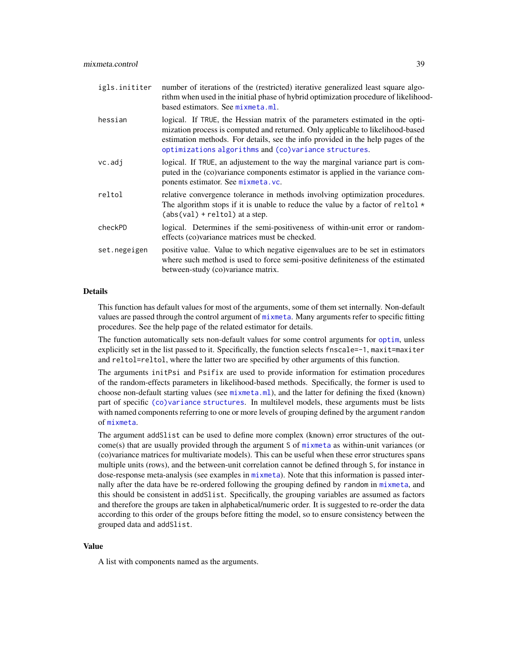| igls.inititer | number of iterations of the (restricted) iterative generalized least square algo-<br>rithm when used in the initial phase of hybrid optimization procedure of likelihood-<br>based estimators. See mixmeta.ml.                                                                                              |
|---------------|-------------------------------------------------------------------------------------------------------------------------------------------------------------------------------------------------------------------------------------------------------------------------------------------------------------|
| hessian       | logical. If TRUE, the Hessian matrix of the parameters estimated in the opti-<br>mization process is computed and returned. Only applicable to likelihood-based<br>estimation methods. For details, see the info provided in the help pages of the<br>optimizations algorithms and (co)variance structures. |
| vc.add        | logical. If TRUE, an adjustement to the way the marginal variance part is com-<br>puted in the (co)variance components estimator is applied in the variance com-<br>ponents estimator. See mixmeta.vc.                                                                                                      |
| reltol        | relative convergence tolerance in methods involving optimization procedures.<br>The algorithm stops if it is unable to reduce the value by a factor of reltol $*$<br>$(abs(val) + reltol)$ at a step.                                                                                                       |
| checkPD       | logical. Determines if the semi-positiveness of within-unit error or random-<br>effects (co) variance matrices must be checked.                                                                                                                                                                             |
| set.negeigen  | positive value. Value to which negative eigenvalues are to be set in estimators<br>where such method is used to force semi-positive definiteness of the estimated<br>between-study (co)variance matrix.                                                                                                     |

# Details

This function has default values for most of the arguments, some of them set internally. Non-default values are passed through the control argument of [mixmeta](#page-30-0). Many arguments refer to specific fitting procedures. See the help page of the related estimator for details.

The function automatically sets non-default values for some control arguments for [optim](#page-0-0), unless explicitly set in the list passed to it. Specifically, the function selects fnscale=-1, maxit=maxiter and reltol=reltol, where the latter two are specified by other arguments of this function.

The arguments initPsi and Psifix are used to provide information for estimation procedures of the random-effects parameters in likelihood-based methods. Specifically, the former is used to choose non-default starting values (see [mixmeta.ml](#page-42-0)), and the latter for defining the fixed (known) part of specific [\(co\)variance structures](#page-50-0). In multilevel models, these arguments must be lists with named components referring to one or more levels of grouping defined by the argument random of [mixmeta](#page-30-0).

The argument addSlist can be used to define more complex (known) error structures of the outcome(s) that are usually provided through the argument S of [mixmeta](#page-30-0) as within-unit variances (or (co)variance matrices for multivariate models). This can be useful when these error structures spans multiple units (rows), and the between-unit correlation cannot be defined through S, for instance in dose-response meta-analysis (see examples in [mixmeta](#page-30-0)). Note that this information is passed internally after the data have be re-ordered following the grouping defined by random in [mixmeta](#page-30-0), and this should be consistent in addSlist. Specifically, the grouping variables are assumed as factors and therefore the groups are taken in alphabetical/numeric order. It is suggested to re-order the data according to this order of the groups before fitting the model, so to ensure consistency between the grouped data and addSlist.

#### Value

A list with components named as the arguments.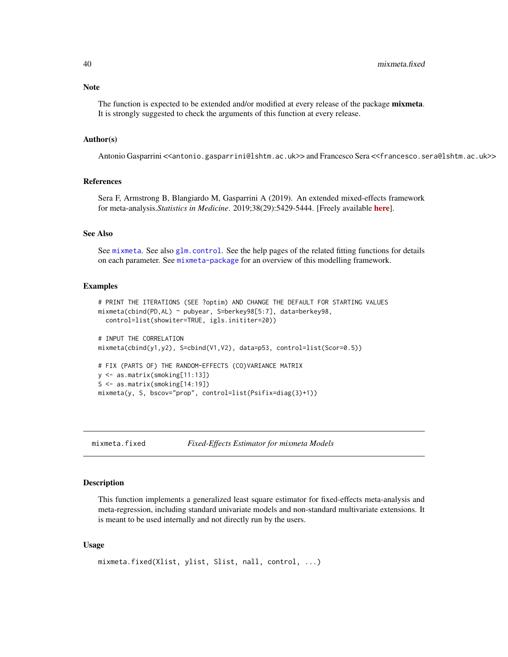## **Note**

The function is expected to be extended and/or modified at every release of the package mixmeta. It is strongly suggested to check the arguments of this function at every release.

#### Author(s)

Antonio Gasparrini <<antonio.gasparrini@lshtm.ac.uk>> and Francesco Sera <<francesco.sera@lshtm.ac.uk>>

# References

Sera F, Armstrong B, Blangiardo M, Gasparrini A (2019). An extended mixed-effects framework for meta-analysis.*Statistics in Medicine*. 2019;38(29):5429-5444. [Freely available [here](http://www.ag-myresearch.com/2019_sera_statmed.html)].

# See Also

See [mixmeta](#page-30-0). See also [glm.control](#page-0-0). See the help pages of the related fitting functions for details on each parameter. See [mixmeta-package](#page-1-0) for an overview of this modelling framework.

## Examples

```
# PRINT THE ITERATIONS (SEE ?optim) AND CHANGE THE DEFAULT FOR STARTING VALUES
mixmeta(cbind(PD,AL) ~ pubyear, S=berkey98[5:7], data=berkey98,
  control=list(showiter=TRUE, igls.inititer=20))
# INPUT THE CORRELATION
mixmeta(clind(y1,y2), S=cbind(V1,V2), data=p53, control=list(Scor=0.5))# FIX (PARTS OF) THE RANDOM-EFFECTS (CO)VARIANCE MATRIX
y <- as.matrix(smoking[11:13])
S <- as.matrix(smoking[14:19])
mixmeta(y, S, bscov="prop", control=list(Psifix=diag(3)+1))
```
<span id="page-39-0"></span>mixmeta.fixed *Fixed-Effects Estimator for mixmeta Models*

## Description

This function implements a generalized least square estimator for fixed-effects meta-analysis and meta-regression, including standard univariate models and non-standard multivariate extensions. It is meant to be used internally and not directly run by the users.

#### Usage

```
mixmeta.fixed(Xlist, ylist, Slist, nall, control, ...)
```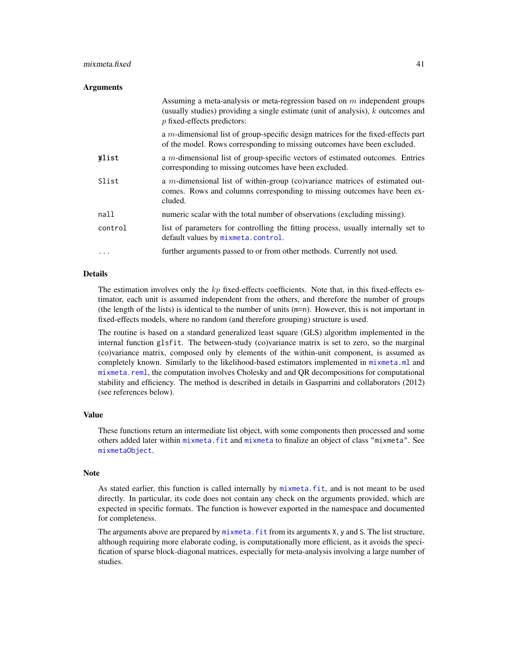# mixmeta.fixed 41

## **Arguments**

|          | Assuming a meta-analysis or meta-regression based on $m$ independent groups<br>(usually studies) providing a single estimate (unit of analysis), $k$ outcomes and<br>$p$ fixed-effects predictors: |
|----------|----------------------------------------------------------------------------------------------------------------------------------------------------------------------------------------------------|
|          | a $m$ -dimensional list of group-specific design matrices for the fixed-effects part<br>of the model. Rows corresponding to missing outcomes have been excluded.                                   |
| *list    | a m-dimensional list of group-specific vectors of estimated outcomes. Entries<br>corresponding to missing outcomes have been excluded.                                                             |
| Slist    | a m-dimensional list of within-group (co)variance matrices of estimated out-<br>comes. Rows and columns corresponding to missing outcomes have been ex-<br>cluded.                                 |
| nall     | numeric scalar with the total number of observations (excluding missing).                                                                                                                          |
| control  | list of parameters for controlling the fitting process, usually internally set to<br>default values by mixmeta.control.                                                                            |
| $\cdots$ | further arguments passed to or from other methods. Currently not used.                                                                                                                             |

## Details

The estimation involves only the  $kp$  fixed-effects coefficients. Note that, in this fixed-effects estimator, each unit is assumed independent from the others, and therefore the number of groups (the length of the lists) is identical to the number of units (m=n). However, this is not important in fixed-effects models, where no random (and therefore grouping) structure is used.

The routine is based on a standard generalized least square (GLS) algorithm implemented in the internal function glsfit. The between-study (co)variance matrix is set to zero, so the marginal (co)variance matrix, composed only by elements of the within-unit component, is assumed as completely known. Similarly to the likelihood-based estimators implemented in [mixmeta.ml](#page-42-0) and [mixmeta.reml](#page-42-1), the computation involves Cholesky and and QR decompositions for computational stability and efficiency. The method is described in details in Gasparrini and collaborators (2012) (see references below).

# Value

These functions return an intermediate list object, with some components then processed and some others added later within [mixmeta.fit](#page-30-1) and [mixmeta](#page-30-0) to finalize an object of class "mixmeta". See [mixmetaObject](#page-54-0).

#### Note

As stated earlier, this function is called internally by [mixmeta.fit](#page-30-1), and is not meant to be used directly. In particular, its code does not contain any check on the arguments provided, which are expected in specific formats. The function is however exported in the namespace and documented for completeness.

The arguments above are prepared by mixmeta. fit from its arguments X, y and S. The list structure, although requiring more elaborate coding, is computationally more efficient, as it avoids the specification of sparse block-diagonal matrices, especially for meta-analysis involving a large number of studies.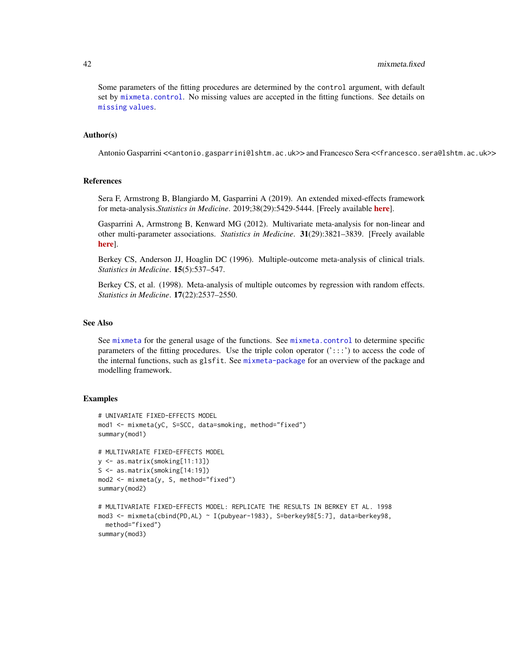Some parameters of the fitting procedures are determined by the control argument, with default set by [mixmeta.control](#page-37-0). No missing values are accepted in the fitting functions. See details on [missing values](#page-68-0).

# Author(s)

Antonio Gasparrini <<antonio.gasparrini@lshtm.ac.uk>> and Francesco Sera <<francesco.sera@lshtm.ac.uk>>

# References

Sera F, Armstrong B, Blangiardo M, Gasparrini A (2019). An extended mixed-effects framework for meta-analysis.*Statistics in Medicine*. 2019;38(29):5429-5444. [Freely available [here](http://www.ag-myresearch.com/2019_sera_statmed.html)].

Gasparrini A, Armstrong B, Kenward MG (2012). Multivariate meta-analysis for non-linear and other multi-parameter associations. *Statistics in Medicine*. 31(29):3821–3839. [Freely available [here](http://www.ag-myresearch.com/2012_gasparrini_statmed.html)].

Berkey CS, Anderson JJ, Hoaglin DC (1996). Multiple-outcome meta-analysis of clinical trials. *Statistics in Medicine*. 15(5):537–547.

Berkey CS, et al. (1998). Meta-analysis of multiple outcomes by regression with random effects. *Statistics in Medicine*. 17(22):2537–2550.

# See Also

See [mixmeta](#page-30-0) for the general usage of the functions. See [mixmeta.control](#page-37-0) to determine specific parameters of the fitting procedures. Use the triple colon operator  $(':::)$  to access the code of the internal functions, such as glsfit. See [mixmeta-package](#page-1-0) for an overview of the package and modelling framework.

## Examples

```
# UNIVARIATE FIXED-EFFECTS MODEL
mod1 <- mixmeta(yC, S=SCC, data=smoking, method="fixed")
summary(mod1)
# MULTIVARIATE FIXED-EFFECTS MODEL
y <- as.matrix(smoking[11:13])
S <- as.matrix(smoking[14:19])
mod2 <- mixmeta(y, S, method="fixed")
summary(mod2)
# MULTIVARIATE FIXED-EFFECTS MODEL: REPLICATE THE RESULTS IN BERKEY ET AL. 1998
mod3 <- mixmeta(cbind(PD,AL) ~ I(pubyear-1983), S=berkey98[5:7], data=berkey98,
 method="fixed")
summary(mod3)
```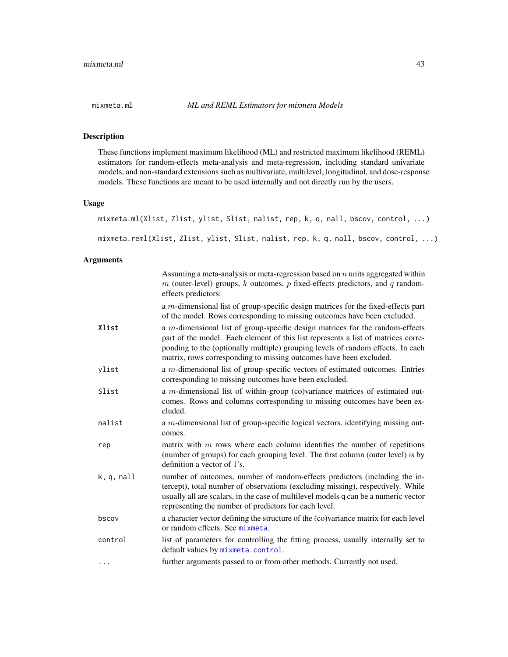<span id="page-42-0"></span>

# <span id="page-42-1"></span>Description

These functions implement maximum likelihood (ML) and restricted maximum likelihood (REML) estimators for random-effects meta-analysis and meta-regression, including standard univariate models, and non-standard extensions such as multivariate, multilevel, longitudinal, and dose-response models. These functions are meant to be used internally and not directly run by the users.

## Usage

mixmeta.ml(Xlist, Zlist, ylist, Slist, nalist, rep, k, q, nall, bscov, control, ...)

mixmeta.reml(Xlist, Zlist, ylist, Slist, nalist, rep, k, q, nall, bscov, control, ...)

|            | Assuming a meta-analysis or meta-regression based on $n$ units aggregated within<br>$m$ (outer-level) groups, $k$ outcomes, $p$ fixed-effects predictors, and $q$ random-<br>effects predictors:                                                                                                                               |
|------------|--------------------------------------------------------------------------------------------------------------------------------------------------------------------------------------------------------------------------------------------------------------------------------------------------------------------------------|
|            | a $m$ -dimensional list of group-specific design matrices for the fixed-effects part<br>of the model. Rows corresponding to missing outcomes have been excluded.                                                                                                                                                               |
| Xlist      | a $m$ -dimensional list of group-specific design matrices for the random-effects<br>part of the model. Each element of this list represents a list of matrices corre-<br>ponding to the (optionally multiple) grouping levels of random effects. In each<br>matrix, rows corresponding to missing outcomes have been excluded. |
| ylist      | a $m$ -dimensional list of group-specific vectors of estimated outcomes. Entries<br>corresponding to missing outcomes have been excluded.                                                                                                                                                                                      |
| Slist      | a <i>m</i> -dimensional list of within-group (co)variance matrices of estimated out-<br>comes. Rows and columns corresponding to missing outcomes have been ex-<br>cluded.                                                                                                                                                     |
| nalist     | a $m$ -dimensional list of group-specific logical vectors, identifying missing out-<br>comes.                                                                                                                                                                                                                                  |
| rep        | matrix with $m$ rows where each column identifies the number of repetitions<br>(number of groups) for each grouping level. The first column (outer level) is by<br>definition a vector of 1's.                                                                                                                                 |
| k, q, null | number of outcomes, number of random-effects predictors (including the in-<br>tercept), total number of observations (excluding missing), respectively. While<br>usually all are scalars, in the case of multilevel models q can be a numeric vector<br>representing the number of predictors for each level.                  |
| bscov      | a character vector defining the structure of the (co)variance matrix for each level<br>or random effects. See mixmeta.                                                                                                                                                                                                         |
| control    | list of parameters for controlling the fitting process, usually internally set to<br>default values by mixmeta.control.                                                                                                                                                                                                        |
| .          | further arguments passed to or from other methods. Currently not used.                                                                                                                                                                                                                                                         |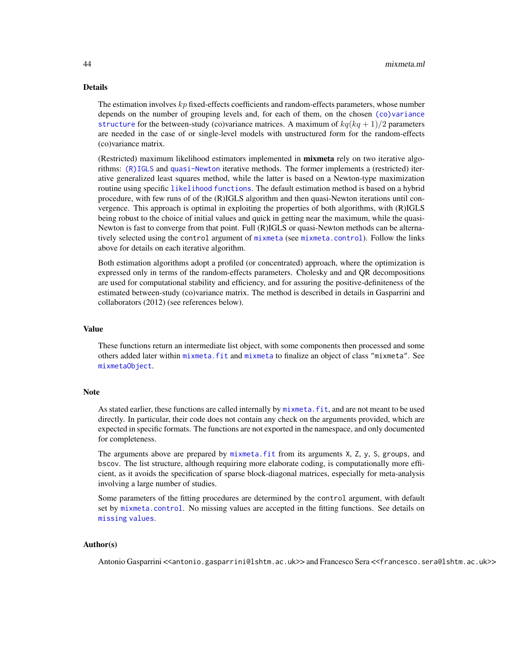# Details

The estimation involves  $kp$  fixed-effects coefficients and random-effects parameters, whose number depends on the number of grouping levels and, for each of them, on the chosen [\(co\)variance](#page-50-0) [structure](#page-50-0) for the between-study (co)variance matrices. A maximum of  $kq(kq + 1)/2$  parameters are needed in the case of or single-level models with unstructured form for the random-effects (co)variance matrix.

(Restricted) maximum likelihood estimators implemented in mixmeta rely on two iterative algorithms: [\(R\)IGLS](#page-59-0) and [quasi-Newton](#page-64-0) iterative methods. The former implements a (restricted) iterative generalized least squares method, while the latter is based on a Newton-type maximization routine using specific [likelihood functions](#page-61-0). The default estimation method is based on a hybrid procedure, with few runs of of the (R)IGLS algorithm and then quasi-Newton iterations until convergence. This approach is optimal in exploiting the properties of both algorithms, with (R)IGLS being robust to the choice of initial values and quick in getting near the maximum, while the quasi-Newton is fast to converge from that point. Full (R)IGLS or quasi-Newton methods can be alternatively selected using the control argument of [mixmeta](#page-30-0) (see [mixmeta.control](#page-37-0)). Follow the links above for details on each iterative algorithm.

Both estimation algorithms adopt a profiled (or concentrated) approach, where the optimization is expressed only in terms of the random-effects parameters. Cholesky and and QR decompositions are used for computational stability and efficiency, and for assuring the positive-definiteness of the estimated between-study (co)variance matrix. The method is described in details in Gasparrini and collaborators (2012) (see references below).

# Value

These functions return an intermediate list object, with some components then processed and some others added later within [mixmeta.fit](#page-30-1) and [mixmeta](#page-30-0) to finalize an object of class "mixmeta". See [mixmetaObject](#page-54-0).

# **Note**

As stated earlier, these functions are called internally by  $mixmeta$ . fit, and are not meant to be used directly. In particular, their code does not contain any check on the arguments provided, which are expected in specific formats. The functions are not exported in the namespace, and only documented for completeness.

The arguments above are prepared by [mixmeta.fit](#page-30-1) from its arguments X, Z, y, S, groups, and bscov. The list structure, although requiring more elaborate coding, is computationally more efficient, as it avoids the specification of sparse block-diagonal matrices, especially for meta-analysis involving a large number of studies.

Some parameters of the fitting procedures are determined by the control argument, with default set by [mixmeta.control](#page-37-0). No missing values are accepted in the fitting functions. See details on [missing values](#page-68-0).

#### Author(s)

Antonio Gasparrini <<antonio.gasparrini@lshtm.ac.uk>> and Francesco Sera <<francesco.sera@lshtm.ac.uk>>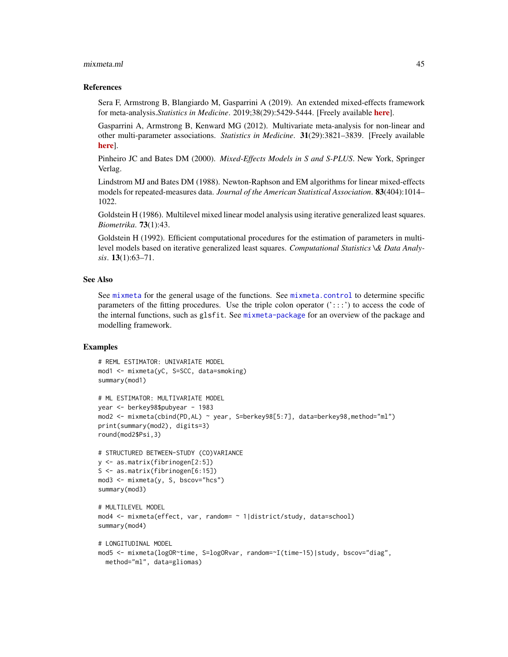#### mixmeta.ml 45

## References

Sera F, Armstrong B, Blangiardo M, Gasparrini A (2019). An extended mixed-effects framework for meta-analysis.*Statistics in Medicine*. 2019;38(29):5429-5444. [Freely available [here](http://www.ag-myresearch.com/2019_sera_statmed.html)].

Gasparrini A, Armstrong B, Kenward MG (2012). Multivariate meta-analysis for non-linear and other multi-parameter associations. *Statistics in Medicine*. 31(29):3821–3839. [Freely available [here](http://www.ag-myresearch.com/2012_gasparrini_statmed.html)].

Pinheiro JC and Bates DM (2000). *Mixed-Effects Models in S and S-PLUS*. New York, Springer Verlag.

Lindstrom MJ and Bates DM (1988). Newton-Raphson and EM algorithms for linear mixed-effects models for repeated-measures data. *Journal of the American Statistical Association*. 83(404):1014– 1022.

Goldstein H (1986). Multilevel mixed linear model analysis using iterative generalized least squares. *Biometrika*. 73(1):43.

Goldstein H (1992). Efficient computational procedures for the estimation of parameters in multilevel models based on iterative generalized least squares. *Computational Statistics \& Data Analysis*. 13(1):63–71.

## See Also

See [mixmeta](#page-30-0) for the general usage of the functions. See [mixmeta.control](#page-37-0) to determine specific parameters of the fitting procedures. Use the triple colon operator  $(':::)$  to access the code of the internal functions, such as glsfit. See [mixmeta-package](#page-1-0) for an overview of the package and modelling framework.

# Examples

```
# REML ESTIMATOR: UNIVARIATE MODEL
mod1 <- mixmeta(yC, S=SCC, data=smoking)
summary(mod1)
# ML ESTIMATOR: MULTIVARIATE MODEL
year <- berkey98$pubyear - 1983
mod2 <- mixmeta(cbind(PD,AL) ~ year, S=berkey98[5:7], data=berkey98,method="ml")
print(summary(mod2), digits=3)
round(mod2$Psi,3)
# STRUCTURED BETWEEN-STUDY (CO)VARIANCE
y <- as.matrix(fibrinogen[2:5])
S <- as.matrix(fibrinogen[6:15])
mod3 <- mixmeta(y, S, bscov="hcs")
summary(mod3)
# MULTILEVEL MODEL
mod4 <- mixmeta(effect, var, random= ~ 1|district/study, data=school)
summary(mod4)
# LONGITUDINAL MODEL
mod5 <- mixmeta(logOR~time, S=logORvar, random=~I(time-15)|study, bscov="diag",
  method="ml", data=gliomas)
```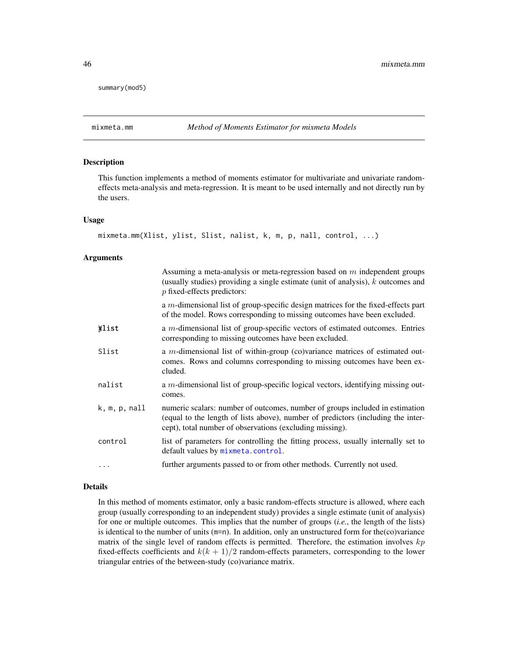summary(mod5)

# Description

This function implements a method of moments estimator for multivariate and univariate randomeffects meta-analysis and meta-regression. It is meant to be used internally and not directly run by the users.

#### Usage

```
mixmeta.mm(Xlist, ylist, Slist, nalist, k, m, p, nall, control, ...)
```
## Arguments

|               | Assuming a meta-analysis or meta-regression based on $m$ independent groups<br>(usually studies) providing a single estimate (unit of analysis), $k$ outcomes and<br>$p$ fixed-effects predictors:                           |
|---------------|------------------------------------------------------------------------------------------------------------------------------------------------------------------------------------------------------------------------------|
|               | a $m$ -dimensional list of group-specific design matrices for the fixed-effects part<br>of the model. Rows corresponding to missing outcomes have been excluded.                                                             |
| *list         | a $m$ -dimensional list of group-specific vectors of estimated outcomes. Entries<br>corresponding to missing outcomes have been excluded.                                                                                    |
| Slist         | a <i>m</i> -dimensional list of within-group (co)variance matrices of estimated out-<br>comes. Rows and columns corresponding to missing outcomes have been ex-<br>cluded.                                                   |
| nalist        | a m-dimensional list of group-specific logical vectors, identifying missing out-<br>comes.                                                                                                                                   |
| k, m, p, null | numeric scalars: number of outcomes, number of groups included in estimation<br>(equal to the length of lists above), number of predictors (including the inter-<br>cept), total number of observations (excluding missing). |
| control       | list of parameters for controlling the fitting process, usually internally set to<br>default values by mixmeta.control.                                                                                                      |
|               | further arguments passed to or from other methods. Currently not used.                                                                                                                                                       |

### Details

In this method of moments estimator, only a basic random-effects structure is allowed, where each group (usually corresponding to an independent study) provides a single estimate (unit of analysis) for one or multiple outcomes. This implies that the number of groups (*i.e.*, the length of the lists) is identical to the number of units (m=n). In addition, only an unstructured form for the(co)variance matrix of the single level of random effects is permitted. Therefore, the estimation involves  $kp$ fixed-effects coefficients and  $k(k + 1)/2$  random-effects parameters, corresponding to the lower triangular entries of the between-study (co)variance matrix.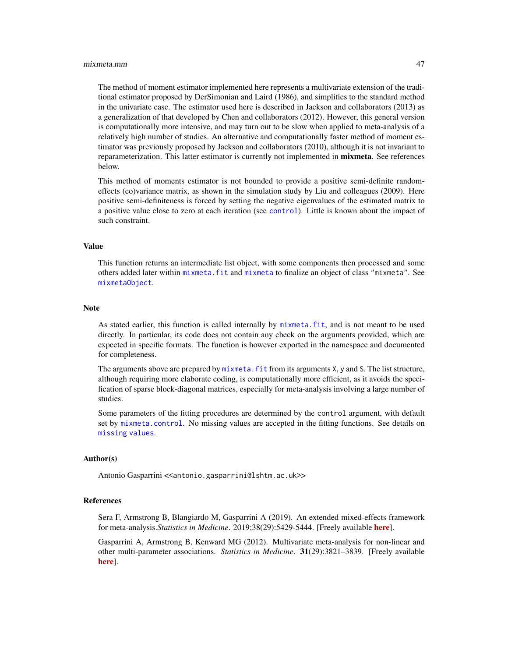#### mixmeta.mm 47

The method of moment estimator implemented here represents a multivariate extension of the traditional estimator proposed by DerSimonian and Laird (1986), and simplifies to the standard method in the univariate case. The estimator used here is described in Jackson and collaborators (2013) as a generalization of that developed by Chen and collaborators (2012). However, this general version is computationally more intensive, and may turn out to be slow when applied to meta-analysis of a relatively high number of studies. An alternative and computationally faster method of moment estimator was previously proposed by Jackson and collaborators (2010), although it is not invariant to reparameterization. This latter estimator is currently not implemented in **mixmeta**. See references below.

This method of moments estimator is not bounded to provide a positive semi-definite randomeffects (co)variance matrix, as shown in the simulation study by Liu and colleagues (2009). Here positive semi-definiteness is forced by setting the negative eigenvalues of the estimated matrix to a positive value close to zero at each iteration (see [control](#page-37-0)). Little is known about the impact of such constraint.

# Value

This function returns an intermediate list object, with some components then processed and some others added later within [mixmeta.fit](#page-30-1) and [mixmeta](#page-30-0) to finalize an object of class "mixmeta". See [mixmetaObject](#page-54-0).

#### Note

As stated earlier, this function is called internally by [mixmeta.fit](#page-30-1), and is not meant to be used directly. In particular, its code does not contain any check on the arguments provided, which are expected in specific formats. The function is however exported in the namespace and documented for completeness.

The arguments above are prepared by  $m$  ixmeta. fit from its arguments  $X$ ,  $y$  and  $S$ . The list structure, although requiring more elaborate coding, is computationally more efficient, as it avoids the specification of sparse block-diagonal matrices, especially for meta-analysis involving a large number of studies.

Some parameters of the fitting procedures are determined by the control argument, with default set by [mixmeta.control](#page-37-0). No missing values are accepted in the fitting functions. See details on [missing values](#page-68-0).

## Author(s)

Antonio Gasparrini << antonio.gasparrini@lshtm.ac.uk>>

#### References

Sera F, Armstrong B, Blangiardo M, Gasparrini A (2019). An extended mixed-effects framework for meta-analysis.*Statistics in Medicine*. 2019;38(29):5429-5444. [Freely available [here](http://www.ag-myresearch.com/2019_sera_statmed.html)].

Gasparrini A, Armstrong B, Kenward MG (2012). Multivariate meta-analysis for non-linear and other multi-parameter associations. *Statistics in Medicine*. 31(29):3821–3839. [Freely available [here](http://www.ag-myresearch.com/2012_gasparrini_statmed.html)].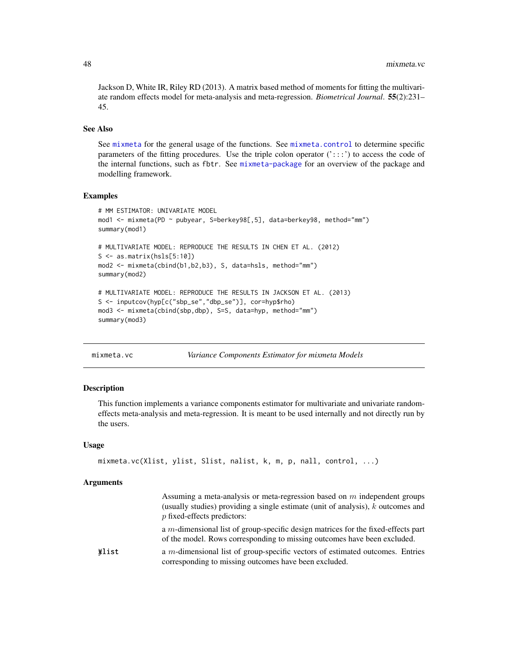Jackson D, White IR, Riley RD (2013). A matrix based method of moments for fitting the multivariate random effects model for meta-analysis and meta-regression. *Biometrical Journal*. 55(2):231– 45.

# See Also

See [mixmeta](#page-30-0) for the general usage of the functions. See [mixmeta.control](#page-37-0) to determine specific parameters of the fitting procedures. Use the triple colon operator  $('::::)$  to access the code of the internal functions, such as fbtr. See [mixmeta-package](#page-1-0) for an overview of the package and modelling framework.

#### Examples

```
# MM ESTIMATOR: UNIVARIATE MODEL
mod1 <- mixmeta(PD ~ pubyear, S=berkey98[,5], data=berkey98, method="mm")
summary(mod1)
# MULTIVARIATE MODEL: REPRODUCE THE RESULTS IN CHEN ET AL. (2012)
S \leftarrow as_matrix(hsls[5:10])mod2 <- mixmeta(cbind(b1,b2,b3), S, data=hsls, method="mm")
summary(mod2)
# MULTIVARIATE MODEL: REPRODUCE THE RESULTS IN JACKSON ET AL. (2013)
S <- inputcov(hyp[c("sbp_se","dbp_se")], cor=hyp$rho)
mod3 <- mixmeta(cbind(sbp,dbp), S=S, data=hyp, method="mm")
summary(mod3)
```
<span id="page-47-0"></span>mixmeta.vc *Variance Components Estimator for mixmeta Models*

## Description

This function implements a variance components estimator for multivariate and univariate randomeffects meta-analysis and meta-regression. It is meant to be used internally and not directly run by the users.

#### Usage

```
mixmeta.vc(Xlist, ylist, Slist, nalist, k, m, p, nall, control, ...)
```

|       | Assuming a meta-analysis or meta-regression based on $m$ independent groups<br>(usually studies) providing a single estimate (unit of analysis), $k$ outcomes and<br>$p$ fixed-effects predictors: |
|-------|----------------------------------------------------------------------------------------------------------------------------------------------------------------------------------------------------|
|       | a $m$ -dimensional list of group-specific design matrices for the fixed-effects part<br>of the model. Rows corresponding to missing outcomes have been excluded.                                   |
| Wlist | a $m$ -dimensional list of group-specific vectors of estimated outcomes. Entries<br>corresponding to missing outcomes have been excluded.                                                          |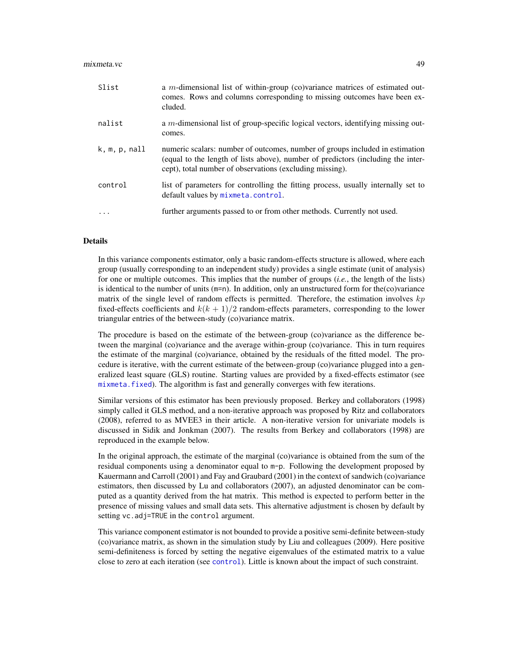#### mixmeta.vc 49

| Slist                  | a m-dimensional list of within-group (co)variance matrices of estimated out-<br>comes. Rows and columns corresponding to missing outcomes have been ex-<br>cluded.                                                           |
|------------------------|------------------------------------------------------------------------------------------------------------------------------------------------------------------------------------------------------------------------------|
| nalist                 | a $m$ -dimensional list of group-specific logical vectors, identifying missing out-<br>comes.                                                                                                                                |
| $k, m, p, \text{nall}$ | numeric scalars: number of outcomes, number of groups included in estimation<br>(equal to the length of lists above), number of predictors (including the inter-<br>cept), total number of observations (excluding missing). |
| control                | list of parameters for controlling the fitting process, usually internally set to<br>default values by mixmeta.control.                                                                                                      |
| $\cdot$                | further arguments passed to or from other methods. Currently not used.                                                                                                                                                       |

# Details

In this variance components estimator, only a basic random-effects structure is allowed, where each group (usually corresponding to an independent study) provides a single estimate (unit of analysis) for one or multiple outcomes. This implies that the number of groups (*i.e.*, the length of the lists) is identical to the number of units (m=n). In addition, only an unstructured form for the(co)variance matrix of the single level of random effects is permitted. Therefore, the estimation involves  $kp$ fixed-effects coefficients and  $k(k + 1)/2$  random-effects parameters, corresponding to the lower triangular entries of the between-study (co)variance matrix.

The procedure is based on the estimate of the between-group (co)variance as the difference between the marginal (co)variance and the average within-group (co)variance. This in turn requires the estimate of the marginal (co)variance, obtained by the residuals of the fitted model. The procedure is iterative, with the current estimate of the between-group (co)variance plugged into a generalized least square (GLS) routine. Starting values are provided by a fixed-effects estimator (see [mixmeta.fixed](#page-39-0)). The algorithm is fast and generally converges with few iterations.

Similar versions of this estimator has been previously proposed. Berkey and collaborators (1998) simply called it GLS method, and a non-iterative approach was proposed by Ritz and collaborators (2008), referred to as MVEE3 in their article. A non-iterative version for univariate models is discussed in Sidik and Jonkman (2007). The results from Berkey and collaborators (1998) are reproduced in the example below.

In the original approach, the estimate of the marginal (co)variance is obtained from the sum of the residual components using a denominator equal to m-p. Following the development proposed by Kauermann and Carroll (2001) and Fay and Graubard (2001) in the context of sandwich (co)variance estimators, then discussed by Lu and collaborators (2007), an adjusted denominator can be computed as a quantity derived from the hat matrix. This method is expected to perform better in the presence of missing values and small data sets. This alternative adjustment is chosen by default by setting vc. adj=TRUE in the control argument.

This variance component estimator is not bounded to provide a positive semi-definite between-study (co)variance matrix, as shown in the simulation study by Liu and colleagues (2009). Here positive semi-definiteness is forced by setting the negative eigenvalues of the estimated matrix to a value close to zero at each iteration (see [control](#page-37-0)). Little is known about the impact of such constraint.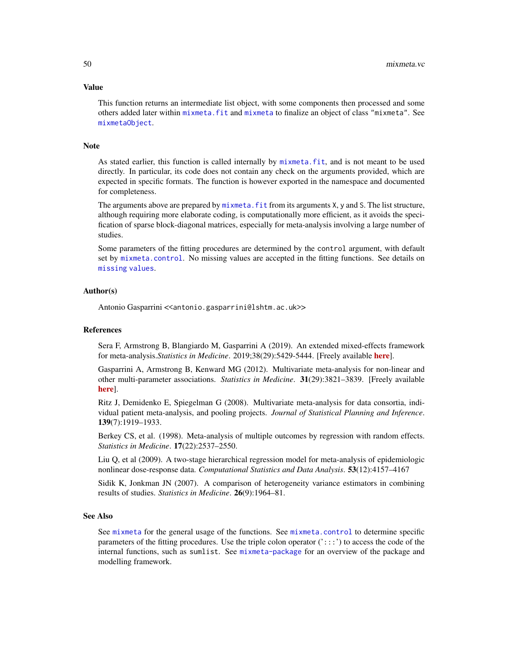#### Value

This function returns an intermediate list object, with some components then processed and some others added later within [mixmeta.fit](#page-30-1) and [mixmeta](#page-30-0) to finalize an object of class "mixmeta". See [mixmetaObject](#page-54-0).

# Note

As stated earlier, this function is called internally by [mixmeta.fit](#page-30-1), and is not meant to be used directly. In particular, its code does not contain any check on the arguments provided, which are expected in specific formats. The function is however exported in the namespace and documented for completeness.

The arguments above are prepared by  $m$  ixmeta. fit from its arguments X, y and S. The list structure, although requiring more elaborate coding, is computationally more efficient, as it avoids the specification of sparse block-diagonal matrices, especially for meta-analysis involving a large number of studies.

Some parameters of the fitting procedures are determined by the control argument, with default set by [mixmeta.control](#page-37-0). No missing values are accepted in the fitting functions. See details on [missing values](#page-68-0).

# Author(s)

Antonio Gasparrini << antonio.gasparrini@lshtm.ac.uk>>

#### References

Sera F, Armstrong B, Blangiardo M, Gasparrini A (2019). An extended mixed-effects framework for meta-analysis.*Statistics in Medicine*. 2019;38(29):5429-5444. [Freely available [here](http://www.ag-myresearch.com/2019_sera_statmed.html)].

Gasparrini A, Armstrong B, Kenward MG (2012). Multivariate meta-analysis for non-linear and other multi-parameter associations. *Statistics in Medicine*. 31(29):3821–3839. [Freely available [here](http://www.ag-myresearch.com/2012_gasparrini_statmed.html)].

Ritz J, Demidenko E, Spiegelman G (2008). Multivariate meta-analysis for data consortia, individual patient meta-analysis, and pooling projects. *Journal of Statistical Planning and Inference*. 139(7):1919–1933.

Berkey CS, et al. (1998). Meta-analysis of multiple outcomes by regression with random effects. *Statistics in Medicine*. 17(22):2537–2550.

Liu Q, et al (2009). A two-stage hierarchical regression model for meta-analysis of epidemiologic nonlinear dose-response data. *Computational Statistics and Data Analysis*. 53(12):4157–4167

Sidik K, Jonkman JN (2007). A comparison of heterogeneity variance estimators in combining results of studies. *Statistics in Medicine*. 26(9):1964–81.

#### See Also

See [mixmeta](#page-30-0) for the general usage of the functions. See [mixmeta.control](#page-37-0) to determine specific parameters of the fitting procedures. Use the triple colon operator  $('::::)$  to access the code of the internal functions, such as sumlist. See [mixmeta-package](#page-1-0) for an overview of the package and modelling framework.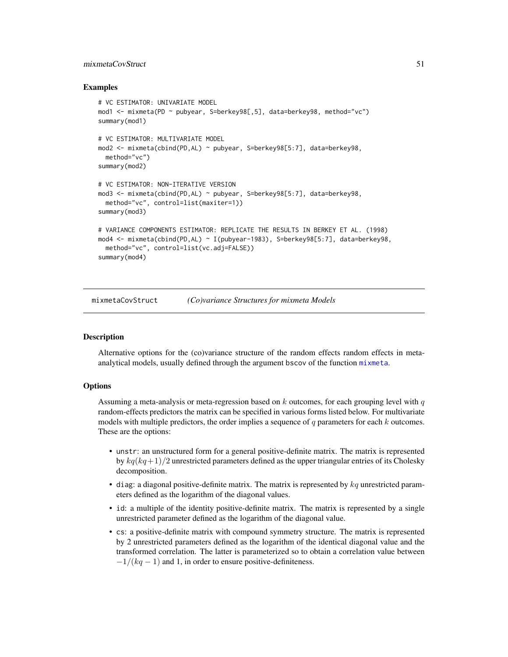# mixmetaCovStruct 51

# Examples

```
# VC ESTIMATOR: UNIVARIATE MODEL
mod1 <- mixmeta(PD ~ pubyear, S=berkey98[,5], data=berkey98, method="vc")
summary(mod1)
# VC ESTIMATOR: MULTIVARIATE MODEL
mod2 <- mixmeta(cbind(PD,AL) ~ pubyear, S=berkey98[5:7], data=berkey98,
 method="vc")
summary(mod2)
# VC ESTIMATOR: NON-ITERATIVE VERSION
mod3 <- mixmeta(cbind(PD,AL) ~ pubyear, S=berkey98[5:7], data=berkey98,
 method="vc", control=list(maxiter=1))
summary(mod3)
# VARIANCE COMPONENTS ESTIMATOR: REPLICATE THE RESULTS IN BERKEY ET AL. (1998)
mod4 <- mixmeta(cbind(PD,AL) ~ I(pubyear-1983), S=berkey98[5:7], data=berkey98,
 method="vc", control=list(vc.adj=FALSE))
summary(mod4)
```
<span id="page-50-0"></span>mixmetaCovStruct *(Co)variance Structures for mixmeta Models*

## Description

Alternative options for the (co)variance structure of the random effects random effects in metaanalytical models, usually defined through the argument bscov of the function [mixmeta](#page-30-0).

# **Options**

Assuming a meta-analysis or meta-regression based on  $k$  outcomes, for each grouping level with  $q$ random-effects predictors the matrix can be specified in various forms listed below. For multivariate models with multiple predictors, the order implies a sequence of  $q$  parameters for each  $k$  outcomes. These are the options:

- unstr: an unstructured form for a general positive-definite matrix. The matrix is represented by  $kq(kq+1)/2$  unrestricted parameters defined as the upper triangular entries of its Cholesky decomposition.
- $\bullet$  diag: a diagonal positive-definite matrix. The matrix is represented by  $kq$  unrestricted parameters defined as the logarithm of the diagonal values.
- id: a multiple of the identity positive-definite matrix. The matrix is represented by a single unrestricted parameter defined as the logarithm of the diagonal value.
- cs: a positive-definite matrix with compound symmetry structure. The matrix is represented by 2 unrestricted parameters defined as the logarithm of the identical diagonal value and the transformed correlation. The latter is parameterized so to obtain a correlation value between  $-1/(kq - 1)$  and 1, in order to ensure positive-definiteness.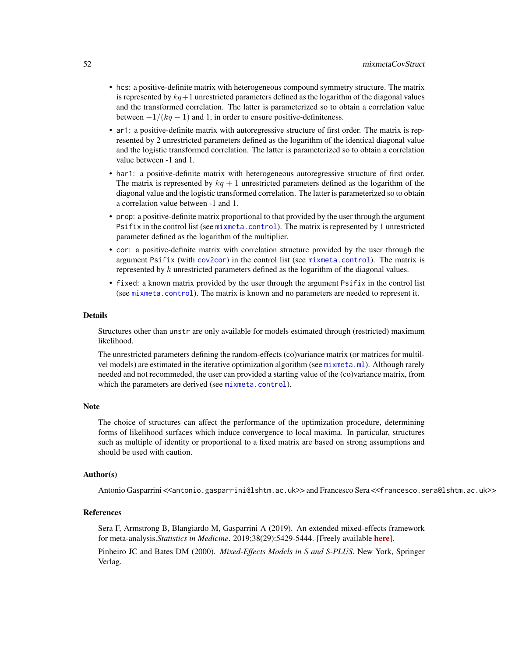- hcs: a positive-definite matrix with heterogeneous compound symmetry structure. The matrix is represented by  $kq+1$  unrestricted parameters defined as the logarithm of the diagonal values and the transformed correlation. The latter is parameterized so to obtain a correlation value between  $-1/(kq - 1)$  and 1, in order to ensure positive-definiteness.
- ar1: a positive-definite matrix with autoregressive structure of first order. The matrix is represented by 2 unrestricted parameters defined as the logarithm of the identical diagonal value and the logistic transformed correlation. The latter is parameterized so to obtain a correlation value between -1 and 1.
- har1: a positive-definite matrix with heterogeneous autoregressive structure of first order. The matrix is represented by  $kq + 1$  unrestricted parameters defined as the logarithm of the diagonal value and the logistic transformed correlation. The latter is parameterized so to obtain a correlation value between -1 and 1.
- prop: a positive-definite matrix proportional to that provided by the user through the argument Psifix in the control list (see [mixmeta.control](#page-37-0)). The matrix is represented by 1 unrestricted parameter defined as the logarithm of the multiplier.
- cor: a positive-definite matrix with correlation structure provided by the user through the argument Psifix (with [cov2cor](#page-0-0)) in the control list (see [mixmeta.control](#page-37-0)). The matrix is represented by k unrestricted parameters defined as the logarithm of the diagonal values.
- fixed: a known matrix provided by the user through the argument Psifix in the control list (see [mixmeta.control](#page-37-0)). The matrix is known and no parameters are needed to represent it.

#### Details

Structures other than unstr are only available for models estimated through (restricted) maximum likelihood.

The unrestricted parameters defining the random-effects (co)variance matrix (or matrices for multilvel models) are estimated in the iterative optimization algorithm (see [mixmeta.ml](#page-42-0)). Although rarely needed and not recommeded, the user can provided a starting value of the (co)variance matrix, from which the parameters are derived (see [mixmeta.control](#page-37-0)).

## Note

The choice of structures can affect the performance of the optimization procedure, determining forms of likelihood surfaces which induce convergence to local maxima. In particular, structures such as multiple of identity or proportional to a fixed matrix are based on strong assumptions and should be used with caution.

#### Author(s)

Antonio Gasparrini <<antonio.gasparrini@lshtm.ac.uk>> and Francesco Sera <<francesco.sera@lshtm.ac.uk>>

# **References**

Sera F, Armstrong B, Blangiardo M, Gasparrini A (2019). An extended mixed-effects framework for meta-analysis.*Statistics in Medicine*. 2019;38(29):5429-5444. [Freely available [here](http://www.ag-myresearch.com/2019_sera_statmed.html)]. Pinheiro JC and Bates DM (2000). *Mixed-Effects Models in S and S-PLUS*. New York, Springer Verlag.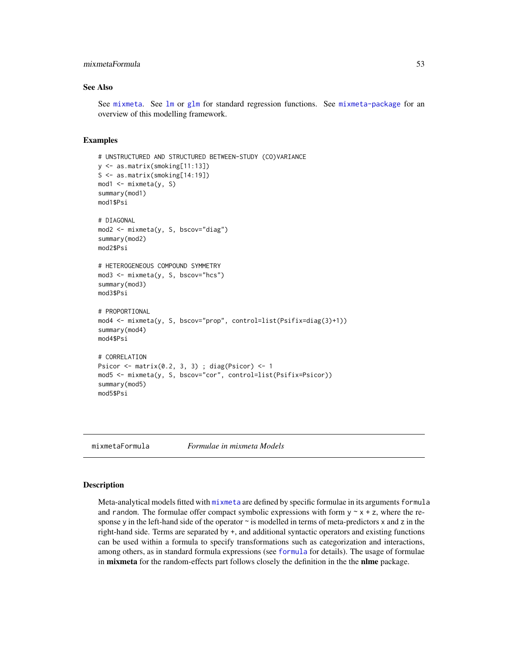# mixmetaFormula 53

# See Also

See [mixmeta](#page-30-0). See [lm](#page-0-0) or [glm](#page-0-0) for standard regression functions. See [mixmeta-package](#page-1-0) for an overview of this modelling framework.

# Examples

```
# UNSTRUCTURED AND STRUCTURED BETWEEN-STUDY (CO)VARIANCE
y <- as.matrix(smoking[11:13])
S <- as.matrix(smoking[14:19])
mod1 <- mixmeta(y, S)
summary(mod1)
mod1$Psi
# DIAGONAL
mod2 <- mixmeta(y, S, bscov="diag")
summary(mod2)
mod2$Psi
# HETEROGENEOUS COMPOUND SYMMETRY
mod3 \le - mixmeta(y, S, bscov="hcs")
summary(mod3)
mod3$Psi
# PROPORTIONAL
mod4 <- mixmeta(y, S, bscov="prop", control=list(Psifix=diag(3)+1))
summary(mod4)
mod4$Psi
# CORRELATION
Psicor \leq matrix(0.2, 3, 3); diag(Psicor) \leq 1
mod5 <- mixmeta(y, S, bscov="cor", control=list(Psifix=Psicor))
summary(mod5)
mod5$Psi
```
<span id="page-52-0"></span>mixmetaFormula *Formulae in mixmeta Models*

# **Description**

Meta-analytical models fitted with [mixmeta](#page-30-0) are defined by specific formulae in its arguments formula and random. The formulae offer compact symbolic expressions with form  $y \sim x + z$ , where the response y in the left-hand side of the operator  $\sim$  is modelled in terms of meta-predictors x and z in the right-hand side. Terms are separated by +, and additional syntactic operators and existing functions can be used within a formula to specify transformations such as categorization and interactions, among others, as in standard formula expressions (see [formula](#page-0-0) for details). The usage of formulae in **mixmeta** for the random-effects part follows closely the definition in the the **nlme** package.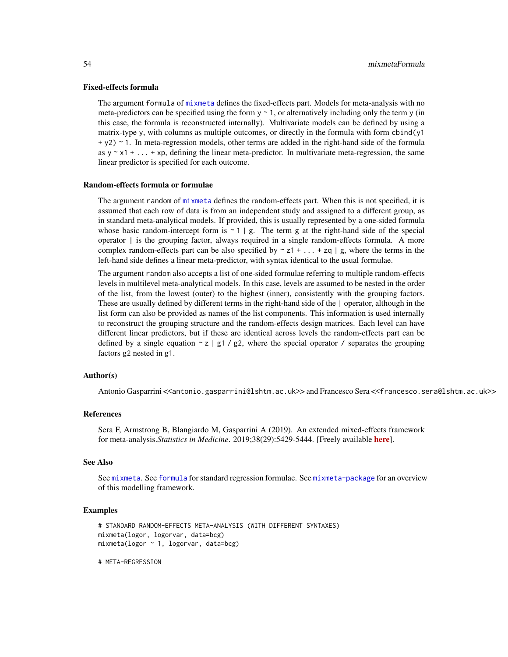## Fixed-effects formula

The argument formula of [mixmeta](#page-30-0) defines the fixed-effects part. Models for meta-analysis with no meta-predictors can be specified using the form  $y \sim 1$ , or alternatively including only the term y (in this case, the formula is reconstructed internally). Multivariate models can be defined by using a matrix-type y, with columns as multiple outcomes, or directly in the formula with form cbind(y1 + y2) ~ 1. In meta-regression models, other terms are added in the right-hand side of the formula as  $y \sim x1 + ... + xp$ , defining the linear meta-predictor. In multivariate meta-regression, the same linear predictor is specified for each outcome.

## Random-effects formula or formulae

The argument random of [mixmeta](#page-30-0) defines the random-effects part. When this is not specified, it is assumed that each row of data is from an independent study and assigned to a different group, as in standard meta-analytical models. If provided, this is usually represented by a one-sided formula whose basic random-intercept form is  $\sim$  1 | g. The term g at the right-hand side of the special operator  $\vert$  is the grouping factor, always required in a single random-effects formula. A more complex random-effects part can be also specified by  $\sim z1 + ... + zq \mid g$ , where the terms in the left-hand side defines a linear meta-predictor, with syntax identical to the usual formulae.

The argument random also accepts a list of one-sided formulae referring to multiple random-effects levels in multilevel meta-analytical models. In this case, levels are assumed to be nested in the order of the list, from the lowest (outer) to the highest (inner), consistently with the grouping factors. These are usually defined by different terms in the right-hand side of the | operator, although in the list form can also be provided as names of the list components. This information is used internally to reconstruct the grouping structure and the random-effects design matrices. Each level can have different linear predictors, but if these are identical across levels the random-effects part can be defined by a single equation  $\sim$  z | g1 / g2, where the special operator / separates the grouping factors g2 nested in g1.

#### Author(s)

Antonio Gasparrini <<antonio.gasparrini@lshtm.ac.uk>> and Francesco Sera <<francesco.sera@lshtm.ac.uk>>

#### References

Sera F, Armstrong B, Blangiardo M, Gasparrini A (2019). An extended mixed-effects framework for meta-analysis.*Statistics in Medicine*. 2019;38(29):5429-5444. [Freely available [here](http://www.ag-myresearch.com/2019_sera_statmed.html)].

# See Also

See [mixmeta](#page-30-0). See [formula](#page-0-0) for standard regression formulae. See [mixmeta-package](#page-1-0) for an overview of this modelling framework.

# Examples

```
# STANDARD RANDOM-EFFECTS META-ANALYSIS (WITH DIFFERENT SYNTAXES)
mixmeta(logor, logorvar, data=bcg)
mixmeta(logor ~ 1, logorvar, data=bcg)
```
# META-REGRESSION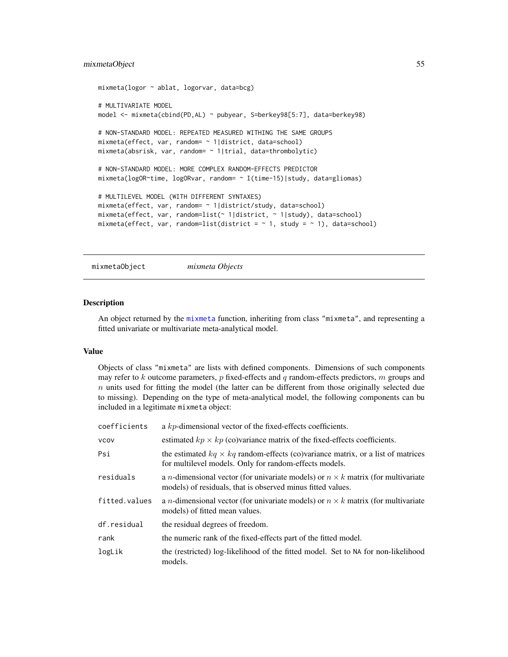# mixmetaObject 55

```
mixmeta(logor ~ ablat, logorvar, data=bcg)
# MULTIVARIATE MODEL
model <- mixmeta(cbind(PD,AL) ~ pubyear, S=berkey98[5:7], data=berkey98)
# NON-STANDARD MODEL: REPEATED MEASURED WITHING THE SAME GROUPS
mixmeta(effect, var, random= ~ 1|district, data=school)
mixmeta(absrisk, var, random= ~ 1|trial, data=thrombolytic)
# NON-STANDARD MODEL: MORE COMPLEX RANDOM-EFFECTS PREDICTOR
mixmeta(logOR~time, logORvar, random= ~ I(time-15)|study, data=gliomas)
# MULTILEVEL MODEL (WITH DIFFERENT SYNTAXES)
mixmeta(effect, var, random= ~ 1|district/study, data=school)
mixmeta(effect, var, random=list(~ 1|district, ~ 1|study), data=school)
mixmeta(effect, var, random=list(district = \sim 1, study = \sim 1), data=school)
```

```
mixmetaObject mixmeta Objects
```
# **Description**

An object returned by the [mixmeta](#page-30-0) function, inheriting from class "mixmeta", and representing a fitted univariate or multivariate meta-analytical model.

#### Value

Objects of class "mixmeta" are lists with defined components. Dimensions of such components may refer to  $k$  outcome parameters,  $p$  fixed-effects and  $q$  random-effects predictors,  $m$  groups and  $n$  units used for fitting the model (the latter can be different from those originally selected due to missing). Depending on the type of meta-analytical model, the following components can bu included in a legitimate mixmeta object:

| coefficients  | a kp-dimensional vector of the fixed-effects coefficients.                                                                                                     |
|---------------|----------------------------------------------------------------------------------------------------------------------------------------------------------------|
| <b>VCOV</b>   | estimated $kp \times kp$ (co)variance matrix of the fixed-effects coefficients.                                                                                |
| Psi           | the estimated $kq \times kq$ random-effects (co)variance matrix, or a list of matrices<br>for multilevel models. Only for random-effects models.               |
| residuals     | a <i>n</i> -dimensional vector (for univariate models) or $n \times k$ matrix (for multivariate<br>models) of residuals, that is observed minus fitted values. |
| fitted.values | a <i>n</i> -dimensional vector (for univariate models) or $n \times k$ matrix (for multivariate<br>models) of fitted mean values.                              |
| df.residual   | the residual degrees of freedom.                                                                                                                               |
| rank          | the numeric rank of the fixed-effects part of the fitted model.                                                                                                |
| logLik        | the (restricted) log-likelihood of the fitted model. Set to NA for non-likelihood<br>models.                                                                   |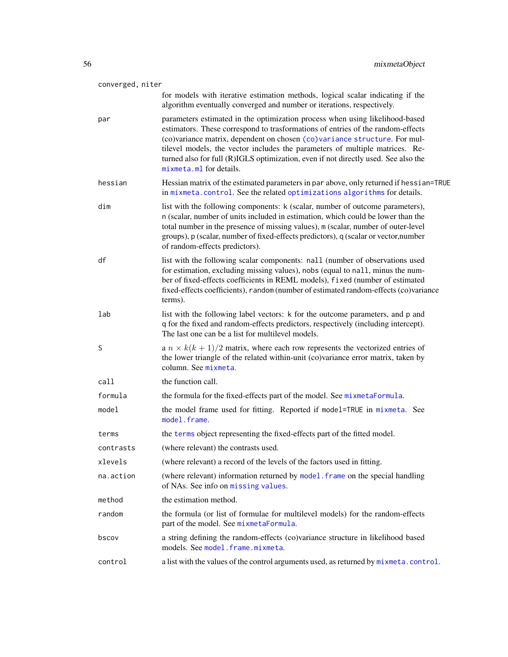| converged, niter |                                                                                                                                                                                                                                                                                                                                                                                                                                               |  |
|------------------|-----------------------------------------------------------------------------------------------------------------------------------------------------------------------------------------------------------------------------------------------------------------------------------------------------------------------------------------------------------------------------------------------------------------------------------------------|--|
|                  | for models with iterative estimation methods, logical scalar indicating if the<br>algorithm eventually converged and number or iterations, respectively.                                                                                                                                                                                                                                                                                      |  |
| par              | parameters estimated in the optimization process when using likelihood-based<br>estimators. These correspond to trasformations of entries of the random-effects<br>(co)variance matrix, dependent on chosen (co)variance structure. For mul-<br>tilevel models, the vector includes the parameters of multiple matrices. Re-<br>turned also for full (R)IGLS optimization, even if not directly used. See also the<br>mixmeta.ml for details. |  |
| hessian          | Hessian matrix of the estimated parameters in par above, only returned if hessian=TRUE<br>in mixmeta.control. See the related optimizations algorithms for details.                                                                                                                                                                                                                                                                           |  |
| dim              | list with the following components: k (scalar, number of outcome parameters),<br>n (scalar, number of units included in estimation, which could be lower than the<br>total number in the presence of missing values), m (scalar, number of outer-level<br>groups), p (scalar, number of fixed-effects predictors), q (scalar or vector, number<br>of random-effects predictors).                                                              |  |
| df               | list with the following scalar components: nall (number of observations used<br>for estimation, excluding missing values), nobs (equal to nall, minus the num-<br>ber of fixed-effects coefficients in REML models), fixed (number of estimated<br>fixed-effects coefficients), random (number of estimated random-effects (co)variance<br>terms).                                                                                            |  |
| lab              | list with the following label vectors: k for the outcome parameters, and p and<br>q for the fixed and random-effects predictors, respectively (including intercept).<br>The last one can be a list for multilevel models.                                                                                                                                                                                                                     |  |
| S                | a $n \times k(k+1)/2$ matrix, where each row represents the vectorized entries of<br>the lower triangle of the related within-unit (co)variance error matrix, taken by<br>column. See mixmeta.                                                                                                                                                                                                                                                |  |
| call             | the function call.                                                                                                                                                                                                                                                                                                                                                                                                                            |  |
| formula          | the formula for the fixed-effects part of the model. See mixmetaFormula.                                                                                                                                                                                                                                                                                                                                                                      |  |
| model            | the model frame used for fitting. Reported if model=TRUE in mixmeta. See<br>model.frame.                                                                                                                                                                                                                                                                                                                                                      |  |
| terms            | the terms object representing the fixed-effects part of the fitted model.                                                                                                                                                                                                                                                                                                                                                                     |  |
| contrasts        | (where relevant) the contrasts used.                                                                                                                                                                                                                                                                                                                                                                                                          |  |
| xlevels          | (where relevant) a record of the levels of the factors used in fitting.                                                                                                                                                                                                                                                                                                                                                                       |  |
| na.action        | (where relevant) information returned by model. frame on the special handling<br>of NAs. See info on missing values.                                                                                                                                                                                                                                                                                                                          |  |
| method           | the estimation method.                                                                                                                                                                                                                                                                                                                                                                                                                        |  |
| random           | the formula (or list of formulae for multilevel models) for the random-effects<br>part of the model. See mixmetaFormula.                                                                                                                                                                                                                                                                                                                      |  |
| bscov            | a string defining the random-effects (co)variance structure in likelihood based<br>models. See model. frame.mixmeta.                                                                                                                                                                                                                                                                                                                          |  |
| control          | a list with the values of the control arguments used, as returned by mixmeta.control.                                                                                                                                                                                                                                                                                                                                                         |  |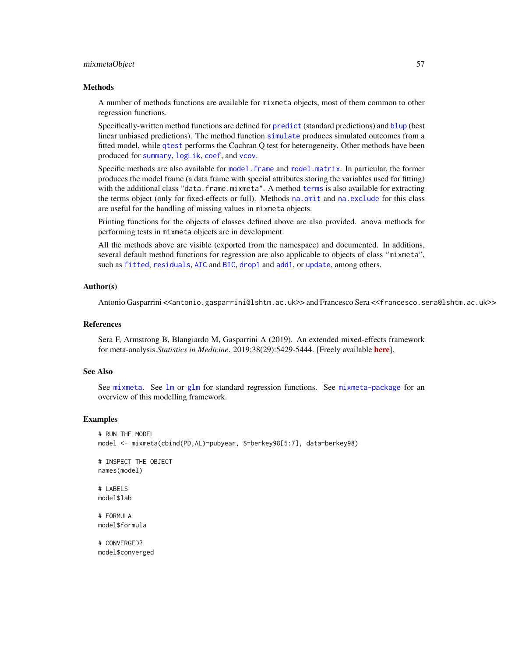## mixmetaObject 57

#### **Methods**

A number of methods functions are available for mixmeta objects, most of them common to other regression functions.

Specifically-written method functions are defined for [predict](#page-71-0) (standard predictions) and [blup](#page-13-0) (best linear unbiased predictions). The method function [simulate](#page-57-0) produces simulated outcomes from a fitted model, while [qtest](#page-74-0) performs the Cochran Q test for heterogeneity. Other methods have been produced for [summary](#page-79-0), [logLik](#page-29-0), [coef](#page-16-0), and [vcov](#page-16-1).

Specific methods are also available for [model.frame](#page-66-0) and [model.matrix](#page-66-1). In particular, the former produces the model frame (a data frame with special attributes storing the variables used for fitting) with the additional class "data.frame.mixmeta". A method [terms](#page-81-0) is also available for extracting the terms object (only for fixed-effects or full). Methods [na.omit](#page-68-0) and [na.exclude](#page-68-1) for this class are useful for the handling of missing values in mixmeta objects.

Printing functions for the objects of classes defined above are also provided. anova methods for performing tests in mixmeta objects are in development.

All the methods above are visible (exported from the namespace) and documented. In additions, several default method functions for regression are also applicable to objects of class "mixmeta", such as [fitted](#page-0-0), [residuals](#page-0-0), [AIC](#page-0-0) and [BIC](#page-0-0), [drop1](#page-0-0) and [add1](#page-0-0), or [update](#page-0-0), among others.

# Author(s)

Antonio Gasparrini <<antonio.gasparrini@lshtm.ac.uk>> and Francesco Sera <<francesco.sera@lshtm.ac.uk>>

# References

Sera F, Armstrong B, Blangiardo M, Gasparrini A (2019). An extended mixed-effects framework for meta-analysis.*Statistics in Medicine*. 2019;38(29):5429-5444. [Freely available [here](http://www.ag-myresearch.com/2019_sera_statmed.html)].

#### See Also

See [mixmeta](#page-30-0). See [lm](#page-0-0) or [glm](#page-0-0) for standard regression functions. See [mixmeta-package](#page-1-0) for an overview of this modelling framework.

# Examples

```
# RUN THE MODEL
model <- mixmeta(cbind(PD,AL)~pubyear, S=berkey98[5:7], data=berkey98)
# INSPECT THE OBJECT
names(model)
# LABELS
model$lab
# FORMULA
model$formula
```
# CONVERGED? model\$converged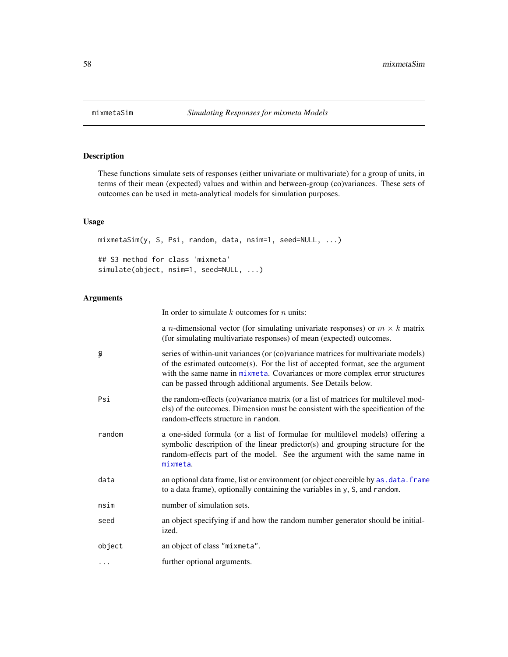#### <span id="page-57-0"></span>**Description**

These functions simulate sets of responses (either univariate or multivariate) for a group of units, in terms of their mean (expected) values and within and between-group (co)variances. These sets of outcomes can be used in meta-analytical models for simulation purposes.

# Usage

mixmetaSim(y, S, Psi, random, data, nsim=1, seed=NULL, ...) ## S3 method for class 'mixmeta' simulate(object, nsim=1, seed=NULL, ...)

# Arguments

In order to simulate  $k$  outcomes for  $n$  units:

a *n*-dimensional vector (for simulating univariate responses) or  $m \times k$  matrix (for simulating multivariate responses) of mean (expected) outcomes.

- $\frac{1}{2}$  series of within-unit variances (or (co)variance matrices for multivariate models) of the estimated outcome(s). For the list of accepted format, see the argument with the same name in [mixmeta](#page-30-0). Covariances or more complex error structures can be passed through additional arguments. See Details below.
- Psi the random-effects (co)variance matrix (or a list of matrices for multilevel models) of the outcomes. Dimension must be consistent with the specification of the random-effects structure in random.
- random a one-sided formula (or a list of formulae for multilevel models) offering a symbolic description of the linear predictor(s) and grouping structure for the random-effects part of the model. See the argument with the same name in [mixmeta](#page-30-0).
- data an optional data frame, list or environment (or object coercible by [as.data.frame](#page-0-0) to a data frame), optionally containing the variables in y, S, and random.
- nsim number of simulation sets.
- seed an object specifying if and how the random number generator should be initialized.
- object an object of class "mixmeta".
- ... further optional arguments.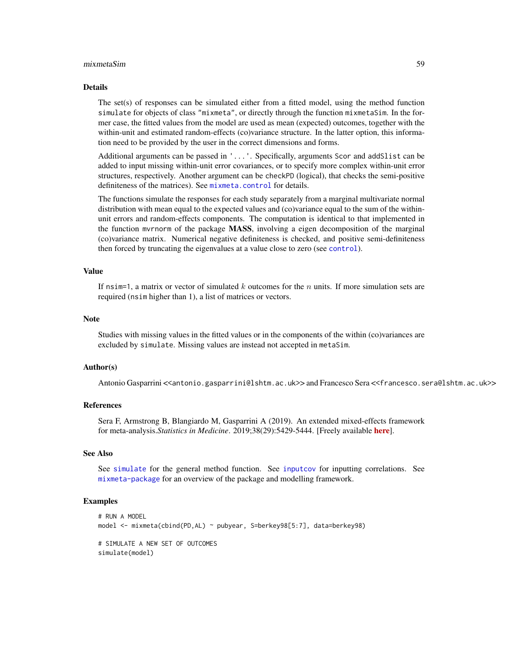#### mixmetaSim 59

#### Details

The set(s) of responses can be simulated either from a fitted model, using the method function simulate for objects of class "mixmeta", or directly through the function mixmetaSim. In the former case, the fitted values from the model are used as mean (expected) outcomes, together with the within-unit and estimated random-effects (co)variance structure. In the latter option, this information need to be provided by the user in the correct dimensions and forms.

Additional arguments can be passed in '...'. Specifically, arguments Scor and addSlist can be added to input missing within-unit error covariances, or to specify more complex within-unit error structures, respectively. Another argument can be checkPD (logical), that checks the semi-positive definiteness of the matrices). See [mixmeta.control](#page-37-0) for details.

The functions simulate the responses for each study separately from a marginal multivariate normal distribution with mean equal to the expected values and (co)variance equal to the sum of the withinunit errors and random-effects components. The computation is identical to that implemented in the function myrnorm of the package MASS, involving a eigen decomposition of the marginal (co)variance matrix. Numerical negative definiteness is checked, and positive semi-definiteness then forced by truncating the eigenvalues at a value close to zero (see [control](#page-37-0)).

### Value

If nsim=1, a matrix or vector of simulated  $k$  outcomes for the  $n$  units. If more simulation sets are required (nsim higher than 1), a list of matrices or vectors.

#### **Note**

Studies with missing values in the fitted values or in the components of the within (co)variances are excluded by simulate. Missing values are instead not accepted in metaSim.

#### Author(s)

Antonio Gasparrini <<antonio.gasparrini@lshtm.ac.uk>> and Francesco Sera <<francesco.sera@lshtm.ac.uk>>

# References

Sera F, Armstrong B, Blangiardo M, Gasparrini A (2019). An extended mixed-effects framework for meta-analysis.*Statistics in Medicine*. 2019;38(29):5429-5444. [Freely available [here](http://www.ag-myresearch.com/2019_sera_statmed.html)].

#### See Also

See [simulate](#page-0-0) for the general method function. See [inputcov](#page-25-0) for inputting correlations. See [mixmeta-package](#page-1-0) for an overview of the package and modelling framework.

#### Examples

```
# RUN A MODEL
model <- mixmeta(cbind(PD,AL) ~ pubyear, S=berkey98[5:7], data=berkey98)
# SIMULATE A NEW SET OF OUTCOMES
simulate(model)
```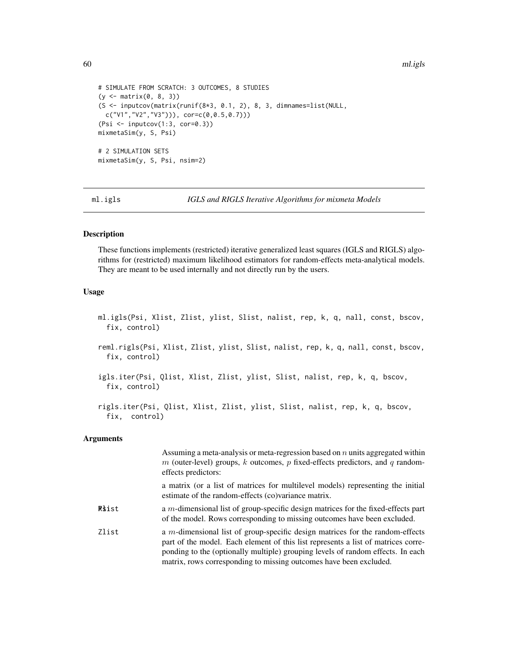```
# SIMULATE FROM SCRATCH: 3 OUTCOMES, 8 STUDIES
(y <- matrix(0, 8, 3))
(S <- inputcov(matrix(runif(8*3, 0.1, 2), 8, 3, dimnames=list(NULL,
  c("V1", "V2", "V3")), cor=c(0, 0.5, 0.7))(Psi <- inputcov(1:3, cor=0.3))
mixmetaSim(y, S, Psi)
# 2 SIMULATION SETS
mixmetaSim(y, S, Psi, nsim=2)
```
<span id="page-59-0"></span>ml.igls *IGLS and RIGLS Iterative Algorithms for mixmeta Models*

# Description

These functions implements (restricted) iterative generalized least squares (IGLS and RIGLS) algorithms for (restricted) maximum likelihood estimators for random-effects meta-analytical models. They are meant to be used internally and not directly run by the users.

# Usage

```
ml.igls(Psi, Xlist, Zlist, ylist, Slist, nalist, rep, k, q, nall, const, bscov,
     fix, control)
   reml.rigls(Psi, Xlist, Zlist, ylist, Slist, nalist, rep, k, q, nall, const, bscov,
      fix, control)
   igls.iter(Psi, Qlist, Xlist, Zlist, ylist, Slist, nalist, rep, k, q, bscov,
     fix, control)
   rigls.iter(Psi, Qlist, Xlist, Zlist, ylist, Slist, nalist, rep, k, q, bscov,
     fix, control)
Arguments
                    Assuming a meta-analysis or meta-regression based on n units aggregated within
```

|              | Assuming a meta-analysis or meta-regression based on $n$ units aggregated within<br>m (outer-level) groups, k outcomes, p fixed-effects predictors, and q random-<br>effects predictors:                                                                                                                                       |
|--------------|--------------------------------------------------------------------------------------------------------------------------------------------------------------------------------------------------------------------------------------------------------------------------------------------------------------------------------|
|              | a matrix (or a list of matrices for multilevel models) representing the initial<br>estimate of the random-effects (co)variance matrix.                                                                                                                                                                                         |
| <b>Riist</b> | a $m$ -dimensional list of group-specific design matrices for the fixed-effects part<br>of the model. Rows corresponding to missing outcomes have been excluded.                                                                                                                                                               |
| Zlist        | a $m$ -dimensional list of group-specific design matrices for the random-effects<br>part of the model. Each element of this list represents a list of matrices corre-<br>ponding to the (optionally multiple) grouping levels of random effects. In each<br>matrix, rows corresponding to missing outcomes have been excluded. |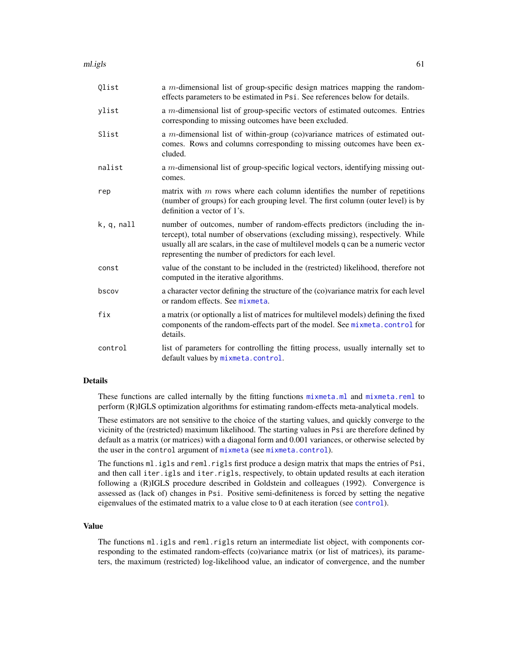ml.igls 61

| Qlist      | a $m$ -dimensional list of group-specific design matrices mapping the random-<br>effects parameters to be estimated in Psi. See references below for details.                                                                                                                                                 |
|------------|---------------------------------------------------------------------------------------------------------------------------------------------------------------------------------------------------------------------------------------------------------------------------------------------------------------|
| ylist      | a $m$ -dimensional list of group-specific vectors of estimated outcomes. Entries<br>corresponding to missing outcomes have been excluded.                                                                                                                                                                     |
| Slist      | a $m$ -dimensional list of within-group (co)variance matrices of estimated out-<br>comes. Rows and columns corresponding to missing outcomes have been ex-<br>cluded.                                                                                                                                         |
| nalist     | a <i>m</i> -dimensional list of group-specific logical vectors, identifying missing out-<br>comes.                                                                                                                                                                                                            |
| rep        | matrix with $m$ rows where each column identifies the number of repetitions<br>(number of groups) for each grouping level. The first column (outer level) is by<br>definition a vector of 1's.                                                                                                                |
| k, q, null | number of outcomes, number of random-effects predictors (including the in-<br>tercept), total number of observations (excluding missing), respectively. While<br>usually all are scalars, in the case of multilevel models q can be a numeric vector<br>representing the number of predictors for each level. |
| const      | value of the constant to be included in the (restricted) likelihood, therefore not<br>computed in the iterative algorithms.                                                                                                                                                                                   |
| bscov      | a character vector defining the structure of the (co)variance matrix for each level<br>or random effects. See mixmeta.                                                                                                                                                                                        |
| fix        | a matrix (or optionally a list of matrices for multilevel models) defining the fixed<br>components of the random-effects part of the model. See mixmeta.control for<br>details.                                                                                                                               |
| control    | list of parameters for controlling the fitting process, usually internally set to<br>default values by mixmeta.control.                                                                                                                                                                                       |

#### Details

These functions are called internally by the fitting functions [mixmeta.ml](#page-42-0) and [mixmeta.reml](#page-42-1) to perform (R)IGLS optimization algorithms for estimating random-effects meta-analytical models.

These estimators are not sensitive to the choice of the starting values, and quickly converge to the vicinity of the (restricted) maximum likelihood. The starting values in Psi are therefore defined by default as a matrix (or matrices) with a diagonal form and 0.001 variances, or otherwise selected by the user in the control argument of [mixmeta](#page-30-0) (see [mixmeta.control](#page-37-0)).

The functions ml.igls and reml.rigls first produce a design matrix that maps the entries of Psi, and then call iter.igls and iter.rigls, respectively, to obtain updated results at each iteration following a (R)IGLS procedure described in Goldstein and colleagues (1992). Convergence is assessed as (lack of) changes in Psi. Positive semi-definiteness is forced by setting the negative eigenvalues of the estimated matrix to a value close to 0 at each iteration (see [control](#page-37-0)).

# Value

The functions ml.igls and reml.rigls return an intermediate list object, with components corresponding to the estimated random-effects (co)variance matrix (or list of matrices), its parameters, the maximum (restricted) log-likelihood value, an indicator of convergence, and the number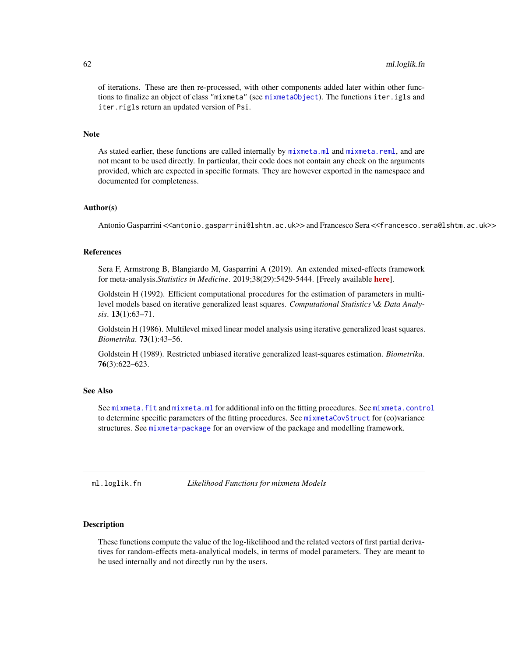# 62 ml.loglik.fn

of iterations. These are then re-processed, with other components added later within other functions to finalize an object of class "mixmeta" (see [mixmetaObject](#page-54-0)). The functions iter.igls and iter.rigls return an updated version of Psi.

#### Note

As stated earlier, these functions are called internally by [mixmeta.ml](#page-42-0) and [mixmeta.reml](#page-42-1), and are not meant to be used directly. In particular, their code does not contain any check on the arguments provided, which are expected in specific formats. They are however exported in the namespace and documented for completeness.

#### Author(s)

Antonio Gasparrini <<antonio.gasparrini@lshtm.ac.uk>> and Francesco Sera <<francesco.sera@lshtm.ac.uk>>

## References

Sera F, Armstrong B, Blangiardo M, Gasparrini A (2019). An extended mixed-effects framework for meta-analysis.*Statistics in Medicine*. 2019;38(29):5429-5444. [Freely available [here](http://www.ag-myresearch.com/2019_sera_statmed.html)].

Goldstein H (1992). Efficient computational procedures for the estimation of parameters in multilevel models based on iterative generalized least squares. *Computational Statistics \& Data Analysis*. 13(1):63–71.

Goldstein H (1986). Multilevel mixed linear model analysis using iterative generalized least squares. *Biometrika*. 73(1):43–56.

Goldstein H (1989). Restricted unbiased iterative generalized least-squares estimation. *Biometrika*. 76(3):622–623.

#### See Also

See [mixmeta.fit](#page-30-1) and [mixmeta.ml](#page-42-0) for additional info on the fitting procedures. See [mixmeta.control](#page-37-0) to determine specific parameters of the fitting procedures. See [mixmetaCovStruct](#page-50-0) for (co)variance structures. See [mixmeta-package](#page-1-0) for an overview of the package and modelling framework.

<span id="page-61-0"></span>ml.loglik.fn *Likelihood Functions for mixmeta Models*

## Description

These functions compute the value of the log-likelihood and the related vectors of first partial derivatives for random-effects meta-analytical models, in terms of model parameters. They are meant to be used internally and not directly run by the users.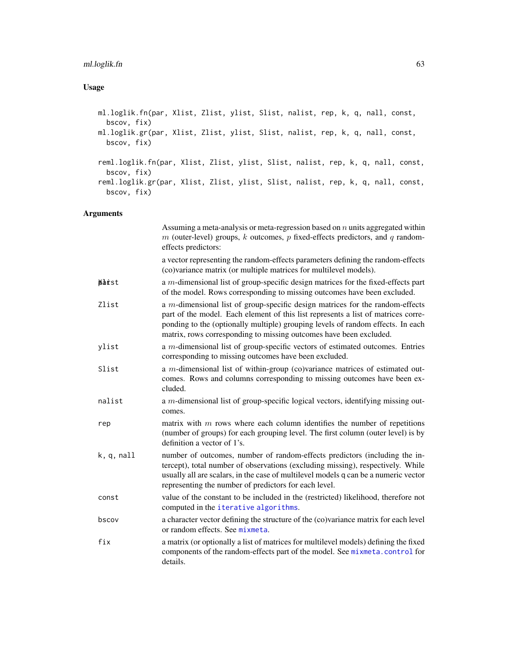# Usage

ml.loglik.fn(par, Xlist, Zlist, ylist, Slist, nalist, rep, k, q, nall, const, bscov, fix) ml.loglik.gr(par, Xlist, Zlist, ylist, Slist, nalist, rep, k, q, nall, const, bscov, fix) reml.loglik.fn(par, Xlist, Zlist, ylist, Slist, nalist, rep, k, q, nall, const, bscov, fix) reml.loglik.gr(par, Xlist, Zlist, ylist, Slist, nalist, rep, k, q, nall, const, bscov, fix)

|              | Assuming a meta-analysis or meta-regression based on $n$ units aggregated within<br>$m$ (outer-level) groups, k outcomes, p fixed-effects predictors, and q random-<br>effects predictors:                                                                                                                                     |
|--------------|--------------------------------------------------------------------------------------------------------------------------------------------------------------------------------------------------------------------------------------------------------------------------------------------------------------------------------|
|              | a vector representing the random-effects parameters defining the random-effects<br>(co)variance matrix (or multiple matrices for multilevel models).                                                                                                                                                                           |
| <b>Marst</b> | a m-dimensional list of group-specific design matrices for the fixed-effects part<br>of the model. Rows corresponding to missing outcomes have been excluded.                                                                                                                                                                  |
| Zlist        | a $m$ -dimensional list of group-specific design matrices for the random-effects<br>part of the model. Each element of this list represents a list of matrices corre-<br>ponding to the (optionally multiple) grouping levels of random effects. In each<br>matrix, rows corresponding to missing outcomes have been excluded. |
| ylist        | a <i>m</i> -dimensional list of group-specific vectors of estimated outcomes. Entries<br>corresponding to missing outcomes have been excluded.                                                                                                                                                                                 |
| Slist        | a $m$ -dimensional list of within-group (co)variance matrices of estimated out-<br>comes. Rows and columns corresponding to missing outcomes have been ex-<br>cluded.                                                                                                                                                          |
| nalist       | a <i>m</i> -dimensional list of group-specific logical vectors, identifying missing out-<br>comes.                                                                                                                                                                                                                             |
| rep          | matrix with $m$ rows where each column identifies the number of repetitions<br>(number of groups) for each grouping level. The first column (outer level) is by<br>definition a vector of 1's.                                                                                                                                 |
| k, q, null   | number of outcomes, number of random-effects predictors (including the in-<br>tercept), total number of observations (excluding missing), respectively. While<br>usually all are scalars, in the case of multilevel models q can be a numeric vector<br>representing the number of predictors for each level.                  |
| const        | value of the constant to be included in the (restricted) likelihood, therefore not<br>computed in the iterative algorithms.                                                                                                                                                                                                    |
| bscov        | a character vector defining the structure of the (co)variance matrix for each level<br>or random effects. See mixmeta.                                                                                                                                                                                                         |
| fix          | a matrix (or optionally a list of matrices for multilevel models) defining the fixed<br>components of the random-effects part of the model. See mixmeta.control for<br>details.                                                                                                                                                |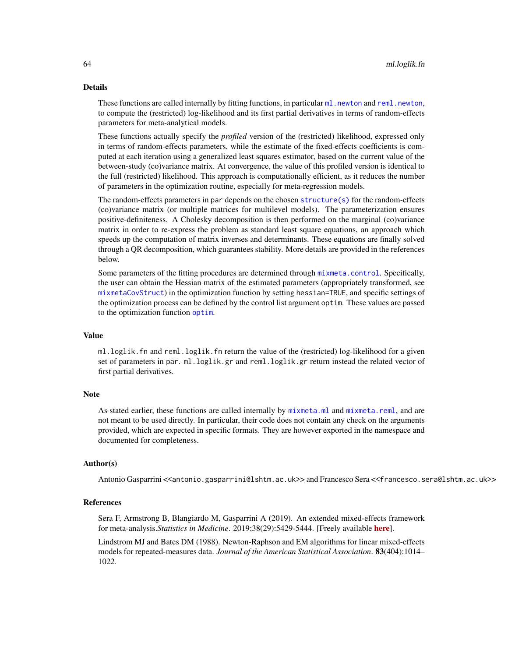## Details

These functions are called internally by fitting functions, in particular  $m$  l. newton and re[ml.newton](#page-64-0), to compute the (restricted) log-likelihood and its first partial derivatives in terms of random-effects parameters for meta-analytical models.

These functions actually specify the *profiled* version of the (restricted) likelihood, expressed only in terms of random-effects parameters, while the estimate of the fixed-effects coefficients is computed at each iteration using a generalized least squares estimator, based on the current value of the between-study (co)variance matrix. At convergence, the value of this profiled version is identical to the full (restricted) likelihood. This approach is computationally efficient, as it reduces the number of parameters in the optimization routine, especially for meta-regression models.

The random-effects parameters in par depends on the chosen [structure\(s\)](#page-50-0) for the random-effects (co)variance matrix (or multiple matrices for multilevel models). The parameterization ensures positive-definiteness. A Cholesky decomposition is then performed on the marginal (co)variance matrix in order to re-express the problem as standard least square equations, an approach which speeds up the computation of matrix inverses and determinants. These equations are finally solved through a QR decomposition, which guarantees stability. More details are provided in the references below.

Some parameters of the fitting procedures are determined through [mixmeta.control](#page-37-0). Specifically, the user can obtain the Hessian matrix of the estimated parameters (appropriately transformed, see [mixmetaCovStruct](#page-50-0)) in the optimization function by setting hessian=TRUE, and specific settings of the optimization process can be defined by the control list argument optim. These values are passed to the optimization function [optim](#page-0-0).

## Value

ml.loglik.fn and reml.loglik.fn return the value of the (restricted) log-likelihood for a given set of parameters in par. ml.loglik.gr and reml.loglik.gr return instead the related vector of first partial derivatives.

#### Note

As stated earlier, these functions are called internally by [mixmeta.ml](#page-42-0) and [mixmeta.reml](#page-42-1), and are not meant to be used directly. In particular, their code does not contain any check on the arguments provided, which are expected in specific formats. They are however exported in the namespace and documented for completeness.

#### Author(s)

Antonio Gasparrini <<antonio.gasparrini@lshtm.ac.uk>> and Francesco Sera <<francesco.sera@lshtm.ac.uk>>

#### References

Sera F, Armstrong B, Blangiardo M, Gasparrini A (2019). An extended mixed-effects framework for meta-analysis.*Statistics in Medicine*. 2019;38(29):5429-5444. [Freely available [here](http://www.ag-myresearch.com/2019_sera_statmed.html)].

Lindstrom MJ and Bates DM (1988). Newton-Raphson and EM algorithms for linear mixed-effects models for repeated-measures data. *Journal of the American Statistical Association*. 83(404):1014– 1022.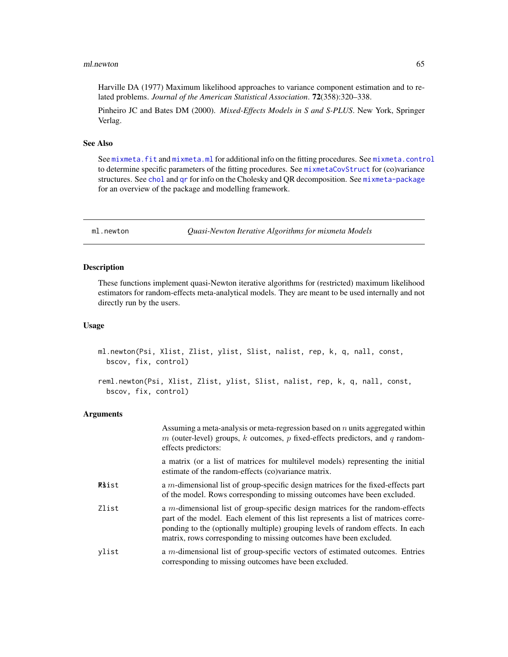#### ml.newton 65

Harville DA (1977) Maximum likelihood approaches to variance component estimation and to related problems. *Journal of the American Statistical Association*. 72(358):320–338.

Pinheiro JC and Bates DM (2000). *Mixed-Effects Models in S and S-PLUS*. New York, Springer Verlag.

#### See Also

See [mixmeta.fit](#page-30-1) and [mixmeta.ml](#page-42-0) for additional info on the fitting procedures. See [mixmeta.control](#page-37-0) to determine specific parameters of the fitting procedures. See [mixmetaCovStruct](#page-50-0) for (co)variance structures. See [chol](#page-0-0) and [qr](#page-0-0) for info on the Cholesky and QR decomposition. See [mixmeta-package](#page-1-0) for an overview of the package and modelling framework.

<span id="page-64-0"></span>ml.newton *Quasi-Newton Iterative Algorithms for mixmeta Models*

# <span id="page-64-1"></span>Description

These functions implement quasi-Newton iterative algorithms for (restricted) maximum likelihood estimators for random-effects meta-analytical models. They are meant to be used internally and not directly run by the users.

# Usage

```
ml.newton(Psi, Xlist, Zlist, ylist, Slist, nalist, rep, k, q, nall, const,
 bscov, fix, control)
```

```
reml.newton(Psi, Xlist, Zlist, ylist, Slist, nalist, rep, k, q, nall, const,
 bscov, fix, control)
```

|              | Assuming a meta-analysis or meta-regression based on $n$ units aggregated within<br>m (outer-level) groups, k outcomes, p fixed-effects predictors, and q random-<br>effects predictors:                                                                                                                                    |
|--------------|-----------------------------------------------------------------------------------------------------------------------------------------------------------------------------------------------------------------------------------------------------------------------------------------------------------------------------|
|              | a matrix (or a list of matrices for multilevel models) representing the initial<br>estimate of the random-effects (co)variance matrix.                                                                                                                                                                                      |
| <b>Riist</b> | a $m$ -dimensional list of group-specific design matrices for the fixed-effects part<br>of the model. Rows corresponding to missing outcomes have been excluded.                                                                                                                                                            |
| Zlist        | a m-dimensional list of group-specific design matrices for the random-effects<br>part of the model. Each element of this list represents a list of matrices corre-<br>ponding to the (optionally multiple) grouping levels of random effects. In each<br>matrix, rows corresponding to missing outcomes have been excluded. |
| vlist        | a $m$ -dimensional list of group-specific vectors of estimated outcomes. Entries<br>corresponding to missing outcomes have been excluded.                                                                                                                                                                                   |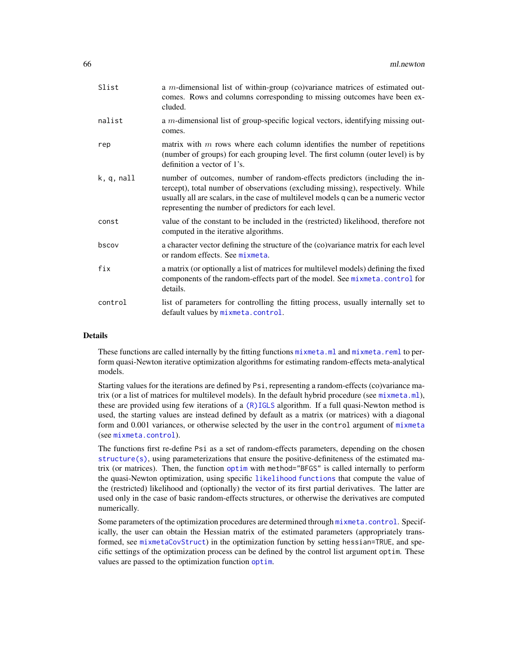| Slist      | a $m$ -dimensional list of within-group (co)variance matrices of estimated out-<br>comes. Rows and columns corresponding to missing outcomes have been ex-<br>cluded.                                                                                                                                         |
|------------|---------------------------------------------------------------------------------------------------------------------------------------------------------------------------------------------------------------------------------------------------------------------------------------------------------------|
| nalist     | a <i>m</i> -dimensional list of group-specific logical vectors, identifying missing out-<br>comes.                                                                                                                                                                                                            |
| rep        | matrix with $m$ rows where each column identifies the number of repetitions<br>(number of groups) for each grouping level. The first column (outer level) is by<br>definition a vector of 1's.                                                                                                                |
| k, q, nall | number of outcomes, number of random-effects predictors (including the in-<br>tercept), total number of observations (excluding missing), respectively. While<br>usually all are scalars, in the case of multilevel models q can be a numeric vector<br>representing the number of predictors for each level. |
| const      | value of the constant to be included in the (restricted) likelihood, therefore not<br>computed in the iterative algorithms.                                                                                                                                                                                   |
| bscov      | a character vector defining the structure of the (co)variance matrix for each level<br>or random effects. See mixmeta.                                                                                                                                                                                        |
| fix        | a matrix (or optionally a list of matrices for multilevel models) defining the fixed<br>components of the random-effects part of the model. See mixmeta.control for<br>details.                                                                                                                               |
| control    | list of parameters for controlling the fitting process, usually internally set to<br>default values by mixmeta.control.                                                                                                                                                                                       |

# Details

These functions are called internally by the fitting functions  $mixmeta$ .  $m1$  and  $mixmeta$ . reml to perform quasi-Newton iterative optimization algorithms for estimating random-effects meta-analytical models.

Starting values for the iterations are defined by Psi, representing a random-effects (co)variance matrix (or a list of matrices for multilevel models). In the default hybrid procedure (see [mixmeta.ml](#page-42-0)), these are provided using few iterations of a [\(R\)IGLS](#page-59-0) algorithm. If a full quasi-Newton method is used, the starting values are instead defined by default as a matrix (or matrices) with a diagonal form and 0.001 variances, or otherwise selected by the user in the control argument of [mixmeta](#page-30-0) (see [mixmeta.control](#page-37-0)).

The functions first re-define Psi as a set of random-effects parameters, depending on the chosen [structure\(s\)](#page-50-0), using parameterizations that ensure the positive-definiteness of the estimated matrix (or matrices). Then, the function [optim](#page-0-0) with method="BFGS" is called internally to perform the quasi-Newton optimization, using specific [likelihood functions](#page-61-0) that compute the value of the (restricted) likelihood and (optionally) the vector of its first partial derivatives. The latter are used only in the case of basic random-effects structures, or otherwise the derivatives are computed numerically.

Some parameters of the optimization procedures are determined through [mixmeta.control](#page-37-0). Specifically, the user can obtain the Hessian matrix of the estimated parameters (appropriately transformed, see [mixmetaCovStruct](#page-50-0)) in the optimization function by setting hessian=TRUE, and specific settings of the optimization process can be defined by the control list argument optim. These values are passed to the optimization function [optim](#page-0-0).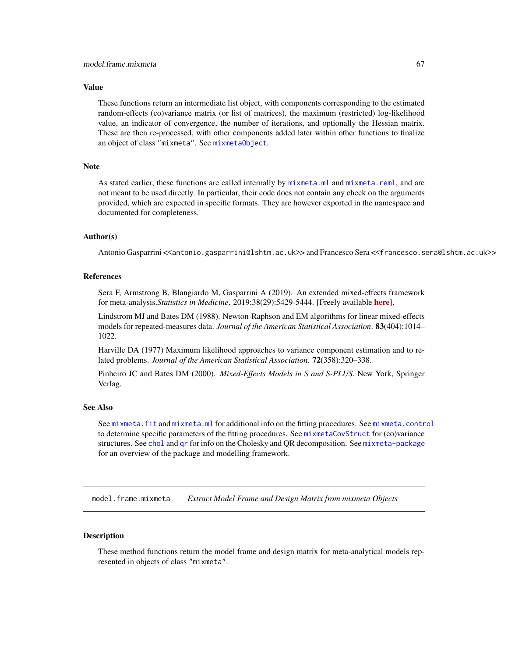# Value

These functions return an intermediate list object, with components corresponding to the estimated random-effects (co)variance matrix (or list of matrices), the maximum (restricted) log-likelihood value, an indicator of convergence, the number of iterations, and optionally the Hessian matrix. These are then re-processed, with other components added later within other functions to finalize an object of class "mixmeta". See [mixmetaObject](#page-54-0).

# **Note**

As stated earlier, these functions are called internally by [mixmeta.ml](#page-42-0) and [mixmeta.reml](#page-42-1), and are not meant to be used directly. In particular, their code does not contain any check on the arguments provided, which are expected in specific formats. They are however exported in the namespace and documented for completeness.

## Author(s)

Antonio Gasparrini <<antonio.gasparrini@lshtm.ac.uk>> and Francesco Sera <<francesco.sera@lshtm.ac.uk>>

## References

Sera F, Armstrong B, Blangiardo M, Gasparrini A (2019). An extended mixed-effects framework for meta-analysis.*Statistics in Medicine*. 2019;38(29):5429-5444. [Freely available [here](http://www.ag-myresearch.com/2019_sera_statmed.html)].

Lindstrom MJ and Bates DM (1988). Newton-Raphson and EM algorithms for linear mixed-effects models for repeated-measures data. *Journal of the American Statistical Association*. 83(404):1014– 1022.

Harville DA (1977) Maximum likelihood approaches to variance component estimation and to related problems. *Journal of the American Statistical Association*. 72(358):320–338.

Pinheiro JC and Bates DM (2000). *Mixed-Effects Models in S and S-PLUS*. New York, Springer Verlag.

# See Also

See [mixmeta.fit](#page-30-1) and [mixmeta.ml](#page-42-0) for additional info on the fitting procedures. See [mixmeta.control](#page-37-0) to determine specific parameters of the fitting procedures. See [mixmetaCovStruct](#page-50-0) for (co)variance structures. See [chol](#page-0-0) and [qr](#page-0-0) for info on the Cholesky and QR decomposition. See [mixmeta-package](#page-1-0) for an overview of the package and modelling framework.

<span id="page-66-0"></span>model.frame.mixmeta *Extract Model Frame and Design Matrix from mixmeta Objects*

# <span id="page-66-1"></span>**Description**

These method functions return the model frame and design matrix for meta-analytical models represented in objects of class "mixmeta".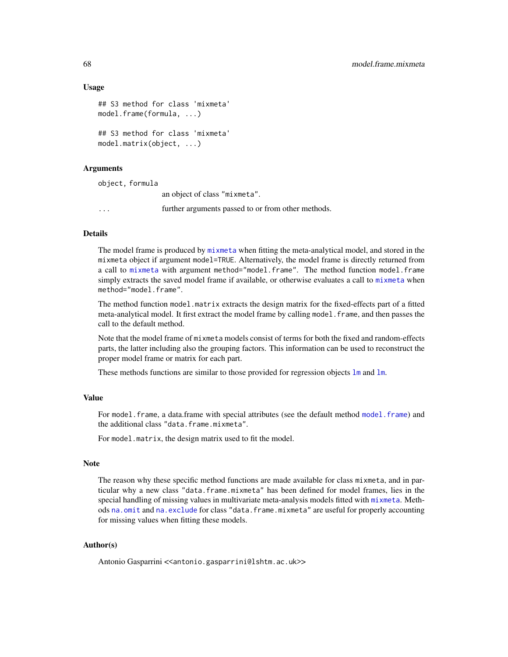# Usage

```
## S3 method for class 'mixmeta'
model.frame(formula, ...)
## S3 method for class 'mixmeta'
model.matrix(object, ...)
```
# **Arguments**

object, formula an object of class "mixmeta". ... further arguments passed to or from other methods.

# Details

The model frame is produced by [mixmeta](#page-30-0) when fitting the meta-analytical model, and stored in the mixmeta object if argument model=TRUE. Alternatively, the model frame is directly returned from a call to [mixmeta](#page-30-0) with argument method="model.frame". The method function model.frame simply extracts the saved model frame if available, or otherwise evaluates a call to [mixmeta](#page-30-0) when method="model.frame".

The method function model.matrix extracts the design matrix for the fixed-effects part of a fitted meta-analytical model. It first extract the model frame by calling model. frame, and then passes the call to the default method.

Note that the model frame of mixmeta models consist of terms for both the fixed and random-effects parts, the latter including also the grouping factors. This information can be used to reconstruct the proper model frame or matrix for each part.

These methods functions are similar to those provided for regression objects  $\text{lm}$  $\text{lm}$  $\text{lm}$  and  $\text{lm}$ .

# Value

For [model.frame](#page-0-0), a data.frame with special attributes (see the default method model.frame) and the additional class "data.frame.mixmeta".

For model.matrix, the design matrix used to fit the model.

# Note

The reason why these specific method functions are made available for class mixmeta, and in particular why a new class "data.frame.mixmeta" has been defined for model frames, lies in the special handling of missing values in multivariate meta-analysis models fitted with [mixmeta](#page-30-0). Methods [na.omit](#page-68-0) and [na.exclude](#page-68-1) for class "data.frame.mixmeta" are useful for properly accounting for missing values when fitting these models.

#### Author(s)

Antonio Gasparrini << antonio.gasparrini@lshtm.ac.uk>>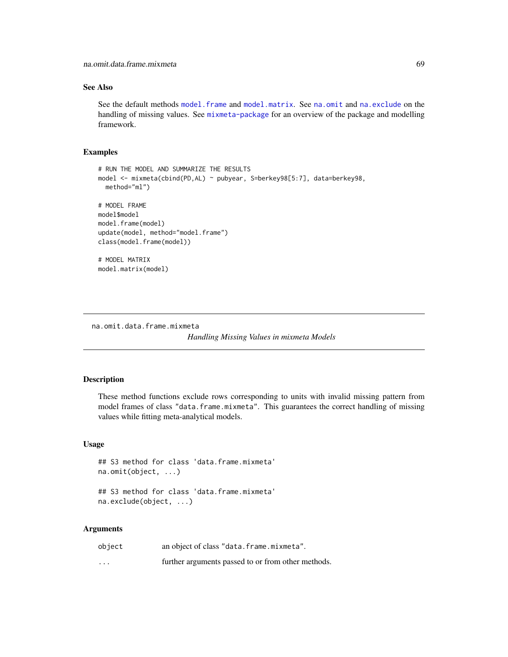# See Also

See the default methods [model.frame](#page-0-0) and [model.matrix](#page-0-0). See [na.omit](#page-68-0) and [na.exclude](#page-68-1) on the handling of missing values. See [mixmeta-package](#page-1-0) for an overview of the package and modelling framework.

## Examples

```
# RUN THE MODEL AND SUMMARIZE THE RESULTS
model <- mixmeta(cbind(PD,AL) ~ pubyear, S=berkey98[5:7], data=berkey98,
  method="ml")
# MODEL FRAME
model$model
model.frame(model)
update(model, method="model.frame")
class(model.frame(model))
# MODEL MATRIX
model.matrix(model)
```
<span id="page-68-0"></span>na.omit.data.frame.mixmeta

*Handling Missing Values in mixmeta Models*

# <span id="page-68-1"></span>Description

These method functions exclude rows corresponding to units with invalid missing pattern from model frames of class "data.frame.mixmeta". This guarantees the correct handling of missing values while fitting meta-analytical models.

# Usage

```
## S3 method for class 'data.frame.mixmeta'
na.omit(object, ...)
```
## S3 method for class 'data.frame.mixmeta' na.exclude(object, ...)

| object                  | an object of class "data.frame.mixmeta".           |
|-------------------------|----------------------------------------------------|
| $\cdot$ $\cdot$ $\cdot$ | further arguments passed to or from other methods. |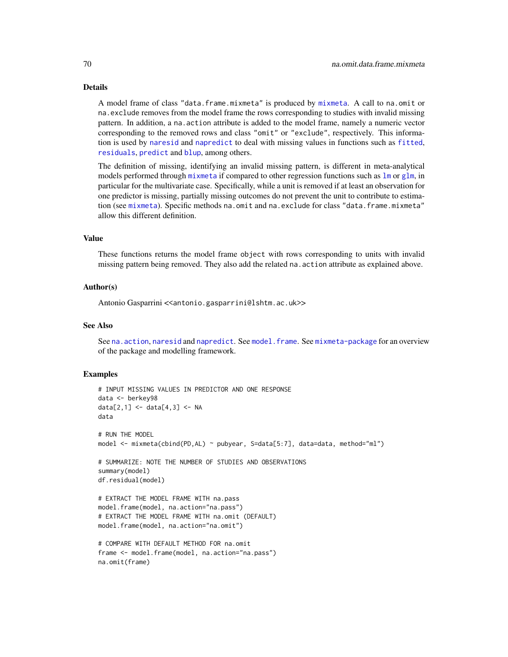#### Details

A model frame of class "data.frame.mixmeta" is produced by [mixmeta](#page-30-0). A call to na.omit or na.exclude removes from the model frame the rows corresponding to studies with invalid missing pattern. In addition, a na.action attribute is added to the model frame, namely a numeric vector corresponding to the removed rows and class "omit" or "exclude", respectively. This information is used by [naresid](#page-0-0) and [napredict](#page-0-0) to deal with missing values in functions such as [fitted](#page-0-0), [residuals](#page-0-0), [predict](#page-71-0) and [blup](#page-13-0), among others.

The definition of missing, identifying an invalid missing pattern, is different in meta-analytical models performed through [mixmeta](#page-30-0) if compared to other regression functions such as  $\text{Im}$  or g[lm](#page-0-0), in particular for the multivariate case. Specifically, while a unit is removed if at least an observation for one predictor is missing, partially missing outcomes do not prevent the unit to contribute to estimation (see [mixmeta](#page-30-0)). Specific methods na.omit and na.exclude for class "data.frame.mixmeta" allow this different definition.

## Value

These functions returns the model frame object with rows corresponding to units with invalid missing pattern being removed. They also add the related na.action attribute as explained above.

# Author(s)

Antonio Gasparrini << antonio.gasparrini@lshtm.ac.uk>>

#### See Also

See na. action, [naresid](#page-0-0) and [napredict](#page-0-0). See model. frame. See [mixmeta-package](#page-1-0) for an overview of the package and modelling framework.

# Examples

```
# INPUT MISSING VALUES IN PREDICTOR AND ONE RESPONSE
data <- berkey98
data[2,1] <- data[4,3] <- NA
data
# RUN THE MODEL
model <- mixmeta(cbind(PD,AL) ~ pubyear, S=data[5:7], data=data, method="ml")
# SUMMARIZE: NOTE THE NUMBER OF STUDIES AND OBSERVATIONS
summary(model)
df.residual(model)
# EXTRACT THE MODEL FRAME WITH na.pass
model.frame(model, na.action="na.pass")
# EXTRACT THE MODEL FRAME WITH na.omit (DEFAULT)
model.frame(model, na.action="na.omit")
# COMPARE WITH DEFAULT METHOD FOR na.omit
frame <- model.frame(model, na.action="na.pass")
na.omit(frame)
```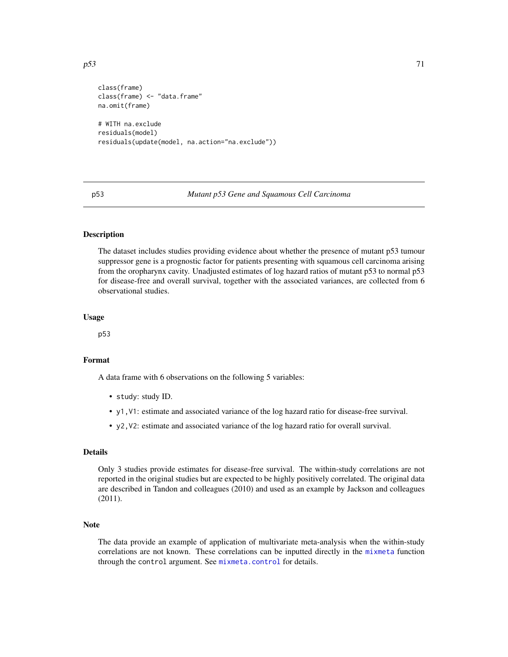```
class(frame)
class(frame) <- "data.frame"
na.omit(frame)
# WITH na.exclude
residuals(model)
residuals(update(model, na.action="na.exclude"))
```
p53 *Mutant p53 Gene and Squamous Cell Carcinoma*

# Description

The dataset includes studies providing evidence about whether the presence of mutant p53 tumour suppressor gene is a prognostic factor for patients presenting with squamous cell carcinoma arising from the oropharynx cavity. Unadjusted estimates of log hazard ratios of mutant p53 to normal p53 for disease-free and overall survival, together with the associated variances, are collected from 6 observational studies.

#### Usage

p53

# Format

A data frame with 6 observations on the following 5 variables:

- study: study ID.
- y1,V1: estimate and associated variance of the log hazard ratio for disease-free survival.
- y2,V2: estimate and associated variance of the log hazard ratio for overall survival.

# Details

Only 3 studies provide estimates for disease-free survival. The within-study correlations are not reported in the original studies but are expected to be highly positively correlated. The original data are described in Tandon and colleagues (2010) and used as an example by Jackson and colleagues (2011).

# Note

The data provide an example of application of multivariate meta-analysis when the within-study correlations are not known. These correlations can be inputted directly in the [mixmeta](#page-30-0) function through the control argument. See [mixmeta.control](#page-37-0) for details.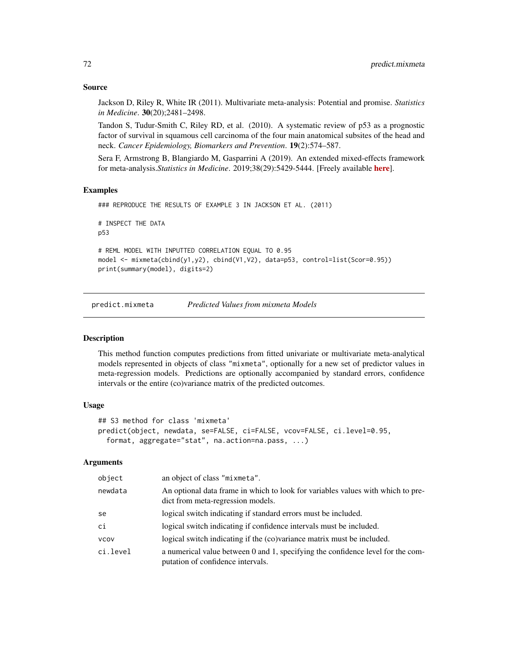# Source

Jackson D, Riley R, White IR (2011). Multivariate meta-analysis: Potential and promise. *Statistics in Medicine*. 30(20);2481–2498.

Tandon S, Tudur-Smith C, Riley RD, et al. (2010). A systematic review of p53 as a prognostic factor of survival in squamous cell carcinoma of the four main anatomical subsites of the head and neck. *Cancer Epidemiology, Biomarkers and Prevention*. 19(2):574–587.

Sera F, Armstrong B, Blangiardo M, Gasparrini A (2019). An extended mixed-effects framework for meta-analysis.*Statistics in Medicine*. 2019;38(29):5429-5444. [Freely available [here](http://www.ag-myresearch.com/2019_sera_statmed.html)].

# Examples

```
### REPRODUCE THE RESULTS OF EXAMPLE 3 IN JACKSON ET AL. (2011)
# INSPECT THE DATA
p53
# REML MODEL WITH INPUTTED CORRELATION EQUAL TO 0.95
model <- mixmeta(cbind(y1,y2), cbind(V1,V2), data=p53, control=list(Scor=0.95))
print(summary(model), digits=2)
```
<span id="page-71-0"></span>predict.mixmeta *Predicted Values from mixmeta Models*

# **Description**

This method function computes predictions from fitted univariate or multivariate meta-analytical models represented in objects of class "mixmeta", optionally for a new set of predictor values in meta-regression models. Predictions are optionally accompanied by standard errors, confidence intervals or the entire (co)variance matrix of the predicted outcomes.

# Usage

```
## S3 method for class 'mixmeta'
predict(object, newdata, se=FALSE, ci=FALSE, vcov=FALSE, ci.level=0.95,
  format, aggregate="stat", na.action=na.pass, ...)
```

| object      | an object of class "mixmeta".                                                                                        |
|-------------|----------------------------------------------------------------------------------------------------------------------|
| newdata     | An optional data frame in which to look for variables values with which to pre-<br>dict from meta-regression models. |
| se          | logical switch indicating if standard errors must be included.                                                       |
| ci          | logical switch indicating if confidence intervals must be included.                                                  |
| <b>VCOV</b> | logical switch indicating if the (co) variance matrix must be included.                                              |
| ci.level    | a numerical value between 0 and 1, specifying the confidence level for the com-<br>putation of confidence intervals. |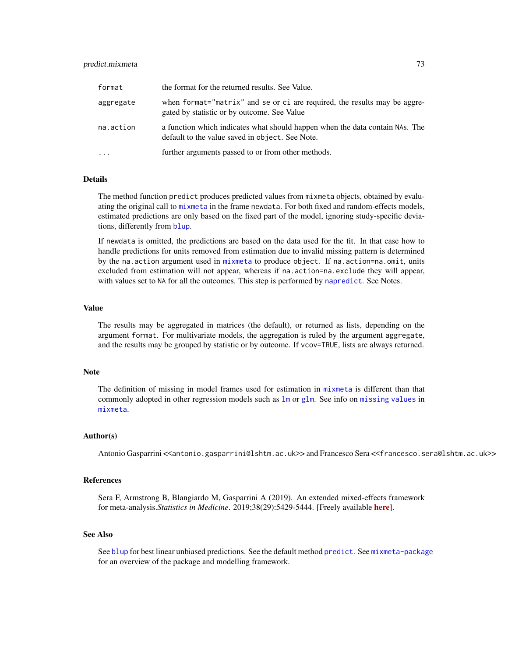# <span id="page-72-0"></span>predict.mixmeta 73

| format    | the format for the returned results. See Value.                                                                                 |
|-----------|---------------------------------------------------------------------------------------------------------------------------------|
| aggregate | when format="matrix" and se or ci are required, the results may be aggre-<br>gated by statistic or by outcome. See Value        |
| na.action | a function which indicates what should happen when the data contain NAs. The<br>default to the value saved in object. See Note. |
| $\ddotsc$ | further arguments passed to or from other methods.                                                                              |

#### Details

The method function predict produces predicted values from mixmeta objects, obtained by evaluating the original call to [mixmeta](#page-30-0) in the frame newdata. For both fixed and random-effects models, estimated predictions are only based on the fixed part of the model, ignoring study-specific deviations, differently from [blup](#page-13-0).

If newdata is omitted, the predictions are based on the data used for the fit. In that case how to handle predictions for units removed from estimation due to invalid missing pattern is determined by the na.action argument used in [mixmeta](#page-30-0) to produce object. If na.action=na.omit, units excluded from estimation will not appear, whereas if na.action=na.exclude they will appear, with values set to NA for all the outcomes. This step is performed by [napredict](#page-0-0). See Notes.

#### Value

The results may be aggregated in matrices (the default), or returned as lists, depending on the argument format. For multivariate models, the aggregation is ruled by the argument aggregate, and the results may be grouped by statistic or by outcome. If vcov=TRUE, lists are always returned.

#### Note

The definition of missing in model frames used for estimation in [mixmeta](#page-30-0) is different than that commonly adopted in other regression models such as  $\text{lm}$  $\text{lm}$  $\text{lm}$  or [glm](#page-0-0). See info on [missing values](#page-68-0) in [mixmeta](#page-30-0).

# Author(s)

Antonio Gasparrini <<antonio.gasparrini@lshtm.ac.uk>> and Francesco Sera <<francesco.sera@lshtm.ac.uk>>

# References

Sera F, Armstrong B, Blangiardo M, Gasparrini A (2019). An extended mixed-effects framework for meta-analysis.*Statistics in Medicine*. 2019;38(29):5429-5444. [Freely available [here](http://www.ag-myresearch.com/2019_sera_statmed.html)].

#### See Also

See [blup](#page-13-0) for best linear unbiased predictions. See the default method [predict](#page-0-0). See [mixmeta-package](#page-1-0) for an overview of the package and modelling framework.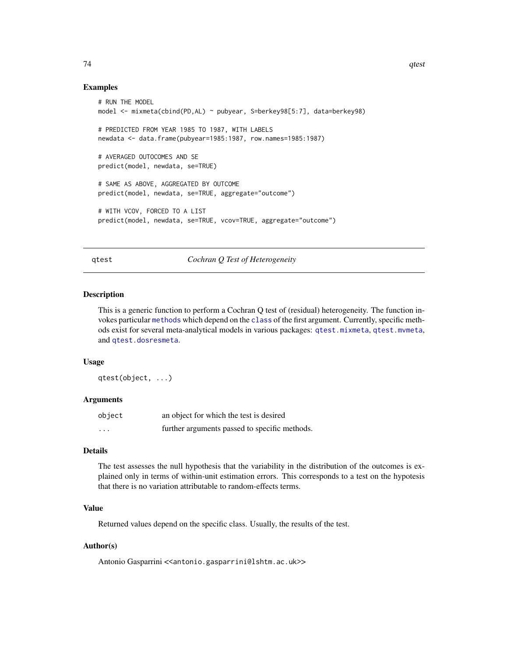# Examples

```
# RUN THE MODEL
model <- mixmeta(cbind(PD,AL) ~ pubyear, S=berkey98[5:7], data=berkey98)
# PREDICTED FROM YEAR 1985 TO 1987, WITH LABELS
newdata <- data.frame(pubyear=1985:1987, row.names=1985:1987)
# AVERAGED OUTOCOMES AND SE
predict(model, newdata, se=TRUE)
# SAME AS ABOVE, AGGREGATED BY OUTCOME
predict(model, newdata, se=TRUE, aggregate="outcome")
# WITH VCOV, FORCED TO A LIST
predict(model, newdata, se=TRUE, vcov=TRUE, aggregate="outcome")
```
<span id="page-73-0"></span>qtest *Cochran Q Test of Heterogeneity*

# Description

This is a generic function to perform a Cochran Q test of (residual) heterogeneity. The function invokes particular [methods](#page-0-0) which depend on the [class](#page-0-0) of the first argument. Currently, specific methods exist for several meta-analytical models in various packages: [qtest.mixmeta](#page-74-0), [qtest.mvmeta](#page-0-0), and [qtest.dosresmeta](#page-0-0).

#### Usage

qtest(object, ...)

# Arguments

| object                  | an object for which the test is desired       |
|-------------------------|-----------------------------------------------|
| $\cdot$ $\cdot$ $\cdot$ | further arguments passed to specific methods. |

#### Details

The test assesses the null hypothesis that the variability in the distribution of the outcomes is explained only in terms of within-unit estimation errors. This corresponds to a test on the hypotesis that there is no variation attributable to random-effects terms.

### Value

Returned values depend on the specific class. Usually, the results of the test.

# Author(s)

Antonio Gasparrini << antonio.gasparrini@lshtm.ac.uk>>

<span id="page-73-1"></span>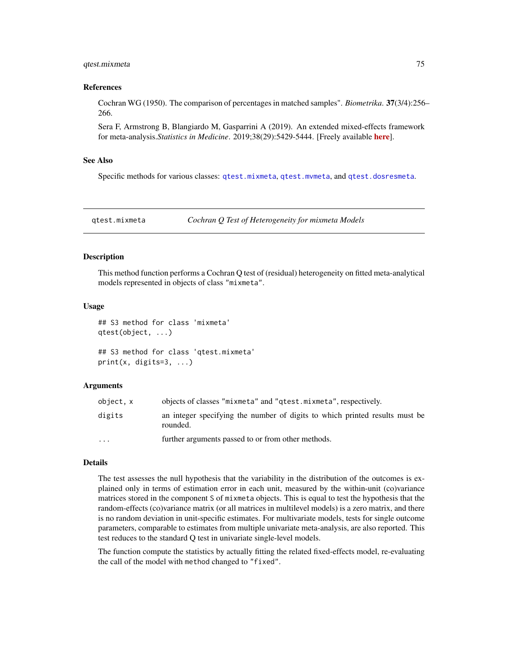# <span id="page-74-1"></span>qtest.mixmeta 75

#### References

Cochran WG (1950). The comparison of percentages in matched samples". *Biometrika*. 37(3/4):256– 266.

Sera F, Armstrong B, Blangiardo M, Gasparrini A (2019). An extended mixed-effects framework for meta-analysis.*Statistics in Medicine*. 2019;38(29):5429-5444. [Freely available [here](http://www.ag-myresearch.com/2019_sera_statmed.html)].

# See Also

Specific methods for various classes: [qtest.mixmeta](#page-74-0), [qtest.mvmeta](#page-0-0), and [qtest.dosresmeta](#page-0-0).

<span id="page-74-0"></span>qtest.mixmeta *Cochran Q Test of Heterogeneity for mixmeta Models*

# **Description**

This method function performs a Cochran Q test of (residual) heterogeneity on fitted meta-analytical models represented in objects of class "mixmeta".

## Usage

```
## S3 method for class 'mixmeta'
qtest(object, ...)
## S3 method for class 'qtest.mixmeta'
print(x, \text{ digits=}3, \ldots)
```
# Arguments

| object, x | objects of classes "mixmeta" and "qtest.mixmeta", respectively.                         |
|-----------|-----------------------------------------------------------------------------------------|
| digits    | an integer specifying the number of digits to which printed results must be<br>rounded. |
| $\ddotsc$ | further arguments passed to or from other methods.                                      |

# Details

The test assesses the null hypothesis that the variability in the distribution of the outcomes is explained only in terms of estimation error in each unit, measured by the within-unit (co)variance matrices stored in the component S of mixmeta objects. This is equal to test the hypothesis that the random-effects (co)variance matrix (or all matrices in multilevel models) is a zero matrix, and there is no random deviation in unit-specific estimates. For multivariate models, tests for single outcome parameters, comparable to estimates from multiple univariate meta-analysis, are also reported. This test reduces to the standard Q test in univariate single-level models.

The function compute the statistics by actually fitting the related fixed-effects model, re-evaluating the call of the model with method changed to "fixed".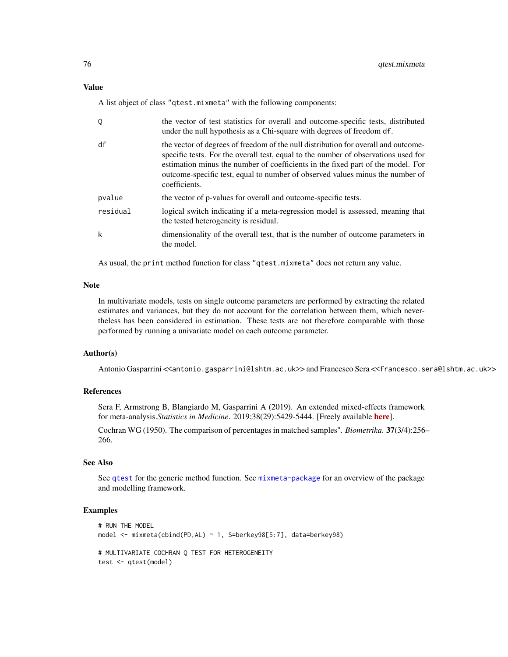# <span id="page-75-0"></span>Value

A list object of class "qtest.mixmeta" with the following components:

| Q        | the vector of test statistics for overall and outcome-specific tests, distributed<br>under the null hypothesis as a Chi-square with degrees of freedom df.                                                                                                                                                                                                    |
|----------|---------------------------------------------------------------------------------------------------------------------------------------------------------------------------------------------------------------------------------------------------------------------------------------------------------------------------------------------------------------|
| df       | the vector of degrees of freedom of the null distribution for overall and outcome-<br>specific tests. For the overall test, equal to the number of observations used for<br>estimation minus the number of coefficients in the fixed part of the model. For<br>outcome-specific test, equal to number of observed values minus the number of<br>coefficients. |
| pvalue   | the vector of p-values for overall and outcome-specific tests.                                                                                                                                                                                                                                                                                                |
| residual | logical switch indicating if a meta-regression model is assessed, meaning that<br>the tested heterogeneity is residual.                                                                                                                                                                                                                                       |
| k        | dimensionality of the overall test, that is the number of outcome parameters in<br>the model.                                                                                                                                                                                                                                                                 |

As usual, the print method function for class "qtest.mixmeta" does not return any value.

#### Note

In multivariate models, tests on single outcome parameters are performed by extracting the related estimates and variances, but they do not account for the correlation between them, which nevertheless has been considered in estimation. These tests are not therefore comparable with those performed by running a univariate model on each outcome parameter.

# Author(s)

Antonio Gasparrini << antonio.gasparrini@lshtm.ac.uk>> and Francesco Sera << francesco.sera@lshtm.ac.uk>>

# References

Sera F, Armstrong B, Blangiardo M, Gasparrini A (2019). An extended mixed-effects framework for meta-analysis.*Statistics in Medicine*. 2019;38(29):5429-5444. [Freely available [here](http://www.ag-myresearch.com/2019_sera_statmed.html)].

Cochran WG (1950). The comparison of percentages in matched samples". *Biometrika*. 37(3/4):256– 266.

# See Also

See [qtest](#page-73-0) for the generic method function. See [mixmeta-package](#page-1-0) for an overview of the package and modelling framework.

# Examples

```
# RUN THE MODEL
model <- mixmeta(cbind(PD,AL) ~ 1, S=berkey98[5:7], data=berkey98)
# MULTIVARIATE COCHRAN Q TEST FOR HETEROGENEITY
test <- qtest(model)
```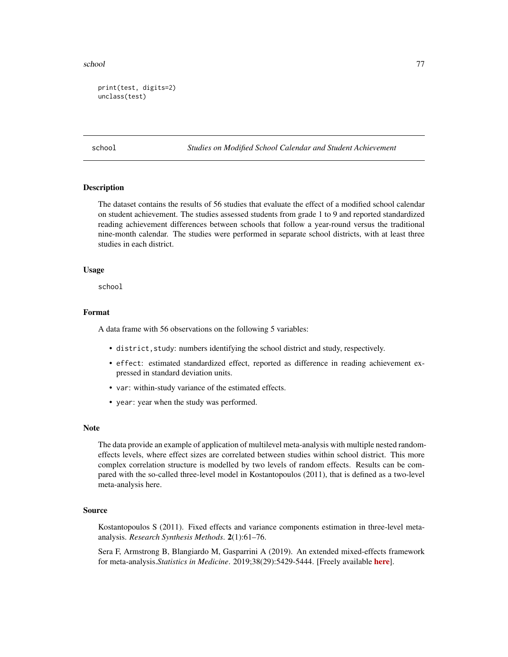#### <span id="page-76-0"></span>school and the school of the state of the state of the state of the state of the state of the state of the state of the state of the state of the state of the state of the state of the state of the state of the state of th

```
print(test, digits=2)
unclass(test)
```
school *Studies on Modified School Calendar and Student Achievement*

# Description

The dataset contains the results of 56 studies that evaluate the effect of a modified school calendar on student achievement. The studies assessed students from grade 1 to 9 and reported standardized reading achievement differences between schools that follow a year-round versus the traditional nine-month calendar. The studies were performed in separate school districts, with at least three studies in each district.

# Usage

school

# Format

A data frame with 56 observations on the following 5 variables:

- district,study: numbers identifying the school district and study, respectively.
- effect: estimated standardized effect, reported as difference in reading achievement expressed in standard deviation units.
- var: within-study variance of the estimated effects.
- year: year when the study was performed.

#### **Note**

The data provide an example of application of multilevel meta-analysis with multiple nested randomeffects levels, where effect sizes are correlated between studies within school district. This more complex correlation structure is modelled by two levels of random effects. Results can be compared with the so-called three-level model in Kostantopoulos (2011), that is defined as a two-level meta-analysis here.

# Source

Kostantopoulos S (2011). Fixed effects and variance components estimation in three-level metaanalysis. *Research Synthesis Methods*. 2(1):61–76.

Sera F, Armstrong B, Blangiardo M, Gasparrini A (2019). An extended mixed-effects framework for meta-analysis.*Statistics in Medicine*. 2019;38(29):5429-5444. [Freely available [here](http://www.ag-myresearch.com/2019_sera_statmed.html)].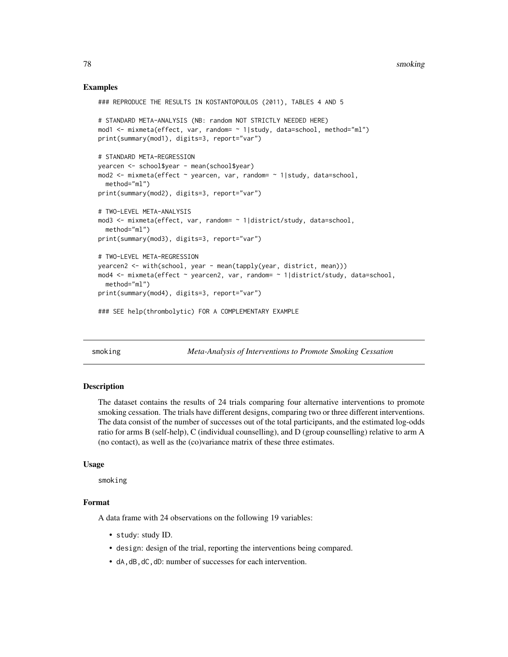# Examples

```
### REPRODUCE THE RESULTS IN KOSTANTOPOULOS (2011), TABLES 4 AND 5
# STANDARD META-ANALYSIS (NB: random NOT STRICTLY NEEDED HERE)
mod1 <- mixmeta(effect, var, random= ~ 1|study, data=school, method="ml")
print(summary(mod1), digits=3, report="var")
# STANDARD META-REGRESSION
yearcen <- school$year - mean(school$year)
mod2 <- mixmeta(effect ~ yearcen, var, random= ~ 1|study, data=school,
  method="ml")
print(summary(mod2), digits=3, report="var")
# TWO-LEVEL META-ANALYSIS
mod3 <- mixmeta(effect, var, random= ~ 1|district/study, data=school,
  method="ml")
print(summary(mod3), digits=3, report="var")
# TWO-LEVEL META-REGRESSION
yearcen2 <- with(school, year - mean(tapply(year, district, mean)))
mod4 <- mixmeta(effect ~ yearcen2, var, random= ~ 1|district/study, data=school,
  method="ml")
print(summary(mod4), digits=3, report="var")
### SEE help(thrombolytic) FOR A COMPLEMENTARY EXAMPLE
```
smoking *Meta-Analysis of Interventions to Promote Smoking Cessation*

## **Description**

The dataset contains the results of 24 trials comparing four alternative interventions to promote smoking cessation. The trials have different designs, comparing two or three different interventions. The data consist of the number of successes out of the total participants, and the estimated log-odds ratio for arms B (self-help), C (individual counselling), and D (group counselling) relative to arm A (no contact), as well as the (co)variance matrix of these three estimates.

#### Usage

smoking

# Format

A data frame with 24 observations on the following 19 variables:

- study: study ID.
- design: design of the trial, reporting the interventions being compared.
- dA,dB,dC,dD: number of successes for each intervention.

<span id="page-77-0"></span>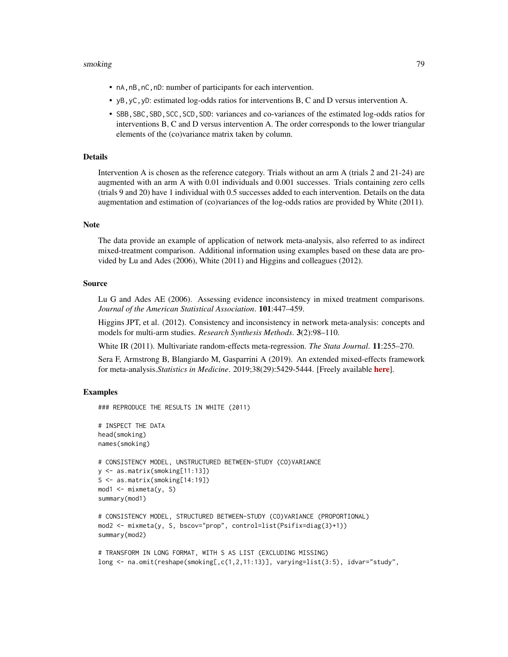#### smoking the contract of the contract of the contract of the contract of the contract of the contract of the contract of the contract of the contract of the contract of the contract of the contract of the contract of the co

- nA,nB,nC,nD: number of participants for each intervention.
- yB,yC,yD: estimated log-odds ratios for interventions B, C and D versus intervention A.
- SBB, SBC, SBD, SCC, SCD, SDD: variances and co-variances of the estimated log-odds ratios for interventions B, C and D versus intervention A. The order corresponds to the lower triangular elements of the (co)variance matrix taken by column.

# Details

Intervention A is chosen as the reference category. Trials without an arm A (trials 2 and 21-24) are augmented with an arm A with 0.01 individuals and 0.001 successes. Trials containing zero cells (trials 9 and 20) have 1 individual with 0.5 successes added to each intervention. Details on the data augmentation and estimation of (co)variances of the log-odds ratios are provided by White (2011).

## Note

The data provide an example of application of network meta-analysis, also referred to as indirect mixed-treatment comparison. Additional information using examples based on these data are provided by Lu and Ades (2006), White (2011) and Higgins and colleagues (2012).

# Source

Lu G and Ades AE (2006). Assessing evidence inconsistency in mixed treatment comparisons. *Journal of the American Statistical Association*. 101:447–459.

Higgins JPT, et al. (2012). Consistency and inconsistency in network meta-analysis: concepts and models for multi-arm studies. *Research Synthesis Methods*. 3(2):98–110.

White IR (2011). Multivariate random-effects meta-regression. *The Stata Journal*. 11:255–270.

Sera F, Armstrong B, Blangiardo M, Gasparrini A (2019). An extended mixed-effects framework for meta-analysis.*Statistics in Medicine*. 2019;38(29):5429-5444. [Freely available [here](http://www.ag-myresearch.com/2019_sera_statmed.html)].

# Examples

### REPRODUCE THE RESULTS IN WHITE (2011)

```
# INSPECT THE DATA
head(smoking)
names(smoking)
# CONSISTENCY MODEL, UNSTRUCTURED BETWEEN-STUDY (CO)VARIANCE
y <- as.matrix(smoking[11:13])
S <- as.matrix(smoking[14:19])
mod1 <- mixmeta(y, S)
summary(mod1)
# CONSISTENCY MODEL, STRUCTURED BETWEEN-STUDY (CO)VARIANCE (PROPORTIONAL)
mod2 <- mixmeta(y, S, bscov="prop", control=list(Psifix=diag(3)+1))
summary(mod2)
```

```
# TRANSFORM IN LONG FORMAT, WITH S AS LIST (EXCLUDING MISSING)
long <- na.omit(reshape(smoking[,c(1,2,11:13)], varying=list(3:5), idvar="study",
```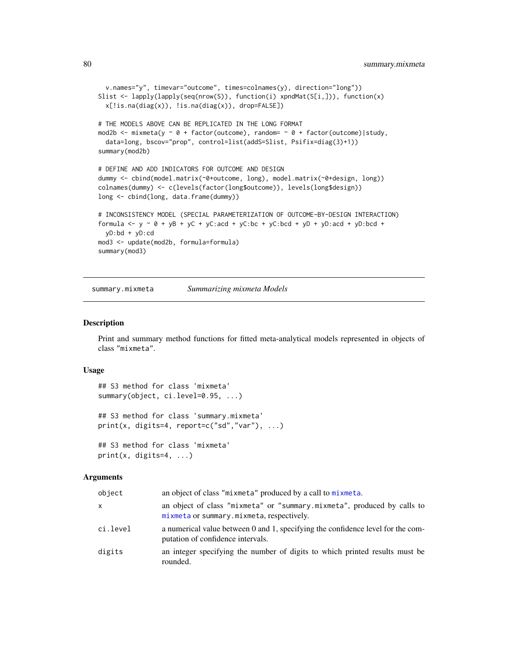```
v.names="y", timevar="outcome", times=colnames(y), direction="long"))
Slist <- lapply(lapply(seq(nrow(S)), function(i) xpndMat(S[i,])), function(x)
 x[!is.na(diag(x)), !is.na(diag(x)), drop=FALSE])
# THE MODELS ABOVE CAN BE REPLICATED IN THE LONG FORMAT
mod2b <- mixmeta(y \sim 0 + factor(outcome), random= \sim 0 + factor(outcome)|study,
 data=long, bscov="prop", control=list(addS=Slist, Psifix=diag(3)+1))
summary(mod2b)
# DEFINE AND ADD INDICATORS FOR OUTCOME AND DESIGN
dummy <- cbind(model.matrix(~0+outcome, long), model.matrix(~0+design, long))
colnames(dummy) <- c(levels(factor(long$outcome)), levels(long$design))
long <- cbind(long, data.frame(dummy))
# INCONSISTENCY MODEL (SPECIAL PARAMETERIZATION OF OUTCOME-BY-DESIGN INTERACTION)
formula <- y \sim 0 + yB + yC + yC:acd + yC:bc + yC:bcd + yD + yD:acd + yD:bcd +
 yD:bd + yD:cd
mod3 <- update(mod2b, formula=formula)
summary(mod3)
```
summary.mixmeta *Summarizing mixmeta Models*

#### Description

Print and summary method functions for fitted meta-analytical models represented in objects of class "mixmeta".

# Usage

```
## S3 method for class 'mixmeta'
summary(object, ci.level=0.95, ...)
## S3 method for class 'summary.mixmeta'
print(x, digits=4, report=c("sd","var"), \dots)
## S3 method for class 'mixmeta'
print(x, \text{ digits=4}, \ldots)
```
#### Arguments

| object   | an object of class "mixmeta" produced by a call to mixmeta.                                                          |
|----------|----------------------------------------------------------------------------------------------------------------------|
| x        | an object of class "mixmeta" or "summary.mixmeta", produced by calls to<br>mixmeta or summary.mixmeta, respectively. |
| ci.level | a numerical value between 0 and 1, specifying the confidence level for the com-<br>putation of confidence intervals. |
| digits   | an integer specifying the number of digits to which printed results must be<br>rounded.                              |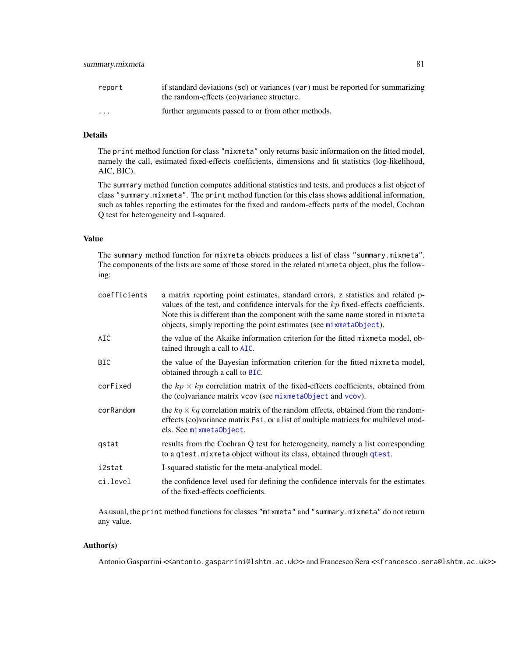<span id="page-80-0"></span>

| report   | if standard deviations (sd) or variances (var) must be reported for summarizing |
|----------|---------------------------------------------------------------------------------|
|          | the random-effects (co)variance structure.                                      |
| $\cdots$ | further arguments passed to or from other methods.                              |

# Details

The print method function for class "mixmeta" only returns basic information on the fitted model, namely the call, estimated fixed-effects coefficients, dimensions and fit statistics (log-likelihood, AIC, BIC).

The summary method function computes additional statistics and tests, and produces a list object of class "summary.mixmeta". The print method function for this class shows additional information, such as tables reporting the estimates for the fixed and random-effects parts of the model, Cochran Q test for heterogeneity and I-squared.

## Value

The summary method function for mixmeta objects produces a list of class "summary.mixmeta". The components of the lists are some of those stored in the related mixmeta object, plus the following:

| coefficients | a matrix reporting point estimates, standard errors, z statistics and related p-<br>values of the test, and confidence intervals for the $kp$ fixed-effects coefficients.<br>Note this is different than the component with the same name stored in mixmeta<br>objects, simply reporting the point estimates (see mixmetaObject). |
|--------------|-----------------------------------------------------------------------------------------------------------------------------------------------------------------------------------------------------------------------------------------------------------------------------------------------------------------------------------|
| AIC          | the value of the Akaike information criterion for the fitted mixmeta model, ob-<br>tained through a call to AIC.                                                                                                                                                                                                                  |
| <b>BIC</b>   | the value of the Bayesian information criterion for the fitted mixmeta model,<br>obtained through a call to BIC.                                                                                                                                                                                                                  |
| corFixed     | the $kp \times kp$ correlation matrix of the fixed-effects coefficients, obtained from<br>the (co)variance matrix vcov (see mixmetaObject and vcov).                                                                                                                                                                              |
| corRandom    | the $kq \times kq$ correlation matrix of the random effects, obtained from the random-<br>effects (co) variance matrix Psi, or a list of multiple matrices for multilevel mod-<br>els. See mixmetaObject.                                                                                                                         |
| gstat        | results from the Cochran Q test for heterogeneity, namely a list corresponding<br>to a qtest. mixmeta object without its class, obtained through qtest.                                                                                                                                                                           |
| i2stat       | I-squared statistic for the meta-analytical model.                                                                                                                                                                                                                                                                                |
| ci.level     | the confidence level used for defining the confidence intervals for the estimates<br>of the fixed-effects coefficients.                                                                                                                                                                                                           |

As usual, the print method functions for classes "mixmeta" and "summary.mixmeta" do not return any value.

# Author(s)

Antonio Gasparrini << antonio.gasparrini@lshtm.ac.uk>> and Francesco Sera << francesco.sera@lshtm.ac.uk>>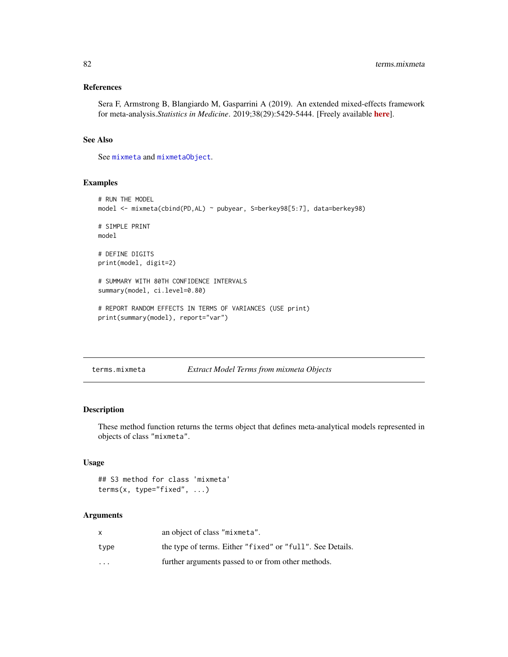# <span id="page-81-0"></span>References

Sera F, Armstrong B, Blangiardo M, Gasparrini A (2019). An extended mixed-effects framework for meta-analysis.*Statistics in Medicine*. 2019;38(29):5429-5444. [Freely available [here](http://www.ag-myresearch.com/2019_sera_statmed.html)].

# See Also

See [mixmeta](#page-30-0) and [mixmetaObject](#page-54-0).

# Examples

```
# RUN THE MODEL
model <- mixmeta(cbind(PD,AL) ~ pubyear, S=berkey98[5:7], data=berkey98)
# SIMPLE PRINT
model
# DEFINE DIGITS
print(model, digit=2)
# SUMMARY WITH 80TH CONFIDENCE INTERVALS
summary(model, ci.level=0.80)
# REPORT RANDOM EFFECTS IN TERMS OF VARIANCES (USE print)
print(summary(model), report="var")
```
terms.mixmeta *Extract Model Terms from mixmeta Objects*

# Description

These method function returns the terms object that defines meta-analytical models represented in objects of class "mixmeta".

# Usage

```
## S3 method for class 'mixmeta'
terms(x, type="fixed", \dots)
```
# Arguments

|          | an object of class "mixmeta".                             |
|----------|-----------------------------------------------------------|
| type     | the type of terms. Either "fixed" or "full". See Details. |
| $\cdots$ | further arguments passed to or from other methods.        |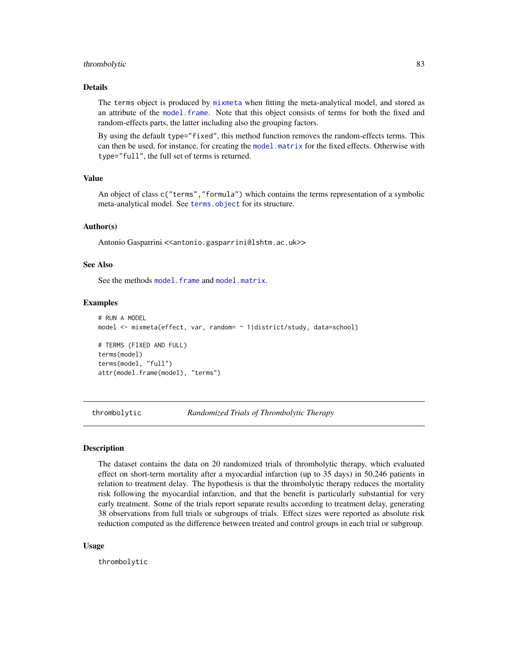#### <span id="page-82-0"></span>thrombolytic 83

#### Details

The terms object is produced by [mixmeta](#page-30-0) when fitting the meta-analytical model, and stored as an attribute of the [model.frame](#page-66-0). Note that this object consists of terms for both the fixed and random-effects parts, the latter including also the grouping factors.

By using the default type="fixed", this method function removes the random-effects terms. This can then be used, for instance, for creating the [model.matrix](#page-66-1) for the fixed effects. Otherwise with type="full", the full set of terms is returned.

# Value

An object of class c("terms","formula") which contains the terms representation of a symbolic meta-analytical model. See [terms.object](#page-0-0) for its structure.

#### Author(s)

Antonio Gasparrini << antonio.gasparrini@lshtm.ac.uk>>

# See Also

See the methods model. frame and [model.matrix](#page-66-1).

#### Examples

```
# RUN A MODEL
model <- mixmeta(effect, var, random= ~ 1|district/study, data=school)
# TERMS (FIXED AND FULL)
terms(model)
terms(model, "full")
attr(model.frame(model), "terms")
```
thrombolytic *Randomized Trials of Thrombolytic Therapy*

## **Description**

The dataset contains the data on 20 randomized trials of thrombolytic therapy, which evaluated effect on short-term mortality after a myocardial infarction (up to 35 days) in 50,246 patients in relation to treatment delay. The hypothesis is that the thrombolytic therapy reduces the mortality risk following the myocardial infarction, and that the benefit is particularly substantial for very early treatment. Some of the trials report separate results according to treatment delay, generating 38 observations from full trials or subgroups of trials. Effect sizes were reported as absolute risk reduction computed as the difference between treated and control groups in each trial or subgroup.

#### Usage

thrombolytic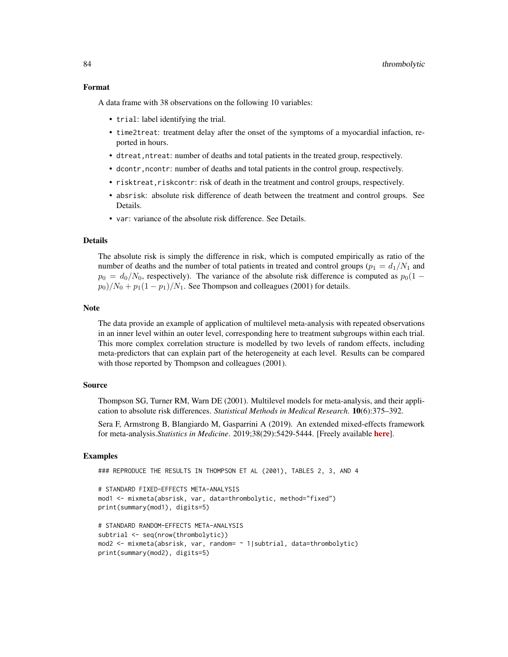#### Format

A data frame with 38 observations on the following 10 variables:

- trial: label identifying the trial.
- time2treat: treatment delay after the onset of the symptoms of a myocardial infaction, reported in hours.
- dtreat, ntreat: number of deaths and total patients in the treated group, respectively.
- dcontr,ncontr: number of deaths and total patients in the control group, respectively.
- risktreat, riskcontr: risk of death in the treatment and control groups, respectively.
- absrisk: absolute risk difference of death between the treatment and control groups. See **Details**
- var: variance of the absolute risk difference. See Details.

## Details

The absolute risk is simply the difference in risk, which is computed empirically as ratio of the number of deaths and the number of total patients in treated and control groups ( $p_1 = d_1/N_1$  and  $p_0 = d_0/N_0$ , respectively). The variance of the absolute risk difference is computed as  $p_0(1$  $p_0$ )/ $N_0$  +  $p_1(1-p_1)/N_1$ . See Thompson and colleagues (2001) for details.

#### Note

The data provide an example of application of multilevel meta-analysis with repeated observations in an inner level within an outer level, corresponding here to treatment subgroups within each trial. This more complex correlation structure is modelled by two levels of random effects, including meta-predictors that can explain part of the heterogeneity at each level. Results can be compared with those reported by Thompson and colleagues (2001).

# Source

Thompson SG, Turner RM, Warn DE (2001). Multilevel models for meta-analysis, and their application to absolute risk differences. *Statistical Methods in Medical Research*. 10(6):375–392.

Sera F, Armstrong B, Blangiardo M, Gasparrini A (2019). An extended mixed-effects framework for meta-analysis.*Statistics in Medicine*. 2019;38(29):5429-5444. [Freely available [here](http://www.ag-myresearch.com/2019_sera_statmed.html)].

# Examples

```
### REPRODUCE THE RESULTS IN THOMPSON ET AL (2001), TABLES 2, 3, AND 4
```

```
# STANDARD FIXED-EFFECTS META-ANALYSIS
mod1 <- mixmeta(absrisk, var, data=thrombolytic, method="fixed")
print(summary(mod1), digits=5)
```

```
# STANDARD RANDOM-EFFECTS META-ANALYSIS
subtrial <- seq(nrow(thrombolytic))
mod2 <- mixmeta(absrisk, var, random= ~ 1|subtrial, data=thrombolytic)
print(summary(mod2), digits=5)
```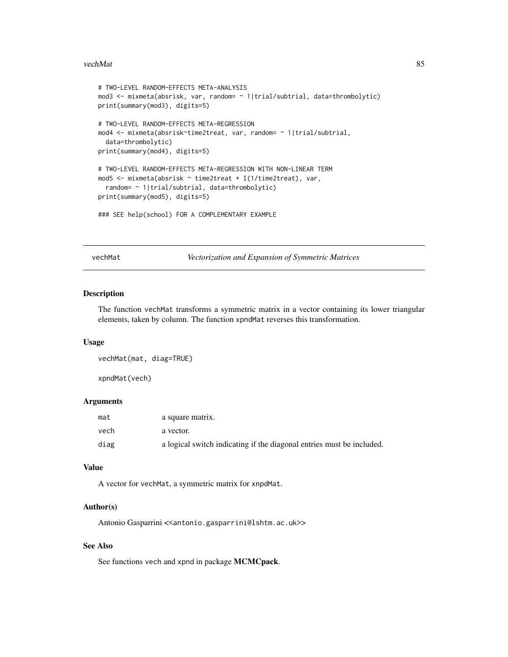#### <span id="page-84-0"></span>vechMat 85

```
# TWO-LEVEL RANDOM-EFFECTS META-ANALYSIS
mod3 <- mixmeta(absrisk, var, random= ~ 1|trial/subtrial, data=thrombolytic)
print(summary(mod3), digits=5)
# TWO-LEVEL RANDOM-EFFECTS META-REGRESSION
mod4 <- mixmeta(absrisk~time2treat, var, random= ~ 1|trial/subtrial,
  data=thrombolytic)
print(summary(mod4), digits=5)
# TWO-LEVEL RANDOM-EFFECTS META-REGRESSION WITH NON-LINEAR TERM
mod5 <- mixmeta(absrisk ~ time2treat + I(1/time2treat), var,
  random= ~ 1|trial/subtrial, data=thrombolytic)
print(summary(mod5), digits=5)
```
### SEE help(school) FOR A COMPLEMENTARY EXAMPLE

vechMat *Vectorization and Expansion of Symmetric Matrices*

# Description

The function vechMat transforms a symmetric matrix in a vector containing its lower triangular elements, taken by column. The function xpndMat reverses this transformation.

#### Usage

vechMat(mat, diag=TRUE)

xpndMat(vech)

# Arguments

| mat  | a square matrix.                                                      |
|------|-----------------------------------------------------------------------|
| vech | a vector.                                                             |
| diag | a logical switch indicating if the diagonal entries must be included. |

# Value

A vector for vechMat, a symmetric matrix for xnpdMat.

#### Author(s)

Antonio Gasparrini << antonio.gasparrini@lshtm.ac.uk>>

# See Also

See functions vech and xpnd in package MCMCpack.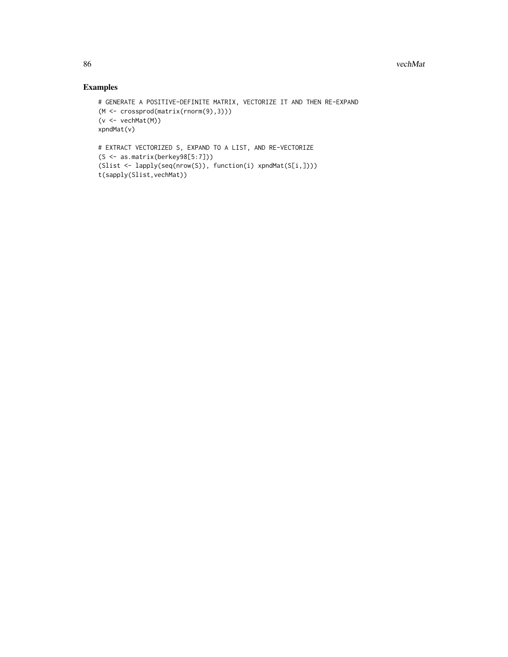# Examples

```
# GENERATE A POSITIVE-DEFINITE MATRIX, VECTORIZE IT AND THEN RE-EXPAND
(M <- crossprod(matrix(rnorm(9),3)))
(v <- vechMat(M))
xpndMat(v)
# EXTRACT VECTORIZED S, EXPAND TO A LIST, AND RE-VECTORIZE
(S <- as.matrix(berkey98[5:7]))
(Slist <- lapply(seq(nrow(S)), function(i) xpndMat(S[i,])))
t(sapply(Slist,vechMat))
```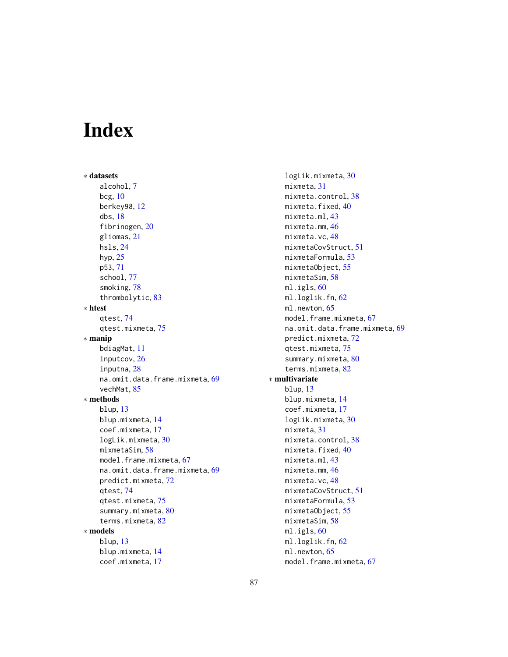# Index

∗ datasets alcohol, [7](#page-6-0) bcg, [10](#page-9-0) berkey98, [12](#page-11-0) dbs, [18](#page-17-0) fibrinogen, [20](#page-19-0) gliomas, [21](#page-20-0) hsls, [24](#page-23-0) hyp, [25](#page-24-0) p53, [71](#page-70-0) school, [77](#page-76-0) smoking, [78](#page-77-0) thrombolytic, [83](#page-82-0) ∗ htest qtest, [74](#page-73-1) qtest.mixmeta, [75](#page-74-1) ∗ manip bdiagMat, [11](#page-10-0) inputcov, [26](#page-25-0) inputna, [28](#page-27-0) na.omit.data.frame.mixmeta, [69](#page-68-1) vechMat, [85](#page-84-0) ∗ methods blup, [13](#page-12-0) blup.mixmeta, [14](#page-13-1) coef.mixmeta, [17](#page-16-1) logLik.mixmeta, [30](#page-29-0) mixmetaSim, [58](#page-57-0) model.frame.mixmeta, [67](#page-66-2) na.omit.data.frame.mixmeta, [69](#page-68-1) predict.mixmeta, [72](#page-71-0) qtest, [74](#page-73-1) qtest.mixmeta, [75](#page-74-1) summary.mixmeta, [80](#page-79-0) terms.mixmeta, [82](#page-81-0) ∗ models blup, [13](#page-12-0) blup.mixmeta, [14](#page-13-1) coef.mixmeta, [17](#page-16-1)

logLik.mixmeta, [30](#page-29-0) mixmeta, [31](#page-30-1) mixmeta.control, [38](#page-37-0) mixmeta.fixed, [40](#page-39-0) mixmeta.ml, [43](#page-42-0) mixmeta.mm, [46](#page-45-0) mixmeta.vc, [48](#page-47-0) mixmetaCovStruct, [51](#page-50-0) mixmetaFormula, [53](#page-52-0) mixmetaObject, [55](#page-54-1) mixmetaSim, [58](#page-57-0) ml.igls, [60](#page-59-0) ml.loglik.fn, [62](#page-61-0) ml.newton, [65](#page-64-0) model.frame.mixmeta, [67](#page-66-2) na.omit.data.frame.mixmeta, [69](#page-68-1) predict.mixmeta, [72](#page-71-0) qtest.mixmeta, [75](#page-74-1) summary.mixmeta, [80](#page-79-0) terms.mixmeta, [82](#page-81-0) ∗ multivariate blup, [13](#page-12-0) blup.mixmeta, [14](#page-13-1) coef.mixmeta, [17](#page-16-1) logLik.mixmeta, [30](#page-29-0) mixmeta, [31](#page-30-1) mixmeta.control, [38](#page-37-0) mixmeta.fixed, [40](#page-39-0) mixmeta.ml, [43](#page-42-0) mixmeta.mm, [46](#page-45-0) mixmeta.vc, [48](#page-47-0) mixmetaCovStruct, [51](#page-50-0) mixmetaFormula, [53](#page-52-0) mixmetaObject, [55](#page-54-1) mixmetaSim, [58](#page-57-0) ml.igls, [60](#page-59-0) ml.loglik.fn, [62](#page-61-0) ml.newton, [65](#page-64-0) model.frame.mixmeta, [67](#page-66-2)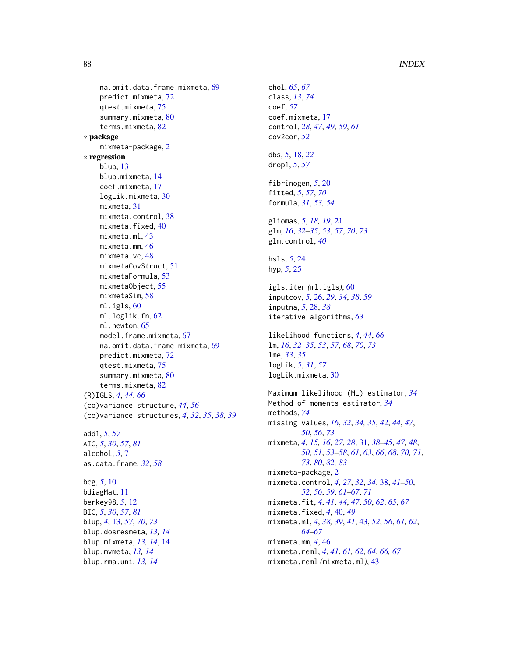# 88 INDEX

```
69
    predict.mixmeta, 72
    qtest.mixmeta, 75
    summary.mixmeta, 80
    terms.mixmeta, 82
∗ package
    mixmeta-package, 2
∗ regression
    blup, 13
    blup.mixmeta, 14
    coef.mixmeta, 17
    logLik.mixmeta, 30
    mixmeta, 31
    mixmeta.control, 38
    mixmeta.fixed, 40
    mixmeta.ml, 43
    mixmeta.mm, 46
    mixmeta.vc, 48
    mixmetaCovStruct, 51
    mixmetaFormula, 53
    mixmetaObject, 55
    mixmetaSim, 58
    ml.igls, 60
    ml.loglik.fn, 62
    65
    model.frame.mixmeta, 67
    na.omit.data.frame.mixmeta, 69
    predict.mixmeta, 72
    qtest.mixmeta, 75
    80
    terms.mixmeta, 82
(R)IGLS, 4, 44, 66
(co)variance structure, 44, 56
(co)variance structures, 4, 32, 35, 38, 39
add1, 5, 57
AIC, 5, 30, 57, 81
alcohol, 5, 7
as.data.frame, 32, 58
bcg, 5, 10
bdiagMat, 11
berkey98, 5, 12
BIC, 5, 30, 57, 81
blup, 4, 13, 57, 70, 73
blup.dosresmeta, 13, 14
blup.mixmeta, 13, 14, 14
blup.mvmeta, 13, 14
blup.rma.uni, 13, 14
```

```
chol, 65, 67
class, 13, 74
coef, 57
coef.mixmeta, 17
control, 28, 47, 49, 59, 61
cov2cor, 52
dbs, 5, 18, 22
drop1, 5, 57
fibrinogen, 5, 20
fitted, 5, 57, 70
formula, 31, 53, 54
gliomas, 5, 18, 19, 21
glm, 16, 32–35, 53, 57, 70, 73
glm.control, 40
hsls, 5, 24
hyp, 5, 25
igls.iter (ml.igls), 60
inputcov, 5, 26, 29, 34, 38, 59
inputna, 5, 28, 38
iterative algorithms, 63
likelihood functions, 4, 44, 66
lm, 16, 32–35, 53, 57, 68, 70, 73
lme, 33, 35
logLik, 5, 31, 57
logLik.mixmeta, 30
Maximum likelihood (ML) estimator, 34
Method of moments estimator, 34
methods, 74
missing values, 16, 32, 34, 35, 42, 44, 47,
         50, 56, 73
mixmeta, 4, 15, 16, 27, 28, 31, 38–45, 47, 48,
         50, 51, 53–58, 61, 63, 66, 68, 70, 71,
         73, 80, 82, 83
mixmeta-package, 2
mixmeta.control, 4, 27, 32, 34, 38, 41–50,
         52, 56, 59, 61–67, 71
mixmeta.fit, 4, 41, 44, 47, 50, 62, 65, 67
mixmeta.fixed, 4, 40, 49
mixmeta.ml, 4, 38, 39, 41, 43, 52, 56, 61, 62,
         64–67
mixmeta.mm, 4, 46
mixmeta.reml, 4, 41, 61, 62, 64, 66, 67
mixmeta.reml (mixmeta.ml), 43
```